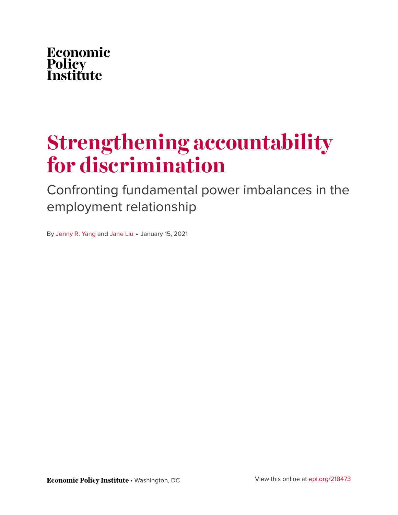

# **Strengthening accountability for discrimination**

Confronting fundamental power imbalances in the employment relationship

By [Jenny R. Yang](https://www.epi.org/people/jenny-r-yang/) and [Jane Liu](https://www.epi.org/people/jane-liu/) • January 15, 2021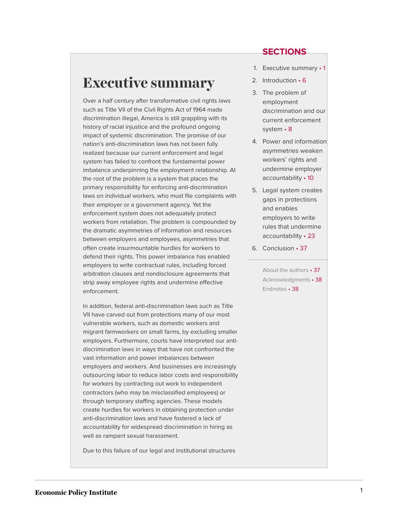<span id="page-1-0"></span>Over a half century after transformative civil rights laws such as Title VII of the Civil Rights Act of 1964 made discrimination illegal, America is still grappling with its history of racial injustice and the profound ongoing impact of systemic discrimination. The promise of our nation's anti-discrimination laws has not been fully realized because our current enforcement and legal system has failed to confront the fundamental power imbalance underpinning the employment relationship. At the root of the problem is a system that places the primary responsibility for enforcing anti-discrimination laws on individual workers, who must file complaints with their employer or a government agency. Yet the enforcement system does not adequately protect workers from retaliation. The problem is compounded by the dramatic asymmetries of information and resources between employers and employees, asymmetries that often create insurmountable hurdles for workers to defend their rights. This power imbalance has enabled employers to write contractual rules, including forced arbitration clauses and nondisclosure agreements that strip away employee rights and undermine effective enforcement.

In addition, federal anti-discrimination laws such as Title VII have carved out from protections many of our most vulnerable workers, such as domestic workers and migrant farmworkers on small farms, by excluding smaller employers. Furthermore, courts have interpreted our antidiscrimination laws in ways that have not confronted the vast information and power imbalances between employers and workers. And businesses are increasingly outsourcing labor to reduce labor costs and responsibility for workers by contracting out work to independent contractors (who may be misclassified employees) or through temporary staffing agencies. These models create hurdles for workers in obtaining protection under anti-discrimination laws and have fostered a lack of accountability for widespread discrimination in hiring as well as rampant sexual harassment.

Due to this failure of our legal and institutional structures

### **SECTIONS**

- 1. [Executive summary](#page-1-0) 1
- 2. [Introduction](#page-6-0) 6
- 3. [The problem of](#page-8-0) [employment](#page-8-0) [discrimination and our](#page-8-0) [current enforcement](#page-8-0) [system](#page-8-0) • 8
- 4. [Power and information](#page-10-0) [asymmetries weaken](#page-10-0) [workers' rights and](#page-10-0) [undermine employer](#page-10-0) [accountability](#page-10-0) • 10
- 5. [Legal system creates](#page-23-0) [gaps in protections](#page-23-0) [and enables](#page-23-0) [employers to write](#page-23-0) [rules that undermine](#page-23-0) [accountability](#page-23-0) • 23
- 6. [Conclusion](#page-37-0) 37

[About the authors](#page-37-1) • 37 [Acknowledgments](#page-38-0) • 38 [Endnotes](#page-38-1) • 38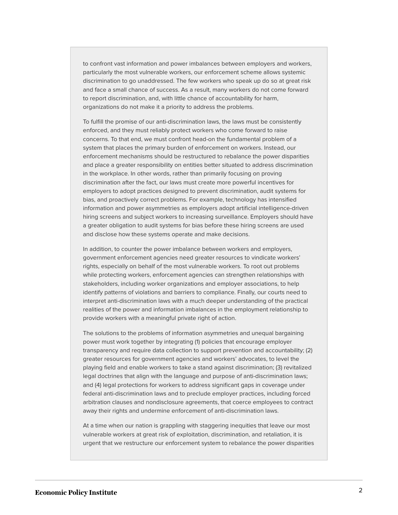to confront vast information and power imbalances between employers and workers, particularly the most vulnerable workers, our enforcement scheme allows systemic discrimination to go unaddressed. The few workers who speak up do so at great risk and face a small chance of success. As a result, many workers do not come forward to report discrimination, and, with little chance of accountability for harm, organizations do not make it a priority to address the problems.

To fulfill the promise of our anti-discrimination laws, the laws must be consistently enforced, and they must reliably protect workers who come forward to raise concerns. To that end, we must confront head-on the fundamental problem of a system that places the primary burden of enforcement on workers. Instead, our enforcement mechanisms should be restructured to rebalance the power disparities and place a greater responsibility on entities better situated to address discrimination in the workplace. In other words, rather than primarily focusing on proving discrimination after the fact, our laws must create more powerful incentives for employers to adopt practices designed to prevent discrimination, audit systems for bias, and proactively correct problems. For example, technology has intensified information and power asymmetries as employers adopt artificial intelligence-driven hiring screens and subject workers to increasing surveillance. Employers should have a greater obligation to audit systems for bias before these hiring screens are used and disclose how these systems operate and make decisions.

In addition, to counter the power imbalance between workers and employers, government enforcement agencies need greater resources to vindicate workers' rights, especially on behalf of the most vulnerable workers. To root out problems while protecting workers, enforcement agencies can strengthen relationships with stakeholders, including worker organizations and employer associations, to help identify patterns of violations and barriers to compliance. Finally, our courts need to interpret anti-discrimination laws with a much deeper understanding of the practical realities of the power and information imbalances in the employment relationship to provide workers with a meaningful private right of action.

The solutions to the problems of information asymmetries and unequal bargaining power must work together by integrating (1) policies that encourage employer transparency and require data collection to support prevention and accountability; (2) greater resources for government agencies and workers' advocates, to level the playing field and enable workers to take a stand against discrimination; (3) revitalized legal doctrines that align with the language and purpose of anti-discrimination laws; and (4) legal protections for workers to address significant gaps in coverage under federal anti-discrimination laws and to preclude employer practices, including forced arbitration clauses and nondisclosure agreements, that coerce employees to contract away their rights and undermine enforcement of anti-discrimination laws.

At a time when our nation is grappling with staggering inequities that leave our most vulnerable workers at great risk of exploitation, discrimination, and retaliation, it is urgent that we restructure our enforcement system to rebalance the power disparities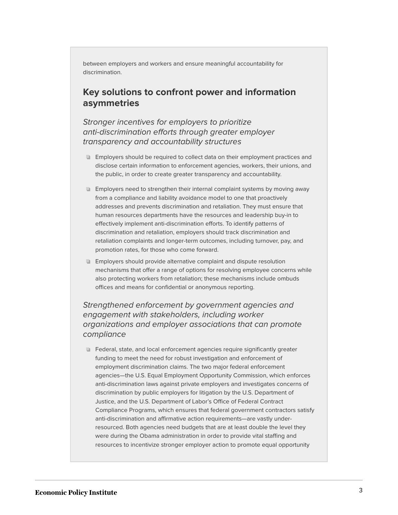between employers and workers and ensure meaningful accountability for discrimination.

# **Key solutions to confront power and information asymmetries**

Stronger incentives for employers to prioritize anti-discrimination efforts through greater employer transparency and accountability structures

- **Employers should be required to collect data on their employment practices and** disclose certain information to enforcement agencies, workers, their unions, and the public, in order to create greater transparency and accountability.
- **Employers need to strengthen their internal complaint systems by moving away** from a compliance and liability avoidance model to one that proactively addresses and prevents discrimination and retaliation. They must ensure that human resources departments have the resources and leadership buy-in to effectively implement anti-discrimination efforts. To identify patterns of discrimination and retaliation, employers should track discrimination and retaliation complaints and longer-term outcomes, including turnover, pay, and promotion rates, for those who come forward.
- **Employers should provide alternative complaint and dispute resolution** mechanisms that offer a range of options for resolving employee concerns while also protecting workers from retaliation; these mechanisms include ombuds offices and means for confidential or anonymous reporting.

Strengthened enforcement by government agencies and engagement with stakeholders, including worker organizations and employer associations that can promote compliance

Federal, state, and local enforcement agencies require significantly greater funding to meet the need for robust investigation and enforcement of employment discrimination claims. The two major federal enforcement agencies—the U.S. Equal Employment Opportunity Commission, which enforces anti-discrimination laws against private employers and investigates concerns of discrimination by public employers for litigation by the U.S. Department of Justice, and the U.S. Department of Labor's Office of Federal Contract Compliance Programs, which ensures that federal government contractors satisfy anti-discrimination and affirmative action requirements—are vastly underresourced. Both agencies need budgets that are at least double the level they were during the Obama administration in order to provide vital staffing and resources to incentivize stronger employer action to promote equal opportunity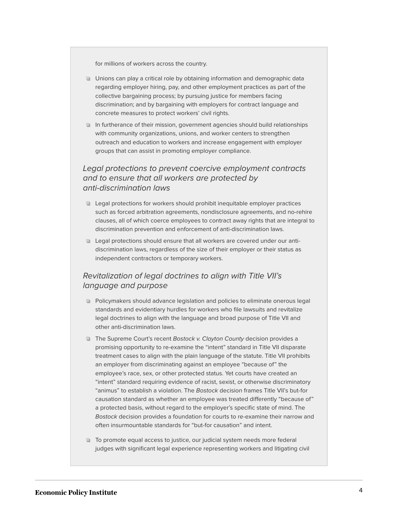for millions of workers across the country.

- **Unions can play a critical role by obtaining information and demographic data** regarding employer hiring, pay, and other employment practices as part of the collective bargaining process; by pursuing justice for members facing discrimination; and by bargaining with employers for contract language and concrete measures to protect workers' civil rights.
- In furtherance of their mission, government agencies should build relationships with community organizations, unions, and worker centers to strengthen outreach and education to workers and increase engagement with employer groups that can assist in promoting employer compliance.

#### Legal protections to prevent coercive employment contracts and to ensure that all workers are protected by anti-discrimination laws

- Legal protections for workers should prohibit inequitable employer practices such as forced arbitration agreements, nondisclosure agreements, and no-rehire clauses, all of which coerce employees to contract away rights that are integral to discrimination prevention and enforcement of anti-discrimination laws.
- **Legal protections should ensure that all workers are covered under our anti**discrimination laws, regardless of the size of their employer or their status as independent contractors or temporary workers.

#### Revitalization of legal doctrines to align with Title VII's language and purpose

- **Policymakers should advance legislation and policies to eliminate onerous legal** standards and evidentiary hurdles for workers who file lawsuits and revitalize legal doctrines to align with the language and broad purpose of Title VII and other anti-discrimination laws.
- The Supreme Court's recent Bostock v. Clayton County decision provides a promising opportunity to re-examine the "intent" standard in Title VII disparate treatment cases to align with the plain language of the statute. Title VII prohibits an employer from discriminating against an employee "because of" the employee's race, sex, or other protected status. Yet courts have created an "intent" standard requiring evidence of racist, sexist, or otherwise discriminatory "animus" to establish a violation. The Bostock decision frames Title VII's but-for causation standard as whether an employee was treated differently "because of" a protected basis, without regard to the employer's specific state of mind. The Bostock decision provides a foundation for courts to re-examine their narrow and often insurmountable standards for "but-for causation" and intent.
- **To promote equal access to justice, our judicial system needs more federal** judges with significant legal experience representing workers and litigating civil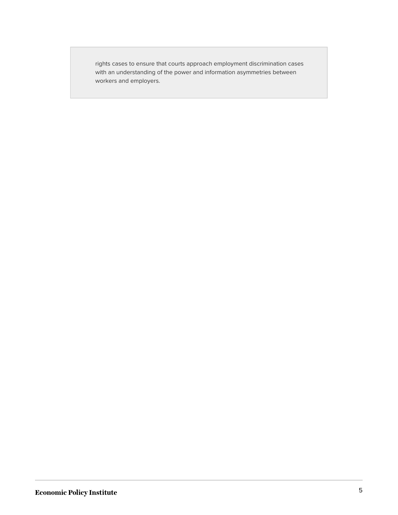rights cases to ensure that courts approach employment discrimination cases with an understanding of the power and information asymmetries between workers and employers.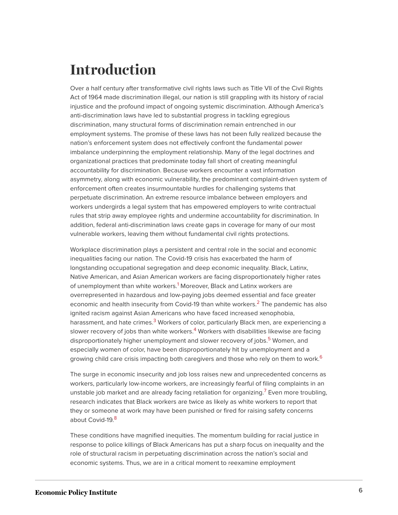# <span id="page-6-0"></span>**Introduction**

Over a half century after transformative civil rights laws such as Title VII of the Civil Rights Act of 1964 made discrimination illegal, our nation is still grappling with its history of racial injustice and the profound impact of ongoing systemic discrimination. Although America's anti-discrimination laws have led to substantial progress in tackling egregious discrimination, many structural forms of discrimination remain entrenched in our employment systems. The promise of these laws has not been fully realized because the nation's enforcement system does not effectively confront the fundamental power imbalance underpinning the employment relationship. Many of the legal doctrines and organizational practices that predominate today fall short of creating meaningful accountability for discrimination. Because workers encounter a vast information asymmetry, along with economic vulnerability, the predominant complaint-driven system of enforcement often creates insurmountable hurdles for challenging systems that perpetuate discrimination. An extreme resource imbalance between employers and workers undergirds a legal system that has empowered employers to write contractual rules that strip away employee rights and undermine accountability for discrimination. In addition, federal anti-discrimination laws create gaps in coverage for many of our most vulnerable workers, leaving them without fundamental civil rights protections.

<span id="page-6-2"></span><span id="page-6-1"></span>Workplace discrimination plays a persistent and central role in the social and economic inequalities facing our nation. The Covid-19 crisis has exacerbated the harm of longstanding occupational segregation and deep economic inequality. Black, Latinx, Native American, and Asian American workers are facing disproportionately higher rates of unemployment than white workers.<sup>[1](#page-38-2)</sup> Moreover, Black and Latinx workers are overrepresented in hazardous and low-paying jobs deemed essential and face greater economic and health insecurity from Covid-19 than white workers.<sup>[2](#page-38-3)</sup> The pandemic has also ignited racism against Asian Americans who have faced increased xenophobia, harassment, and hate crimes.<sup>[3](#page-39-0)</sup> Workers of color, particularly Black men, are experiencing a slower recovery of jobs than white workers. $4$  Workers with disabilities likewise are facing disproportionately higher unemployment and slower recovery of jobs.<sup>[5](#page-39-2)</sup> Women, and especially women of color, have been disproportionately hit by unemployment and a growing child care crisis impacting both caregivers and those who rely on them to work.<sup>[6](#page-39-3)</sup>

<span id="page-6-7"></span><span id="page-6-6"></span><span id="page-6-5"></span><span id="page-6-4"></span><span id="page-6-3"></span>The surge in economic insecurity and job loss raises new and unprecedented concerns as workers, particularly low-income workers, are increasingly fearful of filing complaints in an unstable job market and are already facing retaliation for organizing.<sup>[7](#page-39-4)</sup> Even more troubling, research indicates that Black workers are twice as likely as white workers to report that they or someone at work may have been punished or fired for raising safety concerns about Covid-19.<sup>[8](#page-39-5)</sup>

<span id="page-6-8"></span>These conditions have magnified inequities. The momentum building for racial justice in response to police killings of Black Americans has put a sharp focus on inequality and the role of structural racism in perpetuating discrimination across the nation's social and economic systems. Thus, we are in a critical moment to reexamine employment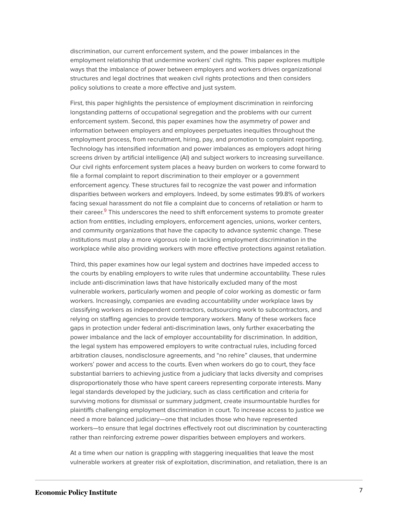discrimination, our current enforcement system, and the power imbalances in the employment relationship that undermine workers' civil rights. This paper explores multiple ways that the imbalance of power between employers and workers drives organizational structures and legal doctrines that weaken civil rights protections and then considers policy solutions to create a more effective and just system.

First, this paper highlights the persistence of employment discrimination in reinforcing longstanding patterns of occupational segregation and the problems with our current enforcement system. Second, this paper examines how the asymmetry of power and information between employers and employees perpetuates inequities throughout the employment process, from recruitment, hiring, pay, and promotion to complaint reporting. Technology has intensified information and power imbalances as employers adopt hiring screens driven by artificial intelligence (AI) and subject workers to increasing surveillance. Our civil rights enforcement system places a heavy burden on workers to come forward to file a formal complaint to report discrimination to their employer or a government enforcement agency. These structures fail to recognize the vast power and information disparities between workers and employers. Indeed, by some estimates 99.8% of workers facing sexual harassment do not file a complaint due to concerns of retaliation or harm to their career.<sup>[9](#page-39-6)</sup> This underscores the need to shift enforcement systems to promote greater action from entities, including employers, enforcement agencies, unions, worker centers, and community organizations that have the capacity to advance systemic change. These institutions must play a more vigorous role in tackling employment discrimination in the workplace while also providing workers with more effective protections against retaliation.

<span id="page-7-0"></span>Third, this paper examines how our legal system and doctrines have impeded access to the courts by enabling employers to write rules that undermine accountability. These rules include anti-discrimination laws that have historically excluded many of the most vulnerable workers, particularly women and people of color working as domestic or farm workers. Increasingly, companies are evading accountability under workplace laws by classifying workers as independent contractors, outsourcing work to subcontractors, and relying on staffing agencies to provide temporary workers. Many of these workers face gaps in protection under federal anti-discrimination laws, only further exacerbating the power imbalance and the lack of employer accountability for discrimination. In addition, the legal system has empowered employers to write contractual rules, including forced arbitration clauses, nondisclosure agreements, and "no rehire" clauses, that undermine workers' power and access to the courts. Even when workers do go to court, they face substantial barriers to achieving justice from a judiciary that lacks diversity and comprises disproportionately those who have spent careers representing corporate interests. Many legal standards developed by the judiciary, such as class certification and criteria for surviving motions for dismissal or summary judgment, create insurmountable hurdles for plaintiffs challenging employment discrimination in court. To increase access to justice we need a more balanced judiciary—one that includes those who have represented workers—to ensure that legal doctrines effectively root out discrimination by counteracting rather than reinforcing extreme power disparities between employers and workers.

At a time when our nation is grappling with staggering inequalities that leave the most vulnerable workers at greater risk of exploitation, discrimination, and retaliation, there is an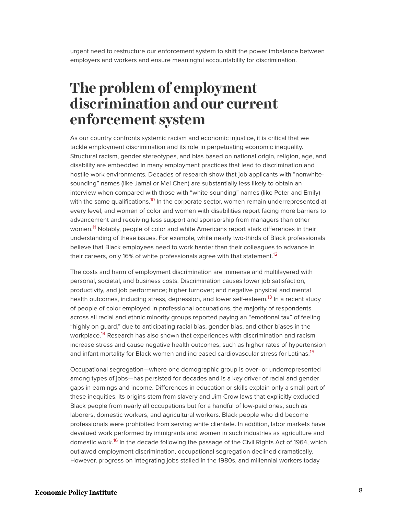urgent need to restructure our enforcement system to shift the power imbalance between employers and workers and ensure meaningful accountability for discrimination.

# <span id="page-8-0"></span>**The problem of employment discrimination and our current enforcement system**

<span id="page-8-1"></span>As our country confronts systemic racism and economic injustice, it is critical that we tackle employment discrimination and its role in perpetuating economic inequality. Structural racism, gender stereotypes, and bias based on national origin, religion, age, and disability are embedded in many employment practices that lead to discrimination and hostile work environments. Decades of research show that job applicants with "nonwhitesounding" names (like Jamal or Mei Chen) are substantially less likely to obtain an interview when compared with those with "white-sounding" names (like Peter and Emily) with the same qualifications.<sup>[10](#page-39-7)</sup> In the corporate sector, women remain underrepresented at every level, and women of color and women with disabilities report facing more barriers to advancement and receiving less support and sponsorship from managers than other women.<sup>[11](#page-39-8)</sup> Notably, people of color and white Americans report stark differences in their understanding of these issues. For example, while nearly two-thirds of Black professionals believe that Black employees need to work harder than their colleagues to advance in their careers, only 16% of white professionals agree with that statement.<sup>[12](#page-39-9)</sup>

<span id="page-8-4"></span><span id="page-8-3"></span><span id="page-8-2"></span>The costs and harm of employment discrimination are immense and multilayered with personal, societal, and business costs. Discrimination causes lower job satisfaction, productivity, and job performance; higher turnover; and negative physical and mental health outcomes, including stress, depression, and lower self-esteem.<sup>[13](#page-39-10)</sup> In a recent study of people of color employed in professional occupations, the majority of respondents across all racial and ethnic minority groups reported paying an "emotional tax" of feeling "highly on guard," due to anticipating racial bias, gender bias, and other biases in the workplace. [14](#page-39-11) Research has also shown that experiences with discrimination and racism increase stress and cause negative health outcomes, such as higher rates of hypertension and infant mortality for Black women and increased cardiovascular stress for Latinas.<sup>[15](#page-39-12)</sup>

<span id="page-8-7"></span><span id="page-8-6"></span><span id="page-8-5"></span>Occupational segregation—where one demographic group is over- or underrepresented among types of jobs—has persisted for decades and is a key driver of racial and gender gaps in earnings and income. Differences in education or skills explain only a small part of these inequities. Its origins stem from slavery and Jim Crow laws that explicitly excluded Black people from nearly all occupations but for a handful of low-paid ones, such as laborers, domestic workers, and agricultural workers. Black people who did become professionals were prohibited from serving white clientele. In addition, labor markets have devalued work performed by immigrants and women in such industries as agriculture and domestic work.<sup>[16](#page-39-13)</sup> In the decade following the passage of the Civil Rights Act of 1964, which outlawed employment discrimination, occupational segregation declined dramatically. However, progress on integrating jobs stalled in the 1980s, and millennial workers today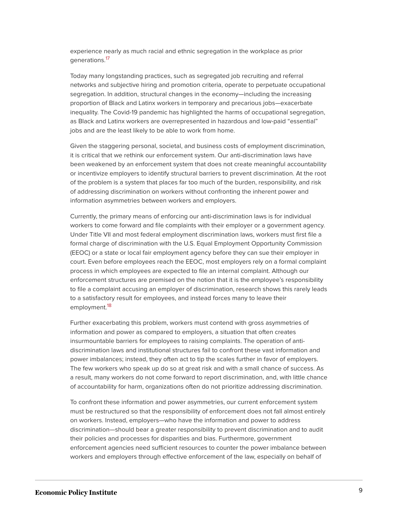<span id="page-9-0"></span>experience nearly as much racial and ethnic segregation in the workplace as prior generations.<sup>[17](#page-40-0)</sup>

Today many longstanding practices, such as segregated job recruiting and referral networks and subjective hiring and promotion criteria, operate to perpetuate occupational segregation. In addition, structural changes in the economy—including the increasing proportion of Black and Latinx workers in temporary and precarious jobs—exacerbate inequality. The Covid-19 pandemic has highlighted the harms of occupational segregation, as Black and Latinx workers are overrepresented in hazardous and low-paid "essential" jobs and are the least likely to be able to work from home.

Given the staggering personal, societal, and business costs of employment discrimination, it is critical that we rethink our enforcement system. Our anti-discrimination laws have been weakened by an enforcement system that does not create meaningful accountability or incentivize employers to identify structural barriers to prevent discrimination. At the root of the problem is a system that places far too much of the burden, responsibility, and risk of addressing discrimination on workers without confronting the inherent power and information asymmetries between workers and employers.

Currently, the primary means of enforcing our anti-discrimination laws is for individual workers to come forward and file complaints with their employer or a government agency. Under Title VII and most federal employment discrimination laws, workers must first file a formal charge of discrimination with the U.S. Equal Employment Opportunity Commission (EEOC) or a state or local fair employment agency before they can sue their employer in court. Even before employees reach the EEOC, most employers rely on a formal complaint process in which employees are expected to file an internal complaint. Although our enforcement structures are premised on the notion that it is the employee's responsibility to file a complaint accusing an employer of discrimination, research shows this rarely leads to a satisfactory result for employees, and instead forces many to leave their employment.<sup>[18](#page-40-1)</sup>

<span id="page-9-1"></span>Further exacerbating this problem, workers must contend with gross asymmetries of information and power as compared to employers, a situation that often creates insurmountable barriers for employees to raising complaints. The operation of antidiscrimination laws and institutional structures fail to confront these vast information and power imbalances; instead, they often act to tip the scales further in favor of employers. The few workers who speak up do so at great risk and with a small chance of success. As a result, many workers do not come forward to report discrimination, and, with little chance of accountability for harm, organizations often do not prioritize addressing discrimination.

To confront these information and power asymmetries, our current enforcement system must be restructured so that the responsibility of enforcement does not fall almost entirely on workers. Instead, employers—who have the information and power to address discrimination—should bear a greater responsibility to prevent discrimination and to audit their policies and processes for disparities and bias. Furthermore, government enforcement agencies need sufficient resources to counter the power imbalance between workers and employers through effective enforcement of the law, especially on behalf of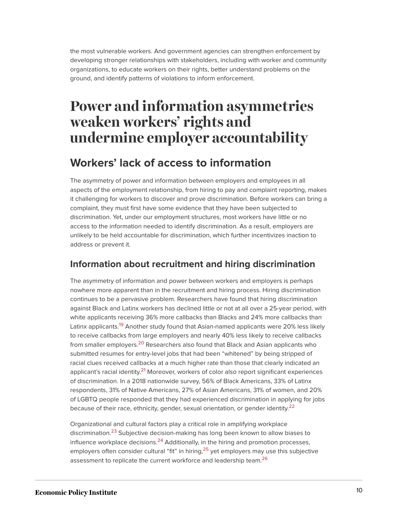the most vulnerable workers. And government agencies can strengthen enforcement by developing stronger relationships with stakeholders, including with worker and community organizations, to educate workers on their rights, better understand problems on the ground, and identify patterns of violations to inform enforcement.

# <span id="page-10-0"></span>**Power and information asymmetries weaken workers' rights and undermine employer accountability**

# **Workers' lack of access to information**

The asymmetry of power and information between employers and employees in all aspects of the employment relationship, from hiring to pay and complaint reporting, makes it challenging for workers to discover and prove discrimination. Before workers can bring a complaint, they must first have some evidence that they have been subjected to discrimination. Yet, under our employment structures, most workers have little or no access to the information needed to identify discrimination. As a result, employers are unlikely to be held accountable for discrimination, which further incentivizes inaction to address or prevent it.

# **Information about recruitment and hiring discrimination**

<span id="page-10-2"></span><span id="page-10-1"></span>The asymmetry of information and power between workers and employers is perhaps nowhere more apparent than in the recruitment and hiring process. Hiring discrimination continues to be a pervasive problem. Researchers have found that hiring discrimination against Black and Latinx workers has declined little or not at all over a 25-year period, with white applicants receiving 36% more callbacks than Blacks and 24% more callbacks than Latinx applicants.<sup>[19](#page-40-2)</sup> Another study found that Asian-named applicants were 20% less likely to receive callbacks from large employers and nearly 40% less likely to receive callbacks from smaller employers.<sup>[20](#page-40-3)</sup> Researchers also found that Black and Asian applicants who submitted resumes for entry-level jobs that had been "whitened" by being stripped of racial clues received callbacks at a much higher rate than those that clearly indicated an applicant's racial identity.<sup>[21](#page-40-4)</sup> Moreover, workers of color also report significant experiences of discrimination. In a 2018 nationwide survey, 56% of Black Americans, 33% of Latinx respondents, 31% of Native Americans, 27% of Asian Americans, 31% of women, and 20% of LGBTQ people responded that they had experienced discrimination in applying for jobs because of their race, ethnicity, gender, sexual orientation, or gender identity.<sup>[22](#page-40-5)</sup>

<span id="page-10-8"></span><span id="page-10-7"></span><span id="page-10-6"></span><span id="page-10-5"></span><span id="page-10-4"></span><span id="page-10-3"></span>Organizational and cultural factors play a critical role in amplifying workplace discrimination.<sup>[23](#page-40-6)</sup> Subjective decision-making has long been known to allow biases to influence workplace decisions. $^{24}$  $^{24}$  $^{24}$  Additionally, in the hiring and promotion processes, employers often consider cultural "fit" in hiring,  $2<sup>5</sup>$  yet employers may use this subjective assessment to replicate the current workforce and leadership team.<sup>[26](#page-40-9)</sup>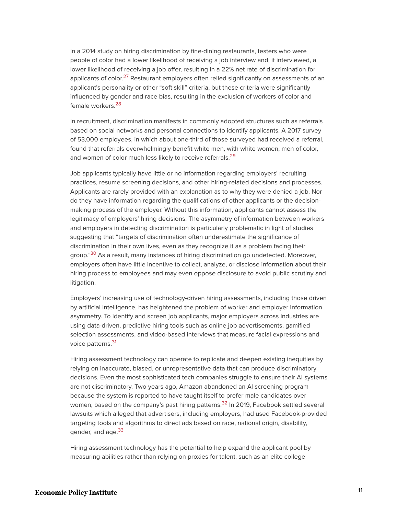<span id="page-11-0"></span>In a 2014 study on hiring discrimination by fine-dining restaurants, testers who were people of color had a lower likelihood of receiving a job interview and, if interviewed, a lower likelihood of receiving a job offer, resulting in a 22% net rate of discrimination for applicants of color.<sup>[27](#page-40-10)</sup> Restaurant employers often relied significantly on assessments of an applicant's personality or other "soft skill" criteria, but these criteria were significantly influenced by gender and race bias, resulting in the exclusion of workers of color and female workers.<sup>[28](#page-40-11)</sup>

<span id="page-11-1"></span>In recruitment, discrimination manifests in commonly adopted structures such as referrals based on social networks and personal connections to identify applicants. A 2017 survey of 53,000 employees, in which about one-third of those surveyed had received a referral, found that referrals overwhelmingly benefit white men, with white women, men of color, and women of color much less likely to receive referrals.<sup>[29](#page-40-12)</sup>

<span id="page-11-2"></span>Job applicants typically have little or no information regarding employers' recruiting practices, resume screening decisions, and other hiring-related decisions and processes. Applicants are rarely provided with an explanation as to why they were denied a job. Nor do they have information regarding the qualifications of other applicants or the decisionmaking process of the employer. Without this information, applicants cannot assess the legitimacy of employers' hiring decisions. The asymmetry of information between workers and employers in detecting discrimination is particularly problematic in light of studies suggesting that "targets of discrimination often underestimate the significance of discrimination in their own lives, even as they recognize it as a problem facing their group."<sup>[30](#page-40-13)</sup> As a result, many instances of hiring discrimination go undetected. Moreover, employers often have little incentive to collect, analyze, or disclose information about their hiring process to employees and may even oppose disclosure to avoid public scrutiny and litigation.

<span id="page-11-3"></span>Employers' increasing use of technology-driven hiring assessments, including those driven by artificial intelligence, has heightened the problem of worker and employer information asymmetry. To identify and screen job applicants, major employers across industries are using data-driven, predictive hiring tools such as online job advertisements, gamified selection assessments, and video-based interviews that measure facial expressions and voice patterns.<sup>[31](#page-40-14)</sup>

<span id="page-11-5"></span><span id="page-11-4"></span>Hiring assessment technology can operate to replicate and deepen existing inequities by relying on inaccurate, biased, or unrepresentative data that can produce discriminatory decisions. Even the most sophisticated tech companies struggle to ensure their AI systems are not discriminatory. Two years ago, Amazon abandoned an AI screening program because the system is reported to have taught itself to prefer male candidates over women, based on the company's past hiring patterns.<sup>[32](#page-40-15)</sup> In 2019, Facebook settled several lawsuits which alleged that advertisers, including employers, had used Facebook-provided targeting tools and algorithms to direct ads based on race, national origin, disability, gender, and age.<sup>[33](#page-41-0)</sup>

<span id="page-11-6"></span>Hiring assessment technology has the potential to help expand the applicant pool by measuring abilities rather than relying on proxies for talent, such as an elite college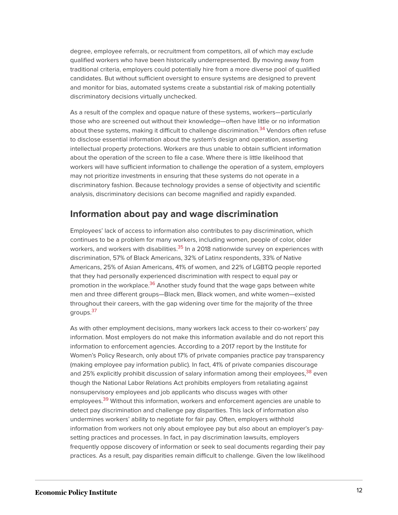degree, employee referrals, or recruitment from competitors, all of which may exclude qualified workers who have been historically underrepresented. By moving away from traditional criteria, employers could potentially hire from a more diverse pool of qualified candidates. But without sufficient oversight to ensure systems are designed to prevent and monitor for bias, automated systems create a substantial risk of making potentially discriminatory decisions virtually unchecked.

<span id="page-12-0"></span>As a result of the complex and opaque nature of these systems, workers—particularly those who are screened out without their knowledge—often have little or no information about these systems, making it difficult to challenge discrimination.<sup>[34](#page-41-1)</sup> Vendors often refuse to disclose essential information about the system's design and operation, asserting intellectual property protections. Workers are thus unable to obtain sufficient information about the operation of the screen to file a case. Where there is little likelihood that workers will have sufficient information to challenge the operation of a system, employers may not prioritize investments in ensuring that these systems do not operate in a discriminatory fashion. Because technology provides a sense of objectivity and scientific analysis, discriminatory decisions can become magnified and rapidly expanded.

### **Information about pay and wage discrimination**

<span id="page-12-1"></span>Employees' lack of access to information also contributes to pay discrimination, which continues to be a problem for many workers, including women, people of color, older workers, and workers with disabilities.<sup>[35](#page-41-2)</sup> In a 2018 nationwide survey on experiences with discrimination, 57% of Black Americans, 32% of Latinx respondents, 33% of Native Americans, 25% of Asian Americans, 41% of women, and 22% of LGBTQ people reported that they had personally experienced discrimination with respect to equal pay or promotion in the workplace.<sup>[36](#page-41-3)</sup> Another study found that the wage gaps between white men and three different groups—Black men, Black women, and white women—existed throughout their careers, with the gap widening over time for the majority of the three groups.<sup>[37](#page-41-4)</sup>

<span id="page-12-5"></span><span id="page-12-4"></span><span id="page-12-3"></span><span id="page-12-2"></span>As with other employment decisions, many workers lack access to their co-workers' pay information. Most employers do not make this information available and do not report this information to enforcement agencies. According to a 2017 report by the Institute for Women's Policy Research, only about 17% of private companies practice pay transparency (making employee pay information public). In fact, 41% of private companies discourage and 25% explicitly prohibit discussion of salary information among their employees,<sup>[38](#page-41-5)</sup> even though the National Labor Relations Act prohibits employers from retaliating against nonsupervisory employees and job applicants who discuss wages with other employees.<sup>[39](#page-41-6)</sup> Without this information, workers and enforcement agencies are unable to detect pay discrimination and challenge pay disparities. This lack of information also undermines workers' ability to negotiate for fair pay. Often, employers withhold information from workers not only about employee pay but also about an employer's paysetting practices and processes. In fact, in pay discrimination lawsuits, employers frequently oppose discovery of information or seek to seal documents regarding their pay practices. As a result, pay disparities remain difficult to challenge. Given the low likelihood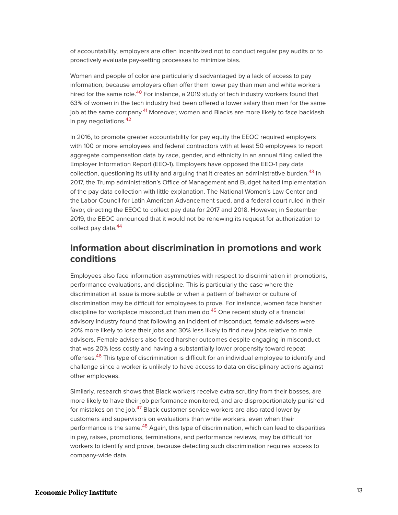of accountability, employers are often incentivized not to conduct regular pay audits or to proactively evaluate pay-setting processes to minimize bias.

<span id="page-13-0"></span>Women and people of color are particularly disadvantaged by a lack of access to pay information, because employers often offer them lower pay than men and white workers hired for the same role.<sup>[40](#page-41-7)</sup> For instance, a 2019 study of tech industry workers found that 63% of women in the tech industry had been offered a lower salary than men for the same job at the same company.<sup>[41](#page-41-8)</sup> Moreover, women and Blacks are more likely to face backlash in pay negotiations.<sup>[42](#page-41-9)</sup>

<span id="page-13-3"></span><span id="page-13-2"></span><span id="page-13-1"></span>In 2016, to promote greater accountability for pay equity the EEOC required employers with 100 or more employees and federal contractors with at least 50 employees to report aggregate compensation data by race, gender, and ethnicity in an annual filing called the Employer Information Report (EEO-1). Employers have opposed the EEO-1 pay data collection, questioning its utility and arguing that it creates an administrative burden.<sup>[43](#page-41-10)</sup> In 2017, the Trump administration's Office of Management and Budget halted implementation of the pay data collection with little explanation. The National Women's Law Center and the Labor Council for Latin American Advancement sued, and a federal court ruled in their favor, directing the EEOC to collect pay data for 2017 and 2018. However, in September 2019, the EEOC announced that it would not be renewing its request for authorization to collect pay data.<sup>[44](#page-41-11)</sup>

# <span id="page-13-4"></span>**Information about discrimination in promotions and work conditions**

<span id="page-13-5"></span>Employees also face information asymmetries with respect to discrimination in promotions, performance evaluations, and discipline. This is particularly the case where the discrimination at issue is more subtle or when a pattern of behavior or culture of discrimination may be difficult for employees to prove. For instance, women face harsher discipline for workplace misconduct than men do.<sup>[45](#page-41-12)</sup> One recent study of a financial advisory industry found that following an incident of misconduct, female advisers were 20% more likely to lose their jobs and 30% less likely to find new jobs relative to male advisers. Female advisers also faced harsher outcomes despite engaging in misconduct that was 20% less costly and having a substantially lower propensity toward repeat offenses.<sup>[46](#page-41-13)</sup> This type of discrimination is difficult for an individual employee to identify and challenge since a worker is unlikely to have access to data on disciplinary actions against other employees.

<span id="page-13-8"></span><span id="page-13-7"></span><span id="page-13-6"></span>Similarly, research shows that Black workers receive extra scrutiny from their bosses, are more likely to have their job performance monitored, and are disproportionately punished for mistakes on the job.<sup>[47](#page-41-14)</sup> Black customer service workers are also rated lower by customers and supervisors on evaluations than white workers, even when their performance is the same.<sup>[48](#page-42-0)</sup> Again, this type of discrimination, which can lead to disparities in pay, raises, promotions, terminations, and performance reviews, may be difficult for workers to identify and prove, because detecting such discrimination requires access to company-wide data.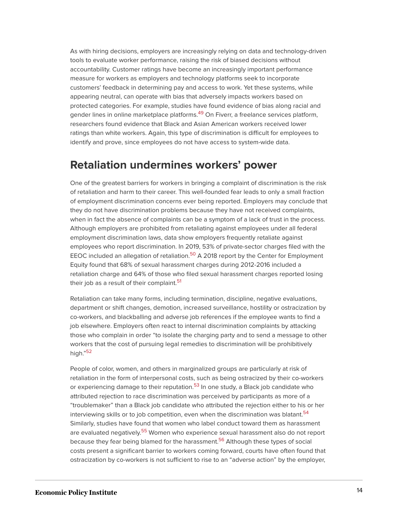As with hiring decisions, employers are increasingly relying on data and technology-driven tools to evaluate worker performance, raising the risk of biased decisions without accountability. Customer ratings have become an increasingly important performance measure for workers as employers and technology platforms seek to incorporate customers' feedback in determining pay and access to work. Yet these systems, while appearing neutral, can operate with bias that adversely impacts workers based on protected categories. For example, studies have found evidence of bias along racial and gender lines in online marketplace platforms.<sup>[49](#page-42-1)</sup> On Fiverr, a freelance services platform, researchers found evidence that Black and Asian American workers received lower ratings than white workers. Again, this type of discrimination is difficult for employees to identify and prove, since employees do not have access to system-wide data.

# <span id="page-14-0"></span>**Retaliation undermines workers' power**

One of the greatest barriers for workers in bringing a complaint of discrimination is the risk of retaliation and harm to their career. This well-founded fear leads to only a small fraction of employment discrimination concerns ever being reported. Employers may conclude that they do not have discrimination problems because they have not received complaints, when in fact the absence of complaints can be a symptom of a lack of trust in the process. Although employers are prohibited from retaliating against employees under all federal employment discrimination laws, data show employers frequently retaliate against employees who report discrimination. In 2019, 53% of private-sector charges filed with the EEOC included an allegation of retaliation.<sup>[50](#page-42-2)</sup> A 2018 report by the Center for Employment Equity found that 68% of sexual harassment charges during 2012-2016 included a retaliation charge and 64% of those who filed sexual harassment charges reported losing their job as a result of their complaint.<sup>[51](#page-42-3)</sup>

<span id="page-14-2"></span><span id="page-14-1"></span>Retaliation can take many forms, including termination, discipline, negative evaluations, department or shift changes, demotion, increased surveillance, hostility or ostracization by co-workers, and blackballing and adverse job references if the employee wants to find a job elsewhere. Employers often react to internal discrimination complaints by attacking those who complain in order "to isolate the charging party and to send a message to other workers that the cost of pursuing legal remedies to discrimination will be prohibitively high." [52](#page-42-4)

<span id="page-14-7"></span><span id="page-14-6"></span><span id="page-14-5"></span><span id="page-14-4"></span><span id="page-14-3"></span>People of color, women, and others in marginalized groups are particularly at risk of retaliation in the form of interpersonal costs, such as being ostracized by their co-workers or experiencing damage to their reputation.<sup>[53](#page-42-5)</sup> In one study, a Black job candidate who attributed rejection to race discrimination was perceived by participants as more of a "troublemaker" than a Black job candidate who attributed the rejection either to his or her interviewing skills or to job competition, even when the discrimination was blatant.<sup>[54](#page-42-6)</sup> Similarly, studies have found that women who label conduct toward them as harassment are evaluated negatively.<sup>[55](#page-42-7)</sup> Women who experience sexual harassment also do not report because they fear being blamed for the harassment.<sup>[56](#page-42-8)</sup> Although these types of social costs present a significant barrier to workers coming forward, courts have often found that ostracization by co-workers is not sufficient to rise to an "adverse action" by the employer,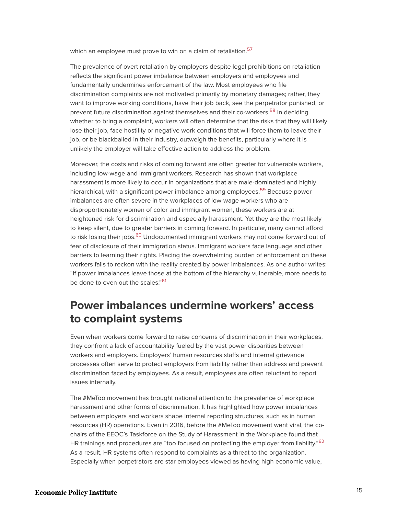<span id="page-15-0"></span>which an employee must prove to win on a claim of retaliation.<sup>[57](#page-42-9)</sup>

<span id="page-15-1"></span>The prevalence of overt retaliation by employers despite legal prohibitions on retaliation reflects the significant power imbalance between employers and employees and fundamentally undermines enforcement of the law. Most employees who file discrimination complaints are not motivated primarily by monetary damages; rather, they want to improve working conditions, have their job back, see the perpetrator punished, or prevent future discrimination against themselves and their co-workers.<sup>[58](#page-42-10)</sup> In deciding whether to bring a complaint, workers will often determine that the risks that they will likely lose their job, face hostility or negative work conditions that will force them to leave their job, or be blackballed in their industry, outweigh the benefits, particularly where it is unlikely the employer will take effective action to address the problem.

<span id="page-15-2"></span>Moreover, the costs and risks of coming forward are often greater for vulnerable workers, including low-wage and immigrant workers. Research has shown that workplace harassment is more likely to occur in organizations that are male-dominated and highly hierarchical, with a significant power imbalance among employees.<sup>[59](#page-42-11)</sup> Because power imbalances are often severe in the workplaces of low-wage workers who are disproportionately women of color and immigrant women, these workers are at heightened risk for discrimination and especially harassment. Yet they are the most likely to keep silent, due to greater barriers in coming forward. In particular, many cannot afford to risk losing their jobs.<sup>[60](#page-42-12)</sup> Undocumented immigrant workers may not come forward out of fear of disclosure of their immigration status. Immigrant workers face language and other barriers to learning their rights. Placing the overwhelming burden of enforcement on these workers fails to reckon with the reality created by power imbalances. As one author writes: "If power imbalances leave those at the bottom of the hierarchy vulnerable, more needs to be done to even out the scales."<sup>[61](#page-42-13)</sup>

# <span id="page-15-4"></span><span id="page-15-3"></span>**Power imbalances undermine workers' access to complaint systems**

Even when workers come forward to raise concerns of discrimination in their workplaces, they confront a lack of accountability fueled by the vast power disparities between workers and employers. Employers' human resources staffs and internal grievance processes often serve to protect employers from liability rather than address and prevent discrimination faced by employees. As a result, employees are often reluctant to report issues internally.

<span id="page-15-5"></span>The #MeToo movement has brought national attention to the prevalence of workplace harassment and other forms of discrimination. It has highlighted how power imbalances between employers and workers shape internal reporting structures, such as in human resources (HR) operations. Even in 2016, before the #MeToo movement went viral, the cochairs of the EEOC's Taskforce on the Study of Harassment in the Workplace found that HR trainings and procedures are "too focused on protecting the employer from liability."<sup>[62](#page-42-14)</sup> As a result, HR systems often respond to complaints as a threat to the organization. Especially when perpetrators are star employees viewed as having high economic value,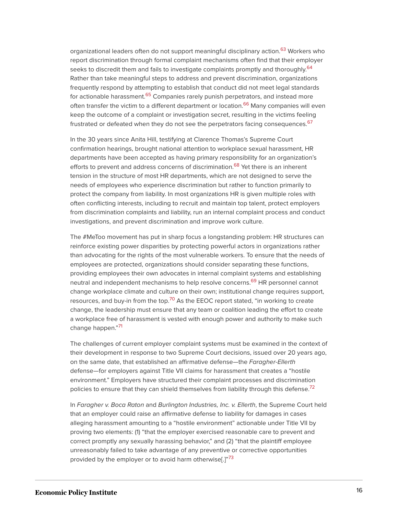<span id="page-16-1"></span><span id="page-16-0"></span>organizational leaders often do not support meaningful disciplinary action.<sup>[63](#page-42-15)</sup> Workers who report discrimination through formal complaint mechanisms often find that their employer seeks to discredit them and fails to investigate complaints promptly and thoroughly.<sup>[64](#page-43-0)</sup> Rather than take meaningful steps to address and prevent discrimination, organizations frequently respond by attempting to establish that conduct did not meet legal standards for actionable harassment.<sup>[65](#page-43-1)</sup> Companies rarely punish perpetrators, and instead more often transfer the victim to a different department or location.<sup>[66](#page-43-2)</sup> Many companies will even keep the outcome of a complaint or investigation secret, resulting in the victims feeling frustrated or defeated when they do not see the perpetrators facing consequences.<sup>[67](#page-43-3)</sup>

<span id="page-16-5"></span><span id="page-16-4"></span><span id="page-16-3"></span><span id="page-16-2"></span>In the 30 years since Anita Hill, testifying at Clarence Thomas's Supreme Court confirmation hearings, brought national attention to workplace sexual harassment, HR departments have been accepted as having primary responsibility for an organization's efforts to prevent and address concerns of discrimination.<sup>[68](#page-43-4)</sup> Yet there is an inherent tension in the structure of most HR departments, which are not designed to serve the needs of employees who experience discrimination but rather to function primarily to protect the company from liability. In most organizations HR is given multiple roles with often conflicting interests, including to recruit and maintain top talent, protect employers from discrimination complaints and liability, run an internal complaint process and conduct investigations, and prevent discrimination and improve work culture.

<span id="page-16-6"></span>The #MeToo movement has put in sharp focus a longstanding problem: HR structures can reinforce existing power disparities by protecting powerful actors in organizations rather than advocating for the rights of the most vulnerable workers. To ensure that the needs of employees are protected, organizations should consider separating these functions, providing employees their own advocates in internal complaint systems and establishing neutral and independent mechanisms to help resolve concerns.<sup>[69](#page-43-5)</sup> HR personnel cannot change workplace climate and culture on their own; institutional change requires support, resources, and buy-in from the top.<sup>[70](#page-43-6)</sup> As the EEOC report stated, "in working to create change, the leadership must ensure that any team or coalition leading the effort to create a workplace free of harassment is vested with enough power and authority to make such change happen."<sup>[71](#page-43-7)</sup>

<span id="page-16-8"></span><span id="page-16-7"></span>The challenges of current employer complaint systems must be examined in the context of their development in response to two Supreme Court decisions, issued over 20 years ago, on the same date, that established an affirmative defense—the Faragher-Ellerth defense—for employers against Title VII claims for harassment that creates a "hostile environment." Employers have structured their complaint processes and discrimination policies to ensure that they can shield themselves from liability through this defense.<sup>[72](#page-43-8)</sup>

<span id="page-16-10"></span><span id="page-16-9"></span>In Faragher v. Boca Raton and Burlington Industries, Inc. v. Ellerth, the Supreme Court held that an employer could raise an affirmative defense to liability for damages in cases alleging harassment amounting to a "hostile environment" actionable under Title VII by proving two elements: (1) "that the employer exercised reasonable care to prevent and correct promptly any sexually harassing behavior," and (2) "that the plaintiff employee unreasonably failed to take advantage of any preventive or corrective opportunities provided by the employer or to avoid harm otherwise[.]"<sup>[73](#page-43-9)</sup>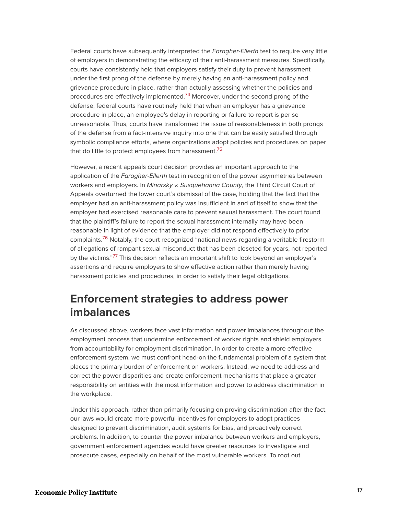<span id="page-17-0"></span>Federal courts have subsequently interpreted the Faragher-Ellerth test to require very little of employers in demonstrating the efficacy of their anti-harassment measures. Specifically, courts have consistently held that employers satisfy their duty to prevent harassment under the first prong of the defense by merely having an anti-harassment policy and grievance procedure in place, rather than actually assessing whether the policies and procedures are effectively implemented.<sup>[74](#page-43-10)</sup> Moreover, under the second prong of the defense, federal courts have routinely held that when an employer has a grievance procedure in place, an employee's delay in reporting or failure to report is per se unreasonable. Thus, courts have transformed the issue of reasonableness in both prongs of the defense from a fact-intensive inquiry into one that can be easily satisfied through symbolic compliance efforts, where organizations adopt policies and procedures on paper that do little to protect employees from harassment.<sup>[75](#page-43-11)</sup>

<span id="page-17-1"></span>However, a recent appeals court decision provides an important approach to the application of the Faragher-Ellerth test in recognition of the power asymmetries between workers and employers. In Minarsky v. Susquehanna County, the Third Circuit Court of Appeals overturned the lower court's dismissal of the case, holding that the fact that the employer had an anti-harassment policy was insufficient in and of itself to show that the employer had exercised reasonable care to prevent sexual harassment. The court found that the plaintiff's failure to report the sexual harassment internally may have been reasonable in light of evidence that the employer did not respond effectively to prior complaints.<sup>[76](#page-43-12)</sup> Notably, the court recognized "national news regarding a veritable firestorm of allegations of rampant sexual misconduct that has been closeted for years, not reported by the victims."<sup>[77](#page-43-13)</sup> This decision reflects an important shift to look beyond an employer's assertions and require employers to show effective action rather than merely having harassment policies and procedures, in order to satisfy their legal obligations.

# <span id="page-17-3"></span><span id="page-17-2"></span>**Enforcement strategies to address power imbalances**

As discussed above, workers face vast information and power imbalances throughout the employment process that undermine enforcement of worker rights and shield employers from accountability for employment discrimination. In order to create a more effective enforcement system, we must confront head-on the fundamental problem of a system that places the primary burden of enforcement on workers. Instead, we need to address and correct the power disparities and create enforcement mechanisms that place a greater responsibility on entities with the most information and power to address discrimination in the workplace.

Under this approach, rather than primarily focusing on proving discrimination after the fact, our laws would create more powerful incentives for employers to adopt practices designed to prevent discrimination, audit systems for bias, and proactively correct problems. In addition, to counter the power imbalance between workers and employers, government enforcement agencies would have greater resources to investigate and prosecute cases, especially on behalf of the most vulnerable workers. To root out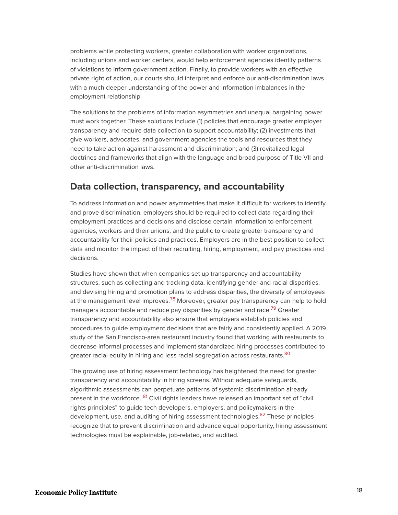problems while protecting workers, greater collaboration with worker organizations, including unions and worker centers, would help enforcement agencies identify patterns of violations to inform government action. Finally, to provide workers with an effective private right of action, our courts should interpret and enforce our anti-discrimination laws with a much deeper understanding of the power and information imbalances in the employment relationship.

The solutions to the problems of information asymmetries and unequal bargaining power must work together. These solutions include (1) policies that encourage greater employer transparency and require data collection to support accountability; (2) investments that give workers, advocates, and government agencies the tools and resources that they need to take action against harassment and discrimination; and (3) revitalized legal doctrines and frameworks that align with the language and broad purpose of Title VII and other anti-discrimination laws.

# **Data collection, transparency, and accountability**

To address information and power asymmetries that make it difficult for workers to identify and prove discrimination, employers should be required to collect data regarding their employment practices and decisions and disclose certain information to enforcement agencies, workers and their unions, and the public to create greater transparency and accountability for their policies and practices. Employers are in the best position to collect data and monitor the impact of their recruiting, hiring, employment, and pay practices and decisions.

<span id="page-18-1"></span><span id="page-18-0"></span>Studies have shown that when companies set up transparency and accountability structures, such as collecting and tracking data, identifying gender and racial disparities, and devising hiring and promotion plans to address disparities, the diversity of employees at the management level improves.<sup>[78](#page-43-14)</sup> Moreover, greater pay transparency can help to hold managers accountable and reduce pay disparities by gender and race.<sup>[79](#page-43-15)</sup> Greater transparency and accountability also ensure that employers establish policies and procedures to guide employment decisions that are fairly and consistently applied. A 2019 study of the San Francisco-area restaurant industry found that working with restaurants to decrease informal processes and implement standardized hiring processes contributed to greater racial equity in hiring and less racial segregation across restaurants.<sup>[80](#page-43-16)</sup>

<span id="page-18-4"></span><span id="page-18-3"></span><span id="page-18-2"></span>The growing use of hiring assessment technology has heightened the need for greater transparency and accountability in hiring screens. Without adequate safeguards, algorithmic assessments can perpetuate patterns of systemic discrimination already present in the workforce. <sup>[81](#page-43-17)</sup> Civil rights leaders have released an important set of "civil rights principles" to guide tech developers, employers, and policymakers in the development, use, and auditing of hiring assessment technologies.<sup>[82](#page-43-18)</sup> These principles recognize that to prevent discrimination and advance equal opportunity, hiring assessment technologies must be explainable, job-related, and audited.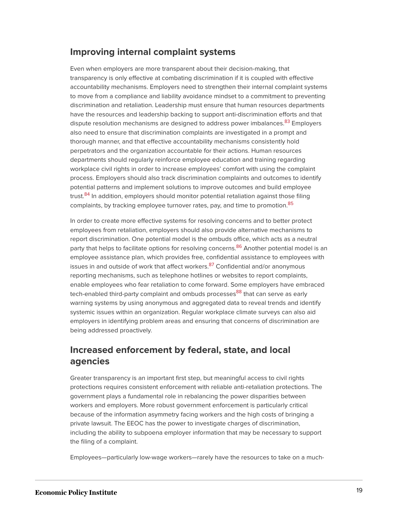# **Improving internal complaint systems**

Even when employers are more transparent about their decision-making, that transparency is only effective at combating discrimination if it is coupled with effective accountability mechanisms. Employers need to strengthen their internal complaint systems to move from a compliance and liability avoidance mindset to a commitment to preventing discrimination and retaliation. Leadership must ensure that human resources departments have the resources and leadership backing to support anti-discrimination efforts and that dispute resolution mechanisms are designed to address power imbalances.<sup>83</sup> Employers also need to ensure that discrimination complaints are investigated in a prompt and thorough manner, and that effective accountability mechanisms consistently hold perpetrators and the organization accountable for their actions. Human resources departments should regularly reinforce employee education and training regarding workplace civil rights in order to increase employees' comfort with using the complaint process. Employers should also track discrimination complaints and outcomes to identify potential patterns and implement solutions to improve outcomes and build employee trust.<sup>[84](#page-44-0)</sup> In addition, employers should monitor potential retaliation against those filing complaints, by tracking employee turnover rates, pay, and time to promotion.<sup>[85](#page-44-1)</sup>

<span id="page-19-3"></span><span id="page-19-2"></span><span id="page-19-1"></span><span id="page-19-0"></span>In order to create more effective systems for resolving concerns and to better protect employees from retaliation, employers should also provide alternative mechanisms to report discrimination. One potential model is the ombuds office, which acts as a neutral party that helps to facilitate options for resolving concerns.<sup>[86](#page-44-2)</sup> Another potential model is an employee assistance plan, which provides free, confidential assistance to employees with issues in and outside of work that affect workers.<sup>[87](#page-44-3)</sup> Confidential and/or anonymous reporting mechanisms, such as telephone hotlines or websites to report complaints, enable employees who fear retaliation to come forward. Some employers have embraced tech-enabled third-party complaint and ombuds processes<sup>[88](#page-44-4)</sup> that can serve as early warning systems by using anonymous and aggregated data to reveal trends and identify systemic issues within an organization. Regular workplace climate surveys can also aid employers in identifying problem areas and ensuring that concerns of discrimination are being addressed proactively.

# <span id="page-19-4"></span>**Increased enforcement by federal, state, and local agencies**

Greater transparency is an important first step, but meaningful access to civil rights protections requires consistent enforcement with reliable anti-retaliation protections. The government plays a fundamental role in rebalancing the power disparities between workers and employers. More robust government enforcement is particularly critical because of the information asymmetry facing workers and the high costs of bringing a private lawsuit. The EEOC has the power to investigate charges of discrimination, including the ability to subpoena employer information that may be necessary to support the filing of a complaint.

Employees—particularly low-wage workers—rarely have the resources to take on a much-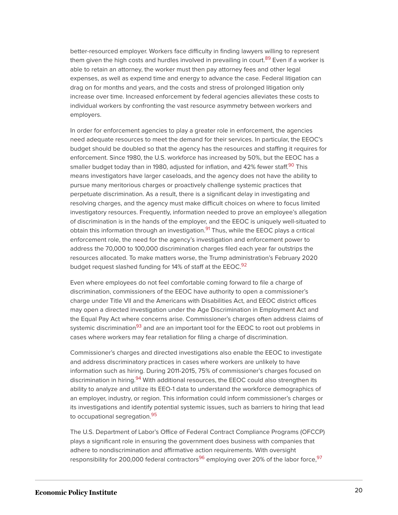<span id="page-20-0"></span>better-resourced employer. Workers face difficulty in finding lawyers willing to represent them given the high costs and hurdles involved in prevailing in court.<sup>[89](#page-44-5)</sup> Even if a worker is able to retain an attorney, the worker must then pay attorney fees and other legal expenses, as well as expend time and energy to advance the case. Federal litigation can drag on for months and years, and the costs and stress of prolonged litigation only increase over time. Increased enforcement by federal agencies alleviates these costs to individual workers by confronting the vast resource asymmetry between workers and employers.

<span id="page-20-1"></span>In order for enforcement agencies to play a greater role in enforcement, the agencies need adequate resources to meet the demand for their services. In particular, the EEOC's budget should be doubled so that the agency has the resources and staffing it requires for enforcement. Since 1980, the U.S. workforce has increased by 50%, but the EEOC has a smaller budget today than in 1980, adjusted for inflation, and 42% fewer staff.<sup>[90](#page-44-6)</sup> This means investigators have larger caseloads, and the agency does not have the ability to pursue many meritorious charges or proactively challenge systemic practices that perpetuate discrimination. As a result, there is a significant delay in investigating and resolving charges, and the agency must make difficult choices on where to focus limited investigatory resources. Frequently, information needed to prove an employee's allegation of discrimination is in the hands of the employer, and the EEOC is uniquely well-situated to obtain this information through an investigation.<sup>[91](#page-44-7)</sup> Thus, while the EEOC plays a critical enforcement role, the need for the agency's investigation and enforcement power to address the 70,000 to 100,000 discrimination charges filed each year far outstrips the resources allocated. To make matters worse, the Trump administration's February 2020 budget request slashed funding for 14% of staff at the EEOC.<sup>[92](#page-44-8)</sup>

<span id="page-20-3"></span><span id="page-20-2"></span>Even where employees do not feel comfortable coming forward to file a charge of discrimination, commissioners of the EEOC have authority to open a commissioner's charge under Title VII and the Americans with Disabilities Act, and EEOC district offices may open a directed investigation under the Age Discrimination in Employment Act and the Equal Pay Act where concerns arise. Commissioner's charges often address claims of systemic discrimination<sup>[93](#page-44-9)</sup> and are an important tool for the EEOC to root out problems in cases where workers may fear retaliation for filing a charge of discrimination.

<span id="page-20-5"></span><span id="page-20-4"></span>Commissioner's charges and directed investigations also enable the EEOC to investigate and address discriminatory practices in cases where workers are unlikely to have information such as hiring. During 2011-2015, 75% of commissioner's charges focused on discrimination in hiring.<sup>[94](#page-44-10)</sup> With additional resources, the EEOC could also strengthen its ability to analyze and utilize its EEO-1 data to understand the workforce demographics of an employer, industry, or region. This information could inform commissioner's charges or its investigations and identify potential systemic issues, such as barriers to hiring that lead to occupational segregation.<sup>[95](#page-44-11)</sup>

<span id="page-20-7"></span><span id="page-20-6"></span>The U.S. Department of Labor's Office of Federal Contract Compliance Programs (OFCCP) plays a significant role in ensuring the government does business with companies that adhere to nondiscrimination and affirmative action requirements. With oversight responsibility for 200,000 federal contractors<sup>[96](#page-44-12)</sup> employing over 20% of the labor force,<sup>[97](#page-44-13)</sup>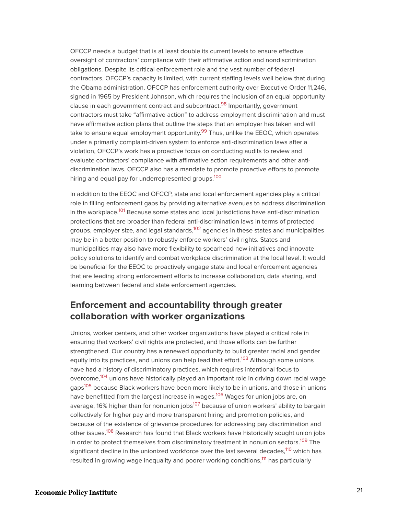<span id="page-21-0"></span>OFCCP needs a budget that is at least double its current levels to ensure effective oversight of contractors' compliance with their affirmative action and nondiscrimination obligations. Despite its critical enforcement role and the vast number of federal contractors, OFCCP's capacity is limited, with current staffing levels well below that during the Obama administration. OFCCP has enforcement authority over Executive Order 11,246, signed in 1965 by President Johnson, which requires the inclusion of an equal opportunity clause in each government contract and subcontract.<sup>[98](#page-44-14)</sup> Importantly, government contractors must take "affirmative action" to address employment discrimination and must have affirmative action plans that outline the steps that an employer has taken and will take to ensure equal employment opportunity.<sup>[99](#page-44-15)</sup> Thus, unlike the EEOC, which operates under a primarily complaint-driven system to enforce anti-discrimination laws after a violation, OFCCP's work has a proactive focus on conducting audits to review and evaluate contractors' compliance with affirmative action requirements and other antidiscrimination laws. OFCCP also has a mandate to promote proactive efforts to promote hiring and equal pay for underrepresented groups.<sup>[100](#page-45-0)</sup>

<span id="page-21-4"></span><span id="page-21-3"></span><span id="page-21-2"></span><span id="page-21-1"></span>In addition to the EEOC and OFCCP, state and local enforcement agencies play a critical role in filling enforcement gaps by providing alternative avenues to address discrimination in the workplace.<sup>[101](#page-45-1)</sup> Because some states and local jurisdictions have anti-discrimination protections that are broader than federal anti-discrimination laws in terms of protected groups, employer size, and legal standards, $102$  agencies in these states and municipalities may be in a better position to robustly enforce workers' civil rights. States and municipalities may also have more flexibility to spearhead new initiatives and innovate policy solutions to identify and combat workplace discrimination at the local level. It would be beneficial for the EEOC to proactively engage state and local enforcement agencies that are leading strong enforcement efforts to increase collaboration, data sharing, and learning between federal and state enforcement agencies.

# **Enforcement and accountability through greater collaboration with worker organizations**

<span id="page-21-13"></span><span id="page-21-12"></span><span id="page-21-11"></span><span id="page-21-10"></span><span id="page-21-9"></span><span id="page-21-8"></span><span id="page-21-7"></span><span id="page-21-6"></span><span id="page-21-5"></span>Unions, worker centers, and other worker organizations have played a critical role in ensuring that workers' civil rights are protected, and those efforts can be further strengthened. Our country has a renewed opportunity to build greater racial and gender equity into its practices, and unions can help lead that effort.<sup>[103](#page-45-3)</sup> Although some unions have had a history of discriminatory practices, which requires intentional focus to overcome,<sup>[104](#page-45-4)</sup> unions have historically played an important role in driving down racial wage gaps<sup>[105](#page-45-5)</sup> because Black workers have been more likely to be in unions, and those in unions have benefitted from the largest increase in wages.<sup>[106](#page-45-6)</sup> Wages for union jobs are, on average, 16% higher than for nonunion jobs<sup>[107](#page-45-7)</sup> because of union workers' ability to bargain collectively for higher pay and more transparent hiring and promotion policies, and because of the existence of grievance procedures for addressing pay discrimination and other issues.<sup>[108](#page-45-8)</sup> Research has found that Black workers have historically sought union jobs in order to protect themselves from discriminatory treatment in nonunion sectors.<sup>[109](#page-45-9)</sup> The significant decline in the unionized workforce over the last several decades,<sup>[110](#page-45-10)</sup> which has resulted in growing wage inequality and poorer working conditions,<sup>[111](#page-45-11)</sup> has particularly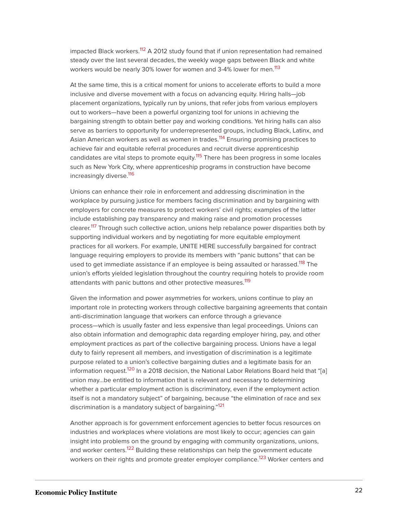<span id="page-22-0"></span>impacted Black workers.<sup>[112](#page-46-0)</sup> A 2012 study found that if union representation had remained steady over the last several decades, the weekly wage gaps between Black and white workers would be nearly 30% lower for women and 3-4% lower for men.<sup>[113](#page-46-1)</sup>

<span id="page-22-2"></span><span id="page-22-1"></span>At the same time, this is a critical moment for unions to accelerate efforts to build a more inclusive and diverse movement with a focus on advancing equity. Hiring halls—job placement organizations, typically run by unions, that refer jobs from various employers out to workers—have been a powerful organizing tool for unions in achieving the bargaining strength to obtain better pay and working conditions. Yet hiring halls can also serve as barriers to opportunity for underrepresented groups, including Black, Latinx, and Asian American workers as well as women in trades.<sup>[114](#page-46-2)</sup> Ensuring promising practices to achieve fair and equitable referral procedures and recruit diverse apprenticeship candidates are vital steps to promote equity.<sup>[115](#page-46-3)</sup> There has been progress in some locales such as New York City, where apprenticeship programs in construction have become increasingly diverse. [116](#page-46-4)

<span id="page-22-5"></span><span id="page-22-4"></span><span id="page-22-3"></span>Unions can enhance their role in enforcement and addressing discrimination in the workplace by pursuing justice for members facing discrimination and by bargaining with employers for concrete measures to protect workers' civil rights; examples of the latter include establishing pay transparency and making raise and promotion processes clearer.<sup>[117](#page-46-5)</sup> Through such collective action, unions help rebalance power disparities both by supporting individual workers and by negotiating for more equitable employment practices for all workers. For example, UNITE HERE successfully bargained for contract language requiring employers to provide its members with "panic buttons" that can be used to get immediate assistance if an employee is being assaulted or harassed.<sup>[118](#page-46-6)</sup> The union's efforts yielded legislation throughout the country requiring hotels to provide room attendants with panic buttons and other protective measures.<sup>[119](#page-46-7)</sup>

<span id="page-22-7"></span><span id="page-22-6"></span>Given the information and power asymmetries for workers, unions continue to play an important role in protecting workers through collective bargaining agreements that contain anti-discrimination language that workers can enforce through a grievance process—which is usually faster and less expensive than legal proceedings. Unions can also obtain information and demographic data regarding employer hiring, pay, and other employment practices as part of the collective bargaining process. Unions have a legal duty to fairly represent all members, and investigation of discrimination is a legitimate purpose related to a union's collective bargaining duties and a legitimate basis for an information request.<sup>[120](#page-46-8)</sup> In a 2018 decision, the National Labor Relations Board held that "[a] union may…be entitled to information that is relevant and necessary to determining whether a particular employment action is discriminatory, even if the employment action itself is not a mandatory subject" of bargaining, because "the elimination of race and sex discrimination is a mandatory subject of bargaining."<sup>[121](#page-46-9)</sup>

<span id="page-22-11"></span><span id="page-22-10"></span><span id="page-22-9"></span><span id="page-22-8"></span>Another approach is for government enforcement agencies to better focus resources on industries and workplaces where violations are most likely to occur; agencies can gain insight into problems on the ground by engaging with community organizations, unions, and worker centers.<sup>[122](#page-46-10)</sup> Building these relationships can help the government educate workers on their rights and promote greater employer compliance.<sup>[123](#page-46-11)</sup> Worker centers and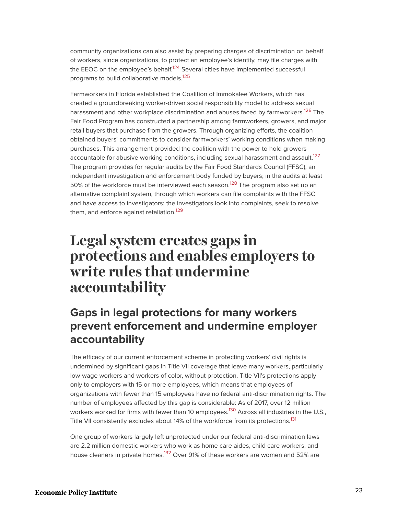<span id="page-23-1"></span>community organizations can also assist by preparing charges of discrimination on behalf of workers, since organizations, to protect an employee's identity, may file charges with the EEOC on the employee's behalf.<sup>[124](#page-46-12)</sup> Several cities have implemented successful programs to build collaborative models.<sup>[125](#page-47-0)</sup>

<span id="page-23-4"></span><span id="page-23-3"></span><span id="page-23-2"></span>Farmworkers in Florida established the Coalition of Immokalee Workers, which has created a groundbreaking worker-driven social responsibility model to address sexual harassment and other workplace discrimination and abuses faced by farmworkers.<sup>[126](#page-47-1)</sup> The Fair Food Program has constructed a partnership among farmworkers, growers, and major retail buyers that purchase from the growers. Through organizing efforts, the coalition obtained buyers' commitments to consider farmworkers' working conditions when making purchases. This arrangement provided the coalition with the power to hold growers accountable for abusive working conditions, including sexual harassment and assault.<sup>[127](#page-47-2)</sup> The program provides for regular audits by the Fair Food Standards Council (FFSC), an independent investigation and enforcement body funded by buyers; in the audits at least 50% of the workforce must be interviewed each season.<sup>[128](#page-47-3)</sup> The program also set up an alternative complaint system, through which workers can file complaints with the FFSC and have access to investigators; the investigators look into complaints, seek to resolve them, and enforce against retaliation.<sup>[129](#page-47-4)</sup>

# <span id="page-23-6"></span><span id="page-23-5"></span><span id="page-23-0"></span>**Legal system creates gaps in protections and enables employers to write rules that undermine accountability**

# **Gaps in legal protections for many workers prevent enforcement and undermine employer accountability**

The efficacy of our current enforcement scheme in protecting workers' civil rights is undermined by significant gaps in Title VII coverage that leave many workers, particularly low-wage workers and workers of color, without protection. Title VII's protections apply only to employers with 15 or more employees, which means that employees of organizations with fewer than 15 employees have no federal anti-discrimination rights. The number of employees affected by this gap is considerable: As of 2017, over 12 million workers worked for firms with fewer than 10 employees.<sup>[130](#page-47-5)</sup> Across all industries in the U.S., Title VII consistently excludes about 14% of the workforce from its protections.<sup>[131](#page-47-6)</sup>

<span id="page-23-9"></span><span id="page-23-8"></span><span id="page-23-7"></span>One group of workers largely left unprotected under our federal anti-discrimination laws are 2.2 million domestic workers who work as home care aides, child care workers, and house cleaners in private homes.<sup>[132](#page-47-7)</sup> Over 91% of these workers are women and 52% are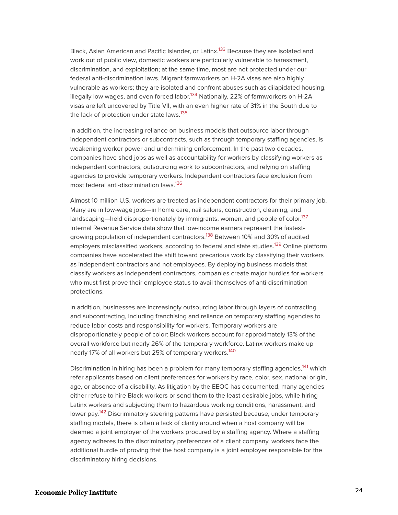<span id="page-24-0"></span>Black, Asian American and Pacific Islander, or Latinx.<sup>[133](#page-47-8)</sup> Because they are isolated and work out of public view, domestic workers are particularly vulnerable to harassment, discrimination, and exploitation; at the same time, most are not protected under our federal anti-discrimination laws. Migrant farmworkers on H-2A visas are also highly vulnerable as workers; they are isolated and confront abuses such as dilapidated housing, illegally low wages, and even forced labor.<sup>[134](#page-47-9)</sup> Nationally, 22% of farmworkers on H-2A visas are left uncovered by Title VII, with an even higher rate of 31% in the South due to the lack of protection under state laws.<sup>[135](#page-47-10)</sup>

<span id="page-24-2"></span><span id="page-24-1"></span>In addition, the increasing reliance on business models that outsource labor through independent contractors or subcontracts, such as through temporary staffing agencies, is weakening worker power and undermining enforcement. In the past two decades, companies have shed jobs as well as accountability for workers by classifying workers as independent contractors, outsourcing work to subcontractors, and relying on staffing agencies to provide temporary workers. Independent contractors face exclusion from most federal anti-discrimination laws.[136](#page-47-11)

<span id="page-24-6"></span><span id="page-24-5"></span><span id="page-24-4"></span><span id="page-24-3"></span>Almost 10 million U.S. workers are treated as independent contractors for their primary job. Many are in low-wage jobs—in home care, nail salons, construction, cleaning, and landscaping—held disproportionately by immigrants, women, and people of color.<sup>[137](#page-47-12)</sup> Internal Revenue Service data show that low-income earners represent the fastest-growing population of independent contractors.<sup>[138](#page-47-13)</sup> Between 10% and 30% of audited employers misclassified workers, according to federal and state studies.<sup>[139](#page-47-14)</sup> Online platform companies have accelerated the shift toward precarious work by classifying their workers as independent contractors and not employees. By deploying business models that classify workers as independent contractors, companies create major hurdles for workers who must first prove their employee status to avail themselves of anti-discrimination protections.

In addition, businesses are increasingly outsourcing labor through layers of contracting and subcontracting, including franchising and reliance on temporary staffing agencies to reduce labor costs and responsibility for workers. Temporary workers are disproportionately people of color: Black workers account for approximately 13% of the overall workforce but nearly 26% of the temporary workforce. Latinx workers make up nearly 17% of all workers but 25% of temporary workers.<sup>[140](#page-47-15)</sup>

<span id="page-24-9"></span><span id="page-24-8"></span><span id="page-24-7"></span>Discrimination in hiring has been a problem for many temporary staffing agencies,<sup>[141](#page-47-16)</sup> which refer applicants based on client preferences for workers by race, color, sex, national origin, age, or absence of a disability. As litigation by the EEOC has documented, many agencies either refuse to hire Black workers or send them to the least desirable jobs, while hiring Latinx workers and subjecting them to hazardous working conditions, harassment, and lower pay.<sup>[142](#page-47-17)</sup> Discriminatory steering patterns have persisted because, under temporary staffing models, there is often a lack of clarity around when a host company will be deemed a joint employer of the workers procured by a staffing agency. Where a staffing agency adheres to the discriminatory preferences of a client company, workers face the additional hurdle of proving that the host company is a joint employer responsible for the discriminatory hiring decisions.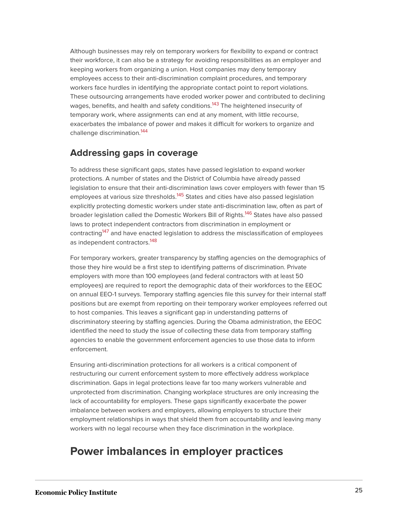Although businesses may rely on temporary workers for flexibility to expand or contract their workforce, it can also be a strategy for avoiding responsibilities as an employer and keeping workers from organizing a union. Host companies may deny temporary employees access to their anti-discrimination complaint procedures, and temporary workers face hurdles in identifying the appropriate contact point to report violations. These outsourcing arrangements have eroded worker power and contributed to declining wages, benefits, and health and safety conditions.<sup>[143](#page-48-0)</sup> The heightened insecurity of temporary work, where assignments can end at any moment, with little recourse, exacerbates the imbalance of power and makes it difficult for workers to organize and challenge discrimination.<sup>[144](#page-48-1)</sup>

#### <span id="page-25-1"></span><span id="page-25-0"></span>**Addressing gaps in coverage**

<span id="page-25-3"></span><span id="page-25-2"></span>To address these significant gaps, states have passed legislation to expand worker protections. A number of states and the District of Columbia have already passed legislation to ensure that their anti-discrimination laws cover employers with fewer than 15 employees at various size thresholds.<sup>[145](#page-48-2)</sup> States and cities have also passed legislation explicitly protecting domestic workers under state anti-discrimination law, often as part of broader legislation called the Domestic Workers Bill of Rights.<sup>[146](#page-48-3)</sup> States have also passed laws to protect independent contractors from discrimination in employment or contracting<sup>[147](#page-48-4)</sup> and have enacted legislation to address the misclassification of employees as independent contractors.<sup>[148](#page-48-5)</sup>

<span id="page-25-5"></span><span id="page-25-4"></span>For temporary workers, greater transparency by staffing agencies on the demographics of those they hire would be a first step to identifying patterns of discrimination. Private employers with more than 100 employees (and federal contractors with at least 50 employees) are required to report the demographic data of their workforces to the EEOC on annual EEO-1 surveys. Temporary staffing agencies file this survey for their internal staff positions but are exempt from reporting on their temporary worker employees referred out to host companies. This leaves a significant gap in understanding patterns of discriminatory steering by staffing agencies. During the Obama administration, the EEOC identified the need to study the issue of collecting these data from temporary staffing agencies to enable the government enforcement agencies to use those data to inform enforcement.

Ensuring anti-discrimination protections for all workers is a critical component of restructuring our current enforcement system to more effectively address workplace discrimination. Gaps in legal protections leave far too many workers vulnerable and unprotected from discrimination. Changing workplace structures are only increasing the lack of accountability for employers. These gaps significantly exacerbate the power imbalance between workers and employers, allowing employers to structure their employment relationships in ways that shield them from accountability and leaving many workers with no legal recourse when they face discrimination in the workplace.

# **Power imbalances in employer practices**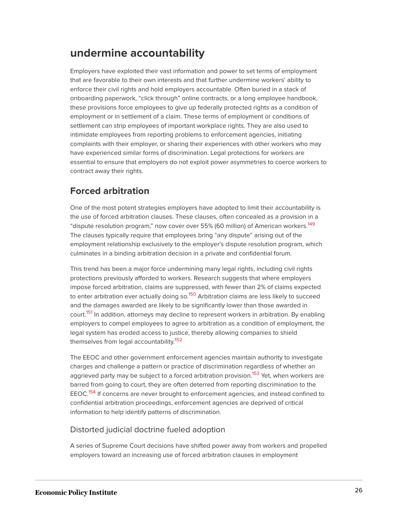# **undermine accountability**

Employers have exploited their vast information and power to set terms of employment that are favorable to their own interests and that further undermine workers' ability to enforce their civil rights and hold employers accountable. Often buried in a stack of onboarding paperwork, "click through" online contracts, or a long employee handbook, these provisions force employees to give up federally protected rights as a condition of employment or in settlement of a claim. These terms of employment or conditions of settlement can strip employees of important workplace rights. They are also used to intimidate employees from reporting problems to enforcement agencies, initiating complaints with their employer, or sharing their experiences with other workers who may have experienced similar forms of discrimination. Legal protections for workers are essential to ensure that employers do not exploit power asymmetries to coerce workers to contract away their rights.

# **Forced arbitration**

<span id="page-26-0"></span>One of the most potent strategies employers have adopted to limit their accountability is the use of forced arbitration clauses. These clauses, often concealed as a provision in a "dispute resolution program," now cover over 55% (60 million) of American workers.<sup>[149](#page-48-6)</sup> The clauses typically require that employees bring "any dispute" arising out of the employment relationship exclusively to the employer's dispute resolution program, which culminates in a binding arbitration decision in a private and confidential forum.

<span id="page-26-1"></span>This trend has been a major force undermining many legal rights, including civil rights protections previously afforded to workers. Research suggests that where employers impose forced arbitration, claims are suppressed, with fewer than 2% of claims expected to enter arbitration ever actually doing so.<sup>[150](#page-48-7)</sup> Arbitration claims are less likely to succeed and the damages awarded are likely to be significantly lower than those awarded in court.<sup>[151](#page-48-8)</sup> In addition, attorneys may decline to represent workers in arbitration. By enabling employers to compel employees to agree to arbitration as a condition of employment, the legal system has eroded access to justice, thereby allowing companies to shield themselves from legal accountability.<sup>[152](#page-48-9)</sup>

<span id="page-26-4"></span><span id="page-26-3"></span><span id="page-26-2"></span>The EEOC and other government enforcement agencies maintain authority to investigate charges and challenge a pattern or practice of discrimination regardless of whether an aggrieved party may be subject to a forced arbitration provision.<sup>[153](#page-48-10)</sup> Yet, when workers are barred from going to court, they are often deterred from reporting discrimination to the EEOC.<sup>[154](#page-48-11)</sup> If concerns are never brought to enforcement agencies, and instead confined to confidential arbitration proceedings, enforcement agencies are deprived of critical information to help identify patterns of discrimination.

#### <span id="page-26-5"></span>Distorted judicial doctrine fueled adoption

A series of Supreme Court decisions have shifted power away from workers and propelled employers toward an increasing use of forced arbitration clauses in employment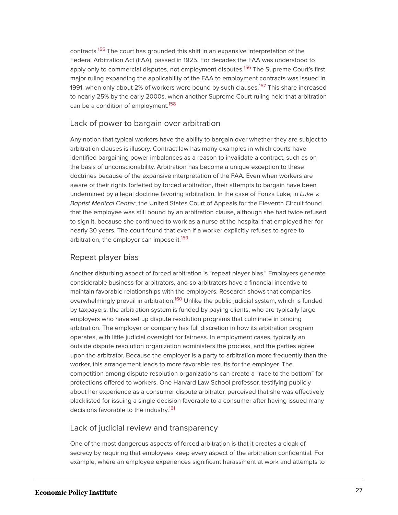<span id="page-27-1"></span><span id="page-27-0"></span>contracts.<sup>[155](#page-49-0)</sup> The court has grounded this shift in an expansive interpretation of the Federal Arbitration Act (FAA), passed in 1925. For decades the FAA was understood to apply only to commercial disputes, not employment disputes.<sup>[156](#page-49-1)</sup> The Supreme Court's first major ruling expanding the applicability of the FAA to employment contracts was issued in 1991, when only about 2% of workers were bound by such clauses.<sup>[157](#page-49-2)</sup> This share increased to nearly 25% by the early 2000s, when another Supreme Court ruling held that arbitration can be a condition of employment.<sup>[158](#page-49-3)</sup>

#### <span id="page-27-3"></span><span id="page-27-2"></span>Lack of power to bargain over arbitration

Any notion that typical workers have the ability to bargain over whether they are subject to arbitration clauses is illusory. Contract law has many examples in which courts have identified bargaining power imbalances as a reason to invalidate a contract, such as on the basis of unconscionability. Arbitration has become a unique exception to these doctrines because of the expansive interpretation of the FAA. Even when workers are aware of their rights forfeited by forced arbitration, their attempts to bargain have been undermined by a legal doctrine favoring arbitration. In the case of Fonza Luke, in Luke v. Baptist Medical Center, the United States Court of Appeals for the Eleventh Circuit found that the employee was still bound by an arbitration clause, although she had twice refused to sign it, because she continued to work as a nurse at the hospital that employed her for nearly 30 years. The court found that even if a worker explicitly refuses to agree to arbitration, the employer can impose it.<sup>[159](#page-49-4)</sup>

#### <span id="page-27-4"></span>Repeat player bias

<span id="page-27-5"></span>Another disturbing aspect of forced arbitration is "repeat player bias." Employers generate considerable business for arbitrators, and so arbitrators have a financial incentive to maintain favorable relationships with the employers. Research shows that companies overwhelmingly prevail in arbitration.<sup>[160](#page-49-5)</sup> Unlike the public judicial system, which is funded by taxpayers, the arbitration system is funded by paying clients, who are typically large employers who have set up dispute resolution programs that culminate in binding arbitration. The employer or company has full discretion in how its arbitration program operates, with little judicial oversight for fairness. In employment cases, typically an outside dispute resolution organization administers the process, and the parties agree upon the arbitrator. Because the employer is a party to arbitration more frequently than the worker, this arrangement leads to more favorable results for the employer. The competition among dispute resolution organizations can create a "race to the bottom" for protections offered to workers. One Harvard Law School professor, testifying publicly about her experience as a consumer dispute arbitrator, perceived that she was effectively blacklisted for issuing a single decision favorable to a consumer after having issued many decisions favorable to the industry.<sup>[161](#page-49-6)</sup>

#### <span id="page-27-6"></span>Lack of judicial review and transparency

One of the most dangerous aspects of forced arbitration is that it creates a cloak of secrecy by requiring that employees keep every aspect of the arbitration confidential. For example, where an employee experiences significant harassment at work and attempts to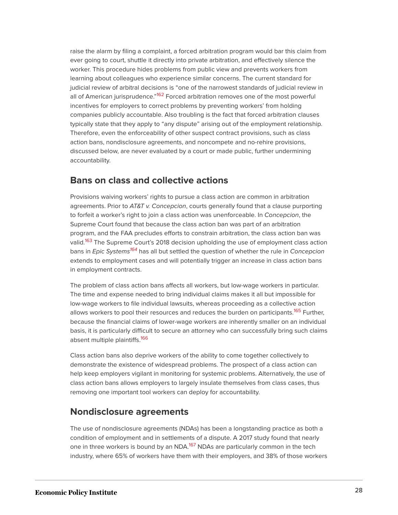<span id="page-28-0"></span>raise the alarm by filing a complaint, a forced arbitration program would bar this claim from ever going to court, shuttle it directly into private arbitration, and effectively silence the worker. This procedure hides problems from public view and prevents workers from learning about colleagues who experience similar concerns. The current standard for judicial review of arbitral decisions is "one of the narrowest standards of judicial review in all of American jurisprudence."<sup>[162](#page-49-7)</sup> Forced arbitration removes one of the most powerful incentives for employers to correct problems by preventing workers' from holding companies publicly accountable. Also troubling is the fact that forced arbitration clauses typically state that they apply to "any dispute" arising out of the employment relationship. Therefore, even the enforceability of other suspect contract provisions, such as class action bans, nondisclosure agreements, and noncompete and no-rehire provisions, discussed below, are never evaluated by a court or made public, further undermining accountability.

### **Bans on class and collective actions**

<span id="page-28-1"></span>Provisions waiving workers' rights to pursue a class action are common in arbitration agreements. Prior to AT&T v. Concepcion, courts generally found that a clause purporting to forfeit a worker's right to join a class action was unenforceable. In Concepcion, the Supreme Court found that because the class action ban was part of an arbitration program, and the FAA precludes efforts to constrain arbitration, the class action ban was valid.<sup>[163](#page-49-8)</sup> The Supreme Court's 2018 decision upholding the use of employment class action bans in *Epic Systems<sup>[164](#page-49-9)</sup>* has all but settled the question of whether the rule in Concepcion extends to employment cases and will potentially trigger an increase in class action bans in employment contracts.

<span id="page-28-3"></span><span id="page-28-2"></span>The problem of class action bans affects all workers, but low-wage workers in particular. The time and expense needed to bring individual claims makes it all but impossible for low-wage workers to file individual lawsuits, whereas proceeding as a collective action allows workers to pool their resources and reduces the burden on participants.<sup>[165](#page-49-10)</sup> Further, because the financial claims of lower-wage workers are inherently smaller on an individual basis, it is particularly difficult to secure an attorney who can successfully bring such claims absent multiple plaintiffs.<sup>[166](#page-49-11)</sup>

<span id="page-28-4"></span>Class action bans also deprive workers of the ability to come together collectively to demonstrate the existence of widespread problems. The prospect of a class action can help keep employers vigilant in monitoring for systemic problems. Alternatively, the use of class action bans allows employers to largely insulate themselves from class cases, thus removing one important tool workers can deploy for accountability.

#### **Nondisclosure agreements**

<span id="page-28-5"></span>The use of nondisclosure agreements (NDAs) has been a longstanding practice as both a condition of employment and in settlements of a dispute. A 2017 study found that nearly one in three workers is bound by an NDA.<sup>[167](#page-49-12)</sup> NDAs are particularly common in the tech industry, where 65% of workers have them with their employers, and 38% of those workers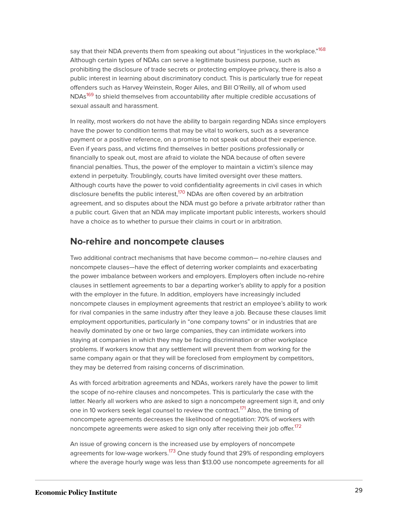<span id="page-29-0"></span>say that their NDA prevents them from speaking out about "injustices in the workplace."<sup>[168](#page-49-13)</sup> Although certain types of NDAs can serve a legitimate business purpose, such as prohibiting the disclosure of trade secrets or protecting employee privacy, there is also a public interest in learning about discriminatory conduct. This is particularly true for repeat offenders such as Harvey Weinstein, Roger Ailes, and Bill O'Reilly, all of whom used NDAs<sup>[169](#page-49-14)</sup> to shield themselves from accountability after multiple credible accusations of sexual assault and harassment.

<span id="page-29-1"></span>In reality, most workers do not have the ability to bargain regarding NDAs since employers have the power to condition terms that may be vital to workers, such as a severance payment or a positive reference, on a promise to not speak out about their experience. Even if years pass, and victims find themselves in better positions professionally or financially to speak out, most are afraid to violate the NDA because of often severe financial penalties. Thus, the power of the employer to maintain a victim's silence may extend in perpetuity. Troublingly, courts have limited oversight over these matters. Although courts have the power to void confidentiality agreements in civil cases in which disclosure benefits the public interest,<sup>[170](#page-49-15)</sup> NDAs are often covered by an arbitration agreement, and so disputes about the NDA must go before a private arbitrator rather than a public court. Given that an NDA may implicate important public interests, workers should have a choice as to whether to pursue their claims in court or in arbitration.

### <span id="page-29-2"></span>**No-rehire and noncompete clauses**

Two additional contract mechanisms that have become common— no-rehire clauses and noncompete clauses—have the effect of deterring worker complaints and exacerbating the power imbalance between workers and employers. Employers often include no-rehire clauses in settlement agreements to bar a departing worker's ability to apply for a position with the employer in the future. In addition, employers have increasingly included noncompete clauses in employment agreements that restrict an employee's ability to work for rival companies in the same industry after they leave a job. Because these clauses limit employment opportunities, particularly in "one company towns" or in industries that are heavily dominated by one or two large companies, they can intimidate workers into staying at companies in which they may be facing discrimination or other workplace problems. If workers know that any settlement will prevent them from working for the same company again or that they will be foreclosed from employment by competitors, they may be deterred from raising concerns of discrimination.

<span id="page-29-3"></span>As with forced arbitration agreements and NDAs, workers rarely have the power to limit the scope of no-rehire clauses and noncompetes. This is particularly the case with the latter. Nearly all workers who are asked to sign a noncompete agreement sign it, and only one in 10 workers seek legal counsel to review the contract.<sup>[171](#page-49-16)</sup> Also, the timing of noncompete agreements decreases the likelihood of negotiation: 70% of workers with noncompete agreements were asked to sign only after receiving their job offer. [172](#page-50-0)

<span id="page-29-5"></span><span id="page-29-4"></span>An issue of growing concern is the increased use by employers of noncompete agreements for low-wage workers.<sup>[173](#page-50-1)</sup> One study found that 29% of responding employers where the average hourly wage was less than \$13.00 use noncompete agreements for all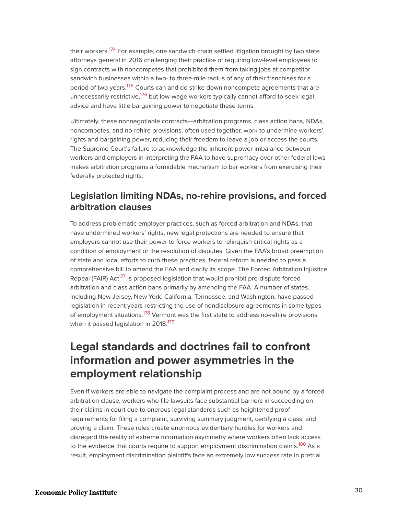<span id="page-30-0"></span>their workers.<sup>[174](#page-50-2)</sup> For example, one sandwich chain settled litigation brought by two state attorneys general in 2016 challenging their practice of requiring low-level employees to sign contracts with noncompetes that prohibited them from taking jobs at competitor sandwich businesses within a two- to three-mile radius of any of their franchises for a period of two years.<sup>[175](#page-50-3)</sup> Courts can and do strike down noncompete agreements that are unnecessarily restrictive,<sup>[176](#page-50-4)</sup> but low-wage workers typically cannot afford to seek legal advice and have little bargaining power to negotiate these terms.

<span id="page-30-2"></span><span id="page-30-1"></span>Ultimately, these nonnegotiable contracts—arbitration programs, class action bans, NDAs, noncompetes, and no-rehire provisions, often used together, work to undermine workers' rights and bargaining power, reducing their freedom to leave a job or access the courts. The Supreme Court's failure to acknowledge the inherent power imbalance between workers and employers in interpreting the FAA to have supremacy over other federal laws makes arbitration programs a formidable mechanism to bar workers from exercising their federally protected rights.

# **Legislation limiting NDAs, no-rehire provisions, and forced arbitration clauses**

<span id="page-30-3"></span>To address problematic employer practices, such as forced arbitration and NDAs, that have undermined workers' rights, new legal protections are needed to ensure that employers cannot use their power to force workers to relinquish critical rights as a condition of employment or the resolution of disputes. Given the FAA's broad preemption of state and local efforts to curb these practices, federal reform is needed to pass a comprehensive bill to amend the FAA and clarify its scope. The Forced Arbitration Injustice Repeal (FAIR) Act<sup>[177](#page-50-5)</sup> is proposed legislation that would prohibit pre-dispute forced arbitration and class action bans primarily by amending the FAA. A number of states, including New Jersey, New York, California, Tennessee, and Washington, have passed legislation in recent years restricting the use of nondisclosure agreements in some types of employment situations.<sup>[178](#page-50-6)</sup> Vermont was the first state to address no-rehire provisions when it passed legislation in 2018.<sup>[179](#page-50-7)</sup>

# <span id="page-30-5"></span><span id="page-30-4"></span>**Legal standards and doctrines fail to confront information and power asymmetries in the employment relationship**

<span id="page-30-6"></span>Even if workers are able to navigate the complaint process and are not bound by a forced arbitration clause, workers who file lawsuits face substantial barriers in succeeding on their claims in court due to onerous legal standards such as heightened proof requirements for filing a complaint, surviving summary judgment, certifying a class, and proving a claim. These rules create enormous evidentiary hurdles for workers and disregard the reality of extreme information asymmetry where workers often lack access to the evidence that courts require to support employment discrimination claims.<sup>[180](#page-50-8)</sup> As a result, employment discrimination plaintiffs face an extremely low success rate in pretrial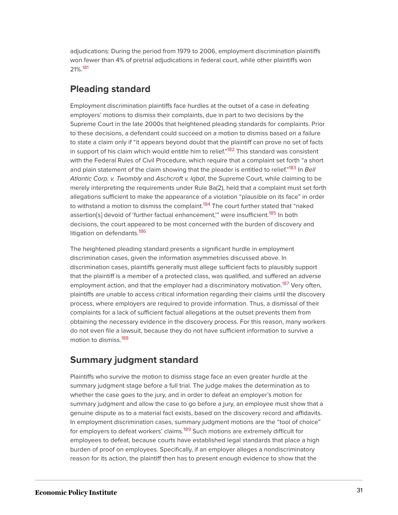<span id="page-31-0"></span>adjudications: During the period from 1979 to 2006, employment discrimination plaintiffs won fewer than 4% of pretrial adjudications in federal court, while other plaintiffs won 21%.[181](#page-50-9)

# **Pleading standard**

<span id="page-31-2"></span><span id="page-31-1"></span>Employment discrimination plaintiffs face hurdles at the outset of a case in defeating employers' motions to dismiss their complaints, due in part to two decisions by the Supreme Court in the late 2000s that heightened pleading standards for complaints. Prior to these decisions, a defendant could succeed on a motion to dismiss based on a failure to state a claim only if "it appears beyond doubt that the plaintiff can prove no set of facts in support of his claim which would entitle him to relief."<sup>[182](#page-50-10)</sup> This standard was consistent with the Federal Rules of Civil Procedure, which require that a complaint set forth "a short and plain statement of the claim showing that the pleader is entitled to relief."<sup>[183](#page-50-11)</sup> In *Bell* Atlantic Corp. v. Twombly and Aschcroft v. Iqbal, the Supreme Court, while claiming to be merely interpreting the requirements under Rule 8a(2), held that a complaint must set forth allegations sufficient to make the appearance of a violation "plausible on its face" in order to withstand a motion to dismiss the complaint.<sup>[184](#page-50-12)</sup> The court further stated that "naked assertion[s] devoid of 'further factual enhancement," were insufficient.<sup>[185](#page-50-13)</sup> In both decisions, the court appeared to be most concerned with the burden of discovery and litigation on defendants.<sup>[186](#page-50-14)</sup>

<span id="page-31-6"></span><span id="page-31-5"></span><span id="page-31-4"></span><span id="page-31-3"></span>The heightened pleading standard presents a significant hurdle in employment discrimination cases, given the information asymmetries discussed above. In discrimination cases, plaintiffs generally must allege sufficient facts to plausibly support that the plaintiff is a member of a protected class, was qualified, and suffered an adverse employment action, and that the employer had a discriminatory motivation.<sup>[187](#page-50-15)</sup> Very often, plaintiffs are unable to access critical information regarding their claims until the discovery process, where employers are required to provide information. Thus, a dismissal of their complaints for a lack of sufficient factual allegations at the outset prevents them from obtaining the necessary evidence in the discovery process. For this reason, many workers do not even file a lawsuit, because they do not have sufficient information to survive a motion to dismiss.[188](#page-50-16)

### <span id="page-31-7"></span>**Summary judgment standard**

<span id="page-31-8"></span>Plaintiffs who survive the motion to dismiss stage face an even greater hurdle at the summary judgment stage before a full trial. The judge makes the determination as to whether the case goes to the jury, and in order to defeat an employer's motion for summary judgment and allow the case to go before a jury, an employee must show that a genuine dispute as to a material fact exists, based on the discovery record and affidavits. In employment discrimination cases, summary judgment motions are the "tool of choice" for employers to defeat workers' claims.<sup>[189](#page-50-17)</sup> Such motions are extremely difficult for employees to defeat, because courts have established legal standards that place a high burden of proof on employees. Specifically, if an employer alleges a nondiscriminatory reason for its action, the plaintiff then has to present enough evidence to show that the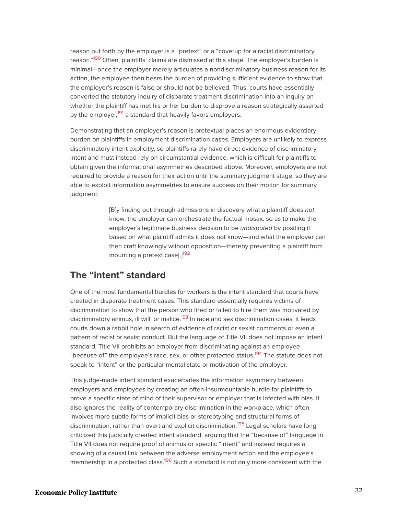<span id="page-32-0"></span>reason put forth by the employer is a "pretext" or a "coverup for a racial discriminatory reason."<sup>[190](#page-50-18)</sup> Often, plaintiffs' claims are dismissed at this stage. The employer's burden is minimal—once the employer merely articulates a nondiscriminatory business reason for its action, the employee then bears the burden of providing sufficient evidence to show that the employer's reason is false or should not be believed. Thus, courts have essentially converted the statutory inquiry of disparate treatment discrimination into an inquiry on whether the plaintiff has met his or her burden to disprove a reason strategically asserted by the employer,<sup>[191](#page-50-19)</sup> a standard that heavily favors employers.

<span id="page-32-1"></span>Demonstrating that an employer's reason is pretextual places an enormous evidentiary burden on plaintiffs in employment discrimination cases. Employers are unlikely to express discriminatory intent explicitly, so plaintiffs rarely have direct evidence of discriminatory intent and must instead rely on circumstantial evidence, which is difficult for plaintiffs to obtain given the informational asymmetries described above. Moreover, employers are not required to provide a reason for their action until the summary judgment stage, so they are able to exploit information asymmetries to ensure success on their motion for summary judgment:

> [B]y finding out through admissions in discovery what a plaintiff does not know, the employer can orchestrate the factual mosaic so as to make the employer's legitimate business decision to be undisputed by positing it based on what plaintiff admits it does not know—and what the employer can then craft knowingly without opposition—thereby preventing a plaintiff from mounting a pretext case[.]<sup>[192](#page-50-20)</sup>

#### <span id="page-32-2"></span>**The "intent" standard**

<span id="page-32-3"></span>One of the most fundamental hurdles for workers is the intent standard that courts have created in disparate treatment cases. This standard essentially requires victims of discrimination to show that the person who fired or failed to hire them was motivated by discriminatory animus, ill will, or malice.<sup>[193](#page-51-0)</sup> In race and sex discrimination cases, it leads courts down a rabbit hole in search of evidence of racist or sexist comments or even a pattern of racist or sexist conduct. But the language of Title VII does not impose an intent standard. Title VII prohibits an employer from discriminating against an employee "because of" the employee's race, sex, or other protected status.<sup>[194](#page-51-1)</sup> The statute does not speak to "intent" or the particular mental state or motivation of the employer.

<span id="page-32-5"></span><span id="page-32-4"></span>This judge-made intent standard exacerbates the information asymmetry between employers and employees by creating an often-insurmountable hurdle for plaintiffs to prove a specific state of mind of their supervisor or employer that is infected with bias. It also ignores the reality of contemporary discrimination in the workplace, which often involves more subtle forms of implicit bias or stereotyping and structural forms of discrimination, rather than overt and explicit discrimination.<sup>195</sup> Legal scholars have long criticized this judicially created intent standard, arguing that the "because of" language in Title VII does not require proof of animus or specific "intent" and instead requires a showing of a causal link between the adverse employment action and the employee's membership in a protected class.<sup>[196](#page-51-2)</sup> Such a standard is not only more consistent with the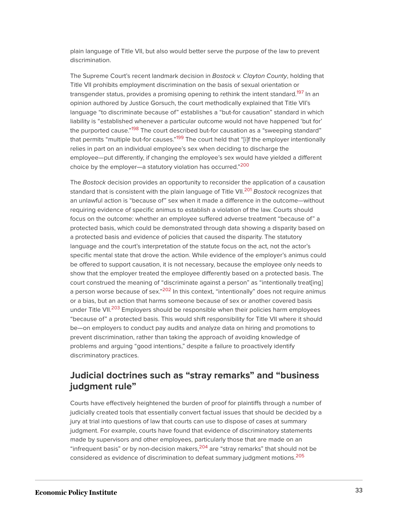plain language of Title VII, but also would better serve the purpose of the law to prevent discrimination.

<span id="page-33-0"></span>The Supreme Court's recent landmark decision in Bostock v. Clayton County, holding that Title VII prohibits employment discrimination on the basis of sexual orientation or transgender status, provides a promising opening to rethink the intent standard.<sup>[197](#page-51-3)</sup> In an opinion authored by Justice Gorsuch, the court methodically explained that Title VII's language "to discriminate because of" establishes a "but-for causation" standard in which liability is "established whenever a particular outcome would not have happened 'but for' the purported cause."<sup>[198](#page-51-4)</sup> The court described but-for causation as a "sweeping standard" that permits "multiple but-for causes."<sup>[199](#page-51-5)</sup> The court held that "[i]f the employer intentionally relies in part on an individual employee's sex when deciding to discharge the employee—put differently, if changing the employee's sex would have yielded a different choice by the employer—a statutory violation has occurred." [200](#page-51-6)

<span id="page-33-4"></span><span id="page-33-3"></span><span id="page-33-2"></span><span id="page-33-1"></span>The Bostock decision provides an opportunity to reconsider the application of a causation standard that is consistent with the plain language of Title VII.<sup>[201](#page-51-7)</sup> Bostock recognizes that an unlawful action is "because of" sex when it made a difference in the outcome—without requiring evidence of specific animus to establish a violation of the law. Courts should focus on the outcome: whether an employee suffered adverse treatment "because of" a protected basis, which could be demonstrated through data showing a disparity based on a protected basis and evidence of policies that caused the disparity. The statutory language and the court's interpretation of the statute focus on the act, not the actor's specific mental state that drove the action. While evidence of the employer's animus could be offered to support causation, it is not necessary, because the employee only needs to show that the employer treated the employee differently based on a protected basis. The court construed the meaning of "discriminate against a person" as "intentionally treat[ing] a person worse because of sex."<sup>[202](#page-51-8)</sup> In this context, "intentionally" does not require animus or a bias, but an action that harms someone because of sex or another covered basis under Title VII.<sup>[203](#page-51-9)</sup> Employers should be responsible when their policies harm employees "because of" a protected basis. This would shift responsibility for Title VII where it should be—on employers to conduct pay audits and analyze data on hiring and promotions to prevent discrimination, rather than taking the approach of avoiding knowledge of problems and arguing "good intentions," despite a failure to proactively identify discriminatory practices.

# <span id="page-33-6"></span><span id="page-33-5"></span>**Judicial doctrines such as "stray remarks" and "business judgment rule"**

<span id="page-33-8"></span><span id="page-33-7"></span>Courts have effectively heightened the burden of proof for plaintiffs through a number of judicially created tools that essentially convert factual issues that should be decided by a jury at trial into questions of law that courts can use to dispose of cases at summary judgment. For example, courts have found that evidence of discriminatory statements made by supervisors and other employees, particularly those that are made on an "infrequent basis" or by non-decision makers,<sup>[204](#page-51-10)</sup> are "stray remarks" that should not be considered as evidence of discrimination to defeat summary judgment motions.<sup>[205](#page-51-11)</sup>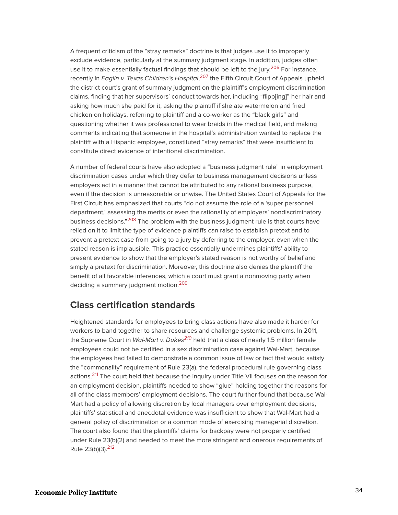<span id="page-34-1"></span><span id="page-34-0"></span>A frequent criticism of the "stray remarks" doctrine is that judges use it to improperly exclude evidence, particularly at the summary judgment stage. In addition, judges often use it to make essentially factual findings that should be left to the jury.<sup>[206](#page-51-12)</sup> For instance, recently in *Eaglin v. Texas Children's Hospital*,<sup>[207](#page-51-13)</sup> the Fifth Circuit Court of Appeals upheld the district court's grant of summary judgment on the plaintiff's employment discrimination claims, finding that her supervisors' conduct towards her, including "flipp[ing]" her hair and asking how much she paid for it, asking the plaintiff if she ate watermelon and fried chicken on holidays, referring to plaintiff and a co-worker as the "black girls" and questioning whether it was professional to wear braids in the medical field, and making comments indicating that someone in the hospital's administration wanted to replace the plaintiff with a Hispanic employee, constituted "stray remarks" that were insufficient to constitute direct evidence of intentional discrimination.

<span id="page-34-2"></span>A number of federal courts have also adopted a "business judgment rule" in employment discrimination cases under which they defer to business management decisions unless employers act in a manner that cannot be attributed to any rational business purpose, even if the decision is unreasonable or unwise. The United States Court of Appeals for the First Circuit has emphasized that courts "do not assume the role of a 'super personnel department,' assessing the merits or even the rationality of employers' nondiscriminatory business decisions."<sup>[208](#page-51-14)</sup> The problem with the business judgment rule is that courts have relied on it to limit the type of evidence plaintiffs can raise to establish pretext and to prevent a pretext case from going to a jury by deferring to the employer, even when the stated reason is implausible. This practice essentially undermines plaintiffs' ability to present evidence to show that the employer's stated reason is not worthy of belief and simply a pretext for discrimination. Moreover, this doctrine also denies the plaintiff the benefit of all favorable inferences, which a court must grant a nonmoving party when deciding a summary judgment motion.<sup>[209](#page-52-0)</sup>

### <span id="page-34-3"></span>**Class certification standards**

<span id="page-34-6"></span><span id="page-34-5"></span><span id="page-34-4"></span>Heightened standards for employees to bring class actions have also made it harder for workers to band together to share resources and challenge systemic problems. In 2011, the Supreme Court in Wal-Mart v. Dukes<sup>[210](#page-52-1)</sup> held that a class of nearly 1.5 million female employees could not be certified in a sex discrimination case against Wal-Mart, because the employees had failed to demonstrate a common issue of law or fact that would satisfy the "commonality" requirement of Rule 23(a), the federal procedural rule governing class actions.<sup>[211](#page-52-2)</sup> The court held that because the inquiry under Title VII focuses on the reason for an employment decision, plaintiffs needed to show "glue" holding together the reasons for all of the class members' employment decisions. The court further found that because Wal-Mart had a policy of allowing discretion by local managers over employment decisions, plaintiffs' statistical and anecdotal evidence was insufficient to show that Wal-Mart had a general policy of discrimination or a common mode of exercising managerial discretion. The court also found that the plaintiffs' claims for backpay were not properly certified under Rule 23(b)(2) and needed to meet the more stringent and onerous requirements of Rule 23(b)(3).[212](#page-52-3)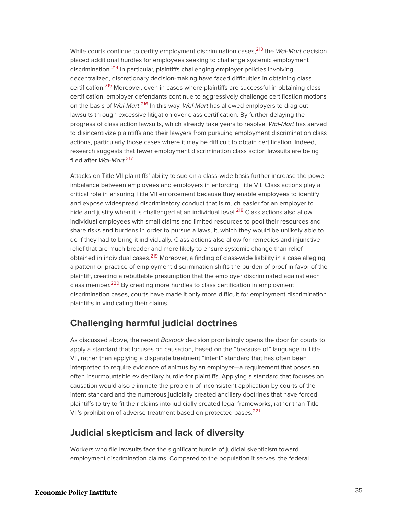<span id="page-35-3"></span><span id="page-35-2"></span><span id="page-35-1"></span><span id="page-35-0"></span>While courts continue to certify employment discrimination cases, <sup>[213](#page-52-4)</sup> the Wal-Mart decision placed additional hurdles for employees seeking to challenge systemic employment discrimination.<sup>[214](#page-52-5)</sup> In particular, plaintiffs challenging employer policies involving decentralized, discretionary decision-making have faced difficulties in obtaining class certification.<sup>[215](#page-52-6)</sup> Moreover, even in cases where plaintiffs are successful in obtaining class certification, employer defendants continue to aggressively challenge certification motions on the basis of *Wal-Mart.<sup>[216](#page-52-7)</sup> In this way, Wal-Mart has allowed employers to drag out* lawsuits through excessive litigation over class certification. By further delaying the progress of class action lawsuits, which already take years to resolve, Wal-Mart has served to disincentivize plaintiffs and their lawyers from pursuing employment discrimination class actions, particularly those cases where it may be difficult to obtain certification. Indeed, research suggests that fewer employment discrimination class action lawsuits are being filed after *Wal-Mart*.<sup>[217](#page-52-8)</sup>

<span id="page-35-5"></span><span id="page-35-4"></span>Attacks on Title VII plaintiffs' ability to sue on a class-wide basis further increase the power imbalance between employees and employers in enforcing Title VII. Class actions play a critical role in ensuring Title VII enforcement because they enable employees to identify and expose widespread discriminatory conduct that is much easier for an employer to hide and justify when it is challenged at an individual level.<sup>[218](#page-52-9)</sup> Class actions also allow individual employees with small claims and limited resources to pool their resources and share risks and burdens in order to pursue a lawsuit, which they would be unlikely able to do if they had to bring it individually. Class actions also allow for remedies and injunctive relief that are much broader and more likely to ensure systemic change than relief obtained in individual cases.<sup>[219](#page-52-10)</sup> Moreover, a finding of class-wide liability in a case alleging a pattern or practice of employment discrimination shifts the burden of proof in favor of the plaintiff, creating a rebuttable presumption that the employer discriminated against each class member. [220](#page-52-11) By creating more hurdles to class certification in employment discrimination cases, courts have made it only more difficult for employment discrimination plaintiffs in vindicating their claims.

# <span id="page-35-7"></span><span id="page-35-6"></span>**Challenging harmful judicial doctrines**

As discussed above, the recent Bostock decision promisingly opens the door for courts to apply a standard that focuses on causation, based on the "because of" language in Title VII, rather than applying a disparate treatment "intent" standard that has often been interpreted to require evidence of animus by an employer—a requirement that poses an often insurmountable evidentiary hurdle for plaintiffs. Applying a standard that focuses on causation would also eliminate the problem of inconsistent application by courts of the intent standard and the numerous judicially created ancillary doctrines that have forced plaintiffs to try to fit their claims into judicially created legal frameworks, rather than Title VII's prohibition of adverse treatment based on protected bases.<sup>[221](#page-52-12)</sup>

# <span id="page-35-8"></span>**Judicial skepticism and lack of diversity**

Workers who file lawsuits face the significant hurdle of judicial skepticism toward employment discrimination claims. Compared to the population it serves, the federal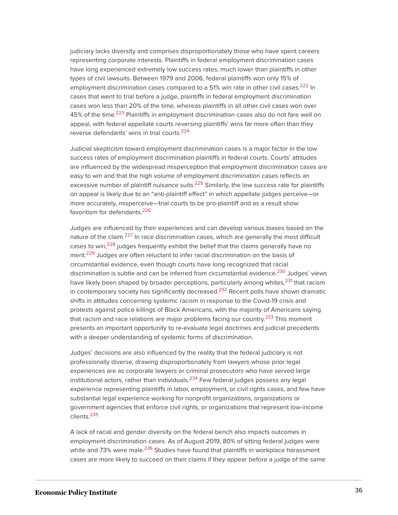<span id="page-36-0"></span>judiciary lacks diversity and comprises disproportionately those who have spent careers representing corporate interests. Plaintiffs in federal employment discrimination cases have long experienced extremely low success rates, much lower than plaintiffs in other types of civil lawsuits. Between 1979 and 2006, federal plaintiffs won only 15% of employment discrimination cases compared to a 51% win rate in other civil cases.<sup>[222](#page-52-13)</sup> In cases that went to trial before a judge, plaintiffs in federal employment discrimination cases won less than 20% of the time, whereas plaintiffs in all other civil cases won over 45% of the time.<sup>[223](#page-52-14)</sup> Plaintiffs in employment discrimination cases also do not fare well on appeal, with federal appellate courts reversing plaintiffs' wins far more often than they reverse defendants' wins in trial courts.<sup>[224](#page-52-15)</sup>

<span id="page-36-3"></span><span id="page-36-2"></span><span id="page-36-1"></span>Judicial skepticism toward employment discrimination cases is a major factor in the low success rates of employment discrimination plaintiffs in federal courts. Courts' attitudes are influenced by the widespread misperception that employment discrimination cases are easy to win and that the high volume of employment discrimination cases reflects an excessive number of plaintiff nuisance suits.<sup>[225](#page-52-16)</sup> Similarly, the low success rate for plaintiffs on appeal is likely due to an "anti-plaintiff effect" in which appellate judges perceive—or more accurately, misperceive—trial courts to be pro-plaintiff and as a result show favoritism for defendants.<sup>[226](#page-52-17)</sup>

<span id="page-36-10"></span><span id="page-36-9"></span><span id="page-36-8"></span><span id="page-36-7"></span><span id="page-36-6"></span><span id="page-36-5"></span><span id="page-36-4"></span>Judges are influenced by their experiences and can develop various biases based on the nature of the claim.<sup>[227](#page-52-18)</sup> In race discrimination cases, which are generally the most difficult cases to win,<sup>[228](#page-53-0)</sup> judges frequently exhibit the belief that the claims generally have no merit.<sup>[229](#page-53-1)</sup> Judges are often reluctant to infer racial discrimination on the basis of circumstantial evidence, even though courts have long recognized that racial discrimination is subtle and can be inferred from circumstantial evidence.<sup>[230](#page-53-2)</sup> Judges' views have likely been shaped by broader perceptions, particularly among whites,<sup>[231](#page-53-3)</sup> that racism in contemporary society has significantly decreased.<sup>[232](#page-53-4)</sup> Recent polls have shown dramatic shifts in attitudes concerning systemic racism in response to the Covid-19 crisis and protests against police killings of Black Americans, with the majority of Americans saying that racism and race relations are major problems facing our country.<sup>[233](#page-53-5)</sup> This moment presents an important opportunity to re-evaluate legal doctrines and judicial precedents with a deeper understanding of systemic forms of discrimination.

<span id="page-36-12"></span><span id="page-36-11"></span>Judges' decisions are also influenced by the reality that the federal judiciary is not professionally diverse, drawing disproportionately from lawyers whose prior legal experiences are as corporate lawyers or criminal prosecutors who have served large institutional actors, rather than individuals. $^{234}$  $^{234}$  $^{234}$  Few federal judges possess any legal experience representing plaintiffs in labor, employment, or civil rights cases, and few have substantial legal experience working for nonprofit organizations, organizations or government agencies that enforce civil rights, or organizations that represent low-income clients.[235](#page-53-7)

<span id="page-36-14"></span><span id="page-36-13"></span>A lack of racial and gender diversity on the federal bench also impacts outcomes in employment discrimination cases. As of August 2019, 80% of sitting federal judges were white and 73% were male.<sup>[236](#page-53-8)</sup> Studies have found that plaintiffs in workplace harassment cases are more likely to succeed on their claims if they appear before a judge of the same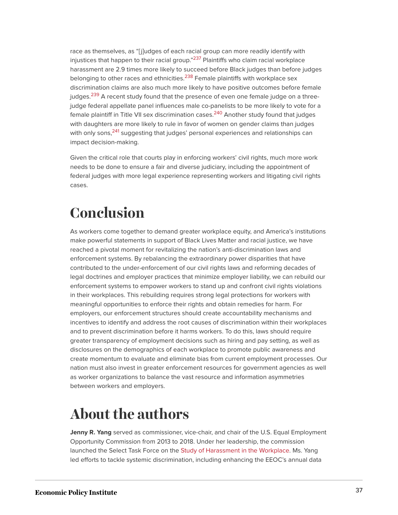<span id="page-37-4"></span><span id="page-37-3"></span><span id="page-37-2"></span>race as themselves, as "[j]udges of each racial group can more readily identify with injustices that happen to their racial group."<sup>[237](#page-53-9)</sup> Plaintiffs who claim racial workplace harassment are 2.9 times more likely to succeed before Black judges than before judges belonging to other races and ethnicities.<sup>[238](#page-53-10)</sup> Female plaintiffs with workplace sex discrimination claims are also much more likely to have positive outcomes before female judges.<sup>[239](#page-53-11)</sup> A recent study found that the presence of even one female judge on a threejudge federal appellate panel influences male co-panelists to be more likely to vote for a female plaintiff in Title VII sex discrimination cases.<sup>[240](#page-53-12)</sup> Another study found that judges with daughters are more likely to rule in favor of women on gender claims than judges with only sons, <sup>[241](#page-53-13)</sup> suggesting that judges' personal experiences and relationships can impact decision-making.

<span id="page-37-6"></span><span id="page-37-5"></span>Given the critical role that courts play in enforcing workers' civil rights, much more work needs to be done to ensure a fair and diverse judiciary, including the appointment of federal judges with more legal experience representing workers and litigating civil rights cases.

# <span id="page-37-0"></span>**Conclusion**

As workers come together to demand greater workplace equity, and America's institutions make powerful statements in support of Black Lives Matter and racial justice, we have reached a pivotal moment for revitalizing the nation's anti-discrimination laws and enforcement systems. By rebalancing the extraordinary power disparities that have contributed to the under-enforcement of our civil rights laws and reforming decades of legal doctrines and employer practices that minimize employer liability, we can rebuild our enforcement systems to empower workers to stand up and confront civil rights violations in their workplaces. This rebuilding requires strong legal protections for workers with meaningful opportunities to enforce their rights and obtain remedies for harm. For employers, our enforcement structures should create accountability mechanisms and incentives to identify and address the root causes of discrimination within their workplaces and to prevent discrimination before it harms workers. To do this, laws should require greater transparency of employment decisions such as hiring and pay setting, as well as disclosures on the demographics of each workplace to promote public awareness and create momentum to evaluate and eliminate bias from current employment processes. Our nation must also invest in greater enforcement resources for government agencies as well as worker organizations to balance the vast resource and information asymmetries between workers and employers.

# <span id="page-37-1"></span>**About the authors**

**Jenny R. Yang** served as commissioner, vice-chair, and chair of the U.S. Equal Employment Opportunity Commission from 2013 to 2018. Under her leadership, the commission launched the Select Task Force on the [Study of Harassment in the Workplace](about:blank). Ms. Yang led efforts to tackle systemic discrimination, including enhancing the EEOC's annual data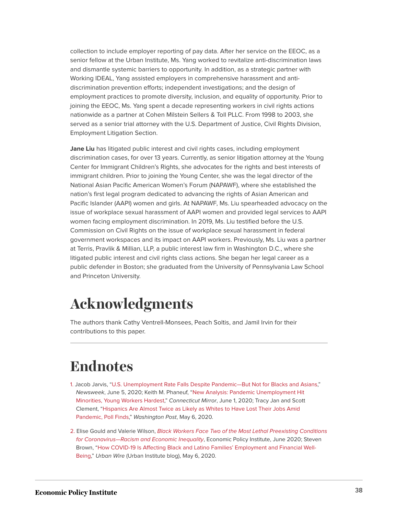collection to include employer reporting of pay data. After her service on the EEOC, as a senior fellow at the Urban Institute, Ms. Yang worked to revitalize anti-discrimination laws and dismantle systemic barriers to opportunity. In addition, as a strategic partner with Working IDEAL, Yang assisted employers in comprehensive harassment and antidiscrimination prevention efforts; independent investigations; and the design of employment practices to promote diversity, inclusion, and equality of opportunity. Prior to joining the EEOC, Ms. Yang spent a decade representing workers in civil rights actions nationwide as a partner at Cohen Milstein Sellers & Toll PLLC. From 1998 to 2003, she served as a senior trial attorney with the U.S. Department of Justice, Civil Rights Division, Employment Litigation Section.

**Jane Liu** has litigated public interest and civil rights cases, including employment discrimination cases, for over 13 years. Currently, as senior litigation attorney at the Young Center for Immigrant Children's Rights, she advocates for the rights and best interests of immigrant children. Prior to joining the Young Center, she was the legal director of the National Asian Pacific American Women's Forum (NAPAWF), where she established the nation's first legal program dedicated to advancing the rights of Asian American and Pacific Islander (AAPI) women and girls. At NAPAWF, Ms. Liu spearheaded advocacy on the issue of workplace sexual harassment of AAPI women and provided legal services to AAPI women facing employment discrimination. In 2019, Ms. Liu testified before the U.S. Commission on Civil Rights on the issue of workplace sexual harassment in federal government workspaces and its impact on AAPI workers. Previously, Ms. Liu was a partner at Terris, Pravlik & Millian, LLP, a public interest law firm in Washington D.C., where she litigated public interest and civil rights class actions. She began her legal career as a public defender in Boston; she graduated from the University of Pennsylvania Law School and Princeton University.

# <span id="page-38-0"></span>**Acknowledgments**

The authors thank Cathy Ventrell-Monsees, Peach Soltis, and Jamil Irvin for their contributions to this paper.

# <span id="page-38-1"></span>**Endnotes**

- <span id="page-38-2"></span>[1.](#page-6-1) Jacob Jarvis, ["U.S. Unemployment Rate Falls Despite Pandemic—But Not for Blacks and Asians](https://www.newsweek.com/us-unemployment-rate-black-asian-coronavirus-1508940)," Newsweek, June 5, 2020; Keith M. Phaneuf, ["New Analysis: Pandemic Unemployment Hit](https://ctmirror.org/2020/06/01/new-analysis-pandemic-unemployment-hit-minorities-young-workers-hardest/) [Minorities, Young Workers Hardest,](https://ctmirror.org/2020/06/01/new-analysis-pandemic-unemployment-hit-minorities-young-workers-hardest/)" Connecticut Mirror, June 1, 2020; Tracy Jan and Scott Clement, ["Hispanics Are Almost Twice as Likely as Whites to Have Lost Their Jobs Amid](https://www.washingtonpost.com/business/2020/05/06/layoffs-race-poll-coronavirus/) [Pandemic, Poll Finds](https://www.washingtonpost.com/business/2020/05/06/layoffs-race-poll-coronavirus/)," Washington Post, May 6, 2020.
- <span id="page-38-3"></span>[2.](#page-6-2) Elise Gould and Valerie Wilson, [Black Workers Face Two of the Most Lethal Preexisting Conditions](https://www.epi.org/publication/black-workers-covid/) for Coronavirus-Racism and Economic Inequality, Economic Policy Institute, June 2020; Steven Brown, ["How COVID-19 Is Affecting Black and Latino Families' Employment and Financial Well-](https://www.urban.org/urban-wire/how-COVID-19-affecting-black-and-latino-familiesemployment-and-financial-well-being.)[Being,](https://www.urban.org/urban-wire/how-COVID-19-affecting-black-and-latino-familiesemployment-and-financial-well-being.)" Urban Wire (Urban Institute blog), May 6, 2020.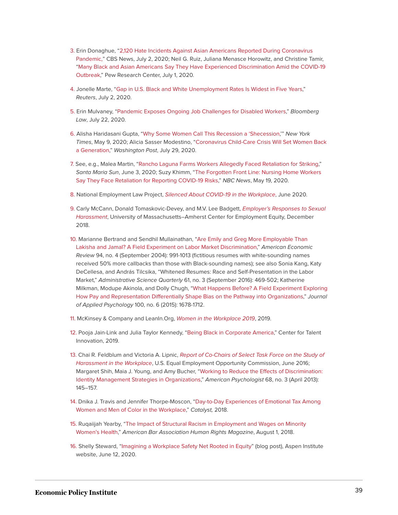- <span id="page-39-0"></span>[3.](#page-6-3) Erin Donaghue, ["2,120 Hate Incidents Against Asian Americans Reported During Coronavirus](https://www.cbsnews.com/news/anti-asian-american-hate-incidents-up-racism/) [Pandemic,"](https://www.cbsnews.com/news/anti-asian-american-hate-incidents-up-racism/) CBS News, July 2, 2020; Neil G. Ruiz, Juliana Menasce Horowitz, and Christine Tamir, "[Many Black and Asian Americans Say They Have Experienced Discrimination Amid the COVID-19](https://www.pewsocialtrends.org/2020/07/01/many-black-and-asian-americans-say-they-have-experienced-discrimination-amid-the-covid-19-outbreak/) [Outbreak](https://www.pewsocialtrends.org/2020/07/01/many-black-and-asian-americans-say-they-have-experienced-discrimination-amid-the-covid-19-outbreak/)," Pew Research Center, July 1, 2020.
- <span id="page-39-1"></span>[4.](#page-6-4) Jonelle Marte, "[Gap in U.S. Black and White Unemployment Rates Is Widest in Five Years](https://www.reuters.com/article/us-usa-economy-unemployment-race-idUSKBN2431X7)," Reuters, July 2, 2020.
- <span id="page-39-2"></span>[5.](#page-6-5) Erin Mulvaney, ["Pandemic Exposes Ongoing Job Challenges for Disabled Workers,](https://news.bloomberglaw.com/daily-labor-report/pandemic-exposes-ongoing-job-challenges-for-disabled-workers)" Bloomberg Law, July 22, 2020.
- <span id="page-39-3"></span>[6.](#page-6-6) Alisha Haridasani Gupta, ["Why Some Women Call This Recession a 'Shecession](https://www.nytimes.com/2020/05/09/us/unemployment-coronavirus-women.html),'" New York Times, May 9, 2020; Alicia Sasser Modestino, ["Coronavirus Child-Care Crisis Will Set Women Back](https://www.washingtonpost.com/us-policy/2020/07/29/childcare-remote-learning-women-employment/) [a Generation](https://www.washingtonpost.com/us-policy/2020/07/29/childcare-remote-learning-women-employment/)," Washington Post, July 29, 2020.
- <span id="page-39-4"></span>[7.](#page-6-7) See, e.g., Malea Martin, ["Rancho Laguna Farms Workers Allegedly Faced Retaliation for Striking,](http://www.santamariasun.com/news/19710/rancho-laguna-farms-workers-allegedly-faced-retaliation-for-striking/)" Santa Maria Sun, June 3, 2020; Suzy Khimm, ["The Forgotten Front Line: Nursing Home Workers](https://www.nbcnews.com/news/us-news/forgotten-front-line-nursing-home-workers-say-they-face-retaliation-n1209606) [Say They Face Retaliation for Reporting COVID-19 Risks,](https://www.nbcnews.com/news/us-news/forgotten-front-line-nursing-home-workers-say-they-face-retaliation-n1209606)" NBC News, May 19, 2020.
- <span id="page-39-5"></span>[8.](#page-6-8) National Employment Law Project, [Silenced About COVID-19 in the Workplace](https://s27147.pcdn.co/wp-content/uploads/Silenced-About-COVID-19-Workplace-Fear-Retaliation-June-2020.pdf), June 2020.
- <span id="page-39-6"></span>[9.](#page-7-0) Carly McCann, Donald Tomaskovic-Devey, and M.V. Lee Badgett, *[Employer's Responses to Sexual](https://www.umass.edu/employmentequity/sites/default/files/Center%20for%20Employment%20Equity%20Employer%E2%80%99s%20Responses%20to%20Sexual%20Harassment%20Charges.pdf)* [Harassment](https://www.umass.edu/employmentequity/sites/default/files/Center%20for%20Employment%20Equity%20Employer%E2%80%99s%20Responses%20to%20Sexual%20Harassment%20Charges.pdf), University of Massachusetts–Amherst Center for Employment Equity, December 2018.
- <span id="page-39-7"></span>[10.](#page-8-1) Marianne Bertrand and Sendhil Mullainathan, ["Are Emily and Greg More Employable Than](https://doi.org/10.1257/0002828042002561) [Lakisha and Jamal? A Field Experiment on Labor Market Discrimination](https://doi.org/10.1257/0002828042002561)," American Economic Review 94, no. 4 (September 2004): 991-1013 (fictitious resumes with white-sounding names received 50% more callbacks than those with Black-sounding names); see also Sonia Kang, Katy DeCellesa, and András Tilcsika, "Whitened Resumes: Race and Self-Presentation in the Labor Market," Administrative Science Quarterly 61, no. 3 (September 2016): 469-502; Katherine Milkman, Modupe Akinola, and Dolly Chugh, "[What Happens Before? A Field Experiment Exploring](https://www.apa.org/pubs/journals/releases/apl-0000022.pdf) [How Pay and Representation Differentially Shape Bias on the Pathway into Organizations,](https://www.apa.org/pubs/journals/releases/apl-0000022.pdf)" Journal of Applied Psychology 100, no. 6 (2015): 1678-1712.
- <span id="page-39-8"></span>[11.](#page-8-2) McKinsey & Company and LeanIn. Org, [Women in the Workplace 2019](https://wiw-report.s3.amazonaws.com/Women_in_the_Workplace_2019.pdf), 2019.
- <span id="page-39-9"></span>[12.](#page-8-3) Pooja Jain-Link and Julia Taylor Kennedy, ["Being Black in Corporate America](https://www.talentinnovation.org/_private/assets/BeingBlack-KeyFindings-CTI.pdf)," Center for Talent Innovation, 2019.
- <span id="page-39-10"></span>[13.](#page-8-4) Chai R. Feldblum and Victoria A. Lipnic, [Report of Co-Chairs of Select Task Force on the Study of](https://www.eeoc.gov/select-task-force-study-harassment-workplace) [Harassment in the Workplace](https://www.eeoc.gov/select-task-force-study-harassment-workplace), U.S. Equal Employment Opportunity Commission, June 2016; Margaret Shih, Maia J. Young, and Amy Bucher, "[Working to Reduce the Effects of Discrimination:](https://doi.org/10.1037/a0032250) [Identity Management Strategies in Organizations,](https://doi.org/10.1037/a0032250)" American Psychologist 68, no. 3 (April 2013): 145–157.
- <span id="page-39-11"></span>[14.](#page-8-5) Dnika J. Travis and Jennifer Thorpe-Moscon, "[Day-to-Day Experiences of Emotional Tax Among](https://www.catalyst.org/wp-content/uploads/2019/02/emotionaltax.pdf) [Women and Men of Color in the Workplace](https://www.catalyst.org/wp-content/uploads/2019/02/emotionaltax.pdf)," Catalyst, 2018.
- <span id="page-39-12"></span>[15.](#page-8-6) Ruqaiijah Yearby, "[The Impact of Structural Racism in Employment and Wages on Minority](https://www.americanbar.org/groups/crsj/publications/human_rights_magazine_home/the-state-of-healthcare-in-the-united-states/minority-womens-health/) [Women's Health](https://www.americanbar.org/groups/crsj/publications/human_rights_magazine_home/the-state-of-healthcare-in-the-united-states/minority-womens-health/)," American Bar Association Human Rights Magazine, August 1, 2018.
- <span id="page-39-13"></span>[16.](#page-8-7) Shelly Steward, ["Imagining a Workplace Safety Net Rooted in Equity"](https://www.aspeninstitute.org/blog-posts/imagining-a-workplace-safety-net-rooted-in-equity) (blog post), Aspen Institute website, June 12, 2020.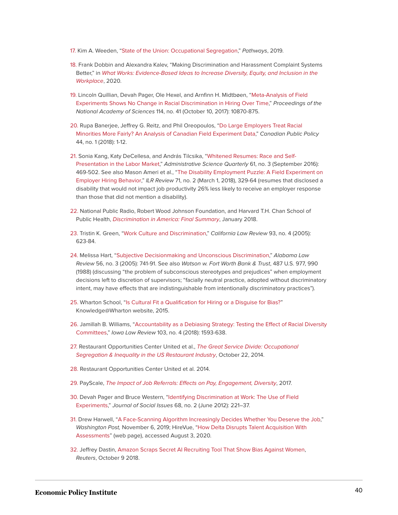- <span id="page-40-0"></span>[17.](#page-9-0) Kim A. Weeden, ["State of the Union: Occupational Segregation,](https://inequality.stanford.edu/sites/default/files/Pathways_SOTU_2019_OccupSegregation.pdf)" Pathways, 2019.
- <span id="page-40-1"></span>[18.](#page-9-1) Frank Dobbin and Alexandra Kalev, "Making Discrimination and Harassment Complaint Systems Better," in [What Works: Evidence-Based Ideas to Increase Diversity, Equity, and Inclusion in the](https://www.umass.edu/employmentequity/sites/default/files/What_Works.pdf) [Workplace](https://www.umass.edu/employmentequity/sites/default/files/What_Works.pdf), 2020.
- <span id="page-40-2"></span>[19.](#page-10-1) Lincoln Quillian, Devah Pager, Ole Hexel, and Arnfinn H. Midtbøen, "[Meta-Analysis of Field](https://doi.org/10.1073/pnas.1706255114) [Experiments Shows No Change in Racial Discrimination in Hiring Over Time](https://doi.org/10.1073/pnas.1706255114)," Proceedings of the National Academy of Sciences 114, no. 41 (October 10, 2017): 10870-875.
- <span id="page-40-3"></span>[20.](#page-10-2) Rupa Banerjee, Jeffrey G. Reitz, and Phil Oreopoulos, "[Do Large Employers Treat Racial](https://doi.org/10.3138/cpp.2017-033) [Minorities More Fairly? An Analysis of Canadian Field Experiment Data,](https://doi.org/10.3138/cpp.2017-033)" Canadian Public Policy 44, no. 1 (2018): 1-12.
- <span id="page-40-4"></span>[21.](#page-10-3) Sonia Kang, Katy DeCellesa, and András Tilcsika, "[Whitened Resumes: Race and Self-](https://doi.org/10.1177%2F0001839216639577)[Presentation in the Labor Market](https://doi.org/10.1177%2F0001839216639577)," Administrative Science Quarterly 61, no. 3 (September 2016): 469-502. See also Mason Ameri et al., ["The Disability Employment Puzzle: A Field Experiment on](https://doi.org/10.1177/0019793917717474) [Employer Hiring Behavior](https://doi.org/10.1177/0019793917717474)," ILR Review 71, no. 2 (March 1, 2018), 329-64 (resumes that disclosed a disability that would not impact job productivity 26% less likely to receive an employer response than those that did not mention a disability).
- <span id="page-40-5"></span>[22.](#page-10-4) National Public Radio, Robert Wood Johnson Foundation, and Harvard T.H. Chan School of Public Health, *[Discrimination in America: Final Summary](https://www.rwjf.org/content/dam/farm/reports/surveys_and_polls/2018/rwjf443620)*, January 2018.
- <span id="page-40-6"></span>[23.](#page-10-5) Tristin K. Green, ["Work Culture and Discrimination](https://www.jstor.org/stable/pdf/3481474.pdf)," California Law Review 93, no. 4 (2005): 623-84.
- <span id="page-40-7"></span>[24.](#page-10-6) Melissa Hart, ["Subjective Decisionmaking and Unconscious Discrimination](https://lawweb.colorado.edu/profiles/pubpdfs/hart/HartAlabama.pdf)," Alabama Law Review 56, no. 3 (2005): 741-91. See also Watson w. Fort Worth Bank & Trust, 487 U.S. 977, 990 (1988) (discussing "the problem of subconscious stereotypes and prejudices" when employment decisions left to discretion of supervisors; "facially neutral practice, adopted without discriminatory intent, may have effects that are indistinguishable from intentionally discriminatory practices").
- <span id="page-40-8"></span>[25.](#page-10-7) Wharton School, "[Is Cultural Fit a Qualification for Hiring or a Disguise for Bias?"](https://knowledge.wharton.upenn.edu/article/cultural-fit-a-qualification-for-hiring-or-a-disguise-for-bias/) Knowledge@Wharton website, 2015.
- <span id="page-40-9"></span>[26.](#page-10-8) Jamillah B. Williams, "[Accountability as a Debiasing Strategy: Testing the Effect of Racial Diversity](https://ilr.law.uiowa.edu/print/volume-103-issue-4/accountability-as-a-debiasing-strategy-testing-the-effect-of-racial-diversity-in-employment-committees/) [Committees](https://ilr.law.uiowa.edu/print/volume-103-issue-4/accountability-as-a-debiasing-strategy-testing-the-effect-of-racial-diversity-in-employment-committees/)," Iowa Law Review 103, no. 4 (2018): 1593-638.
- <span id="page-40-10"></span>[27.](#page-11-0) Restaurant Opportunities Center United et al., [The Great Service Divide: Occupational](https://chapters.rocunited.org/wp-content/uploads/2014/10/REPORT_The-Great-Service-Divide2.pdf) [Segregation & Inequality in the US Restaurant Industry](https://chapters.rocunited.org/wp-content/uploads/2014/10/REPORT_The-Great-Service-Divide2.pdf), October 22, 2014.
- <span id="page-40-11"></span>[28.](#page-11-1) Restaurant Opportunities Center United et al. 2014.
- <span id="page-40-12"></span>[29.](#page-11-2) PayScale, [The Impact of Job Referrals: Effects on Pay, Engagement, Diversity](https://www.payscale.com/data/job-referrals), 2017.
- <span id="page-40-13"></span>[30.](#page-11-3) Devah Pager and Bruce Western, "[Identifying Discrimination at Work: The Use of Field](https://doi.org/10.1111/j.1540-4560.2012.01746.x) [Experiments,](https://doi.org/10.1111/j.1540-4560.2012.01746.x)" Journal of Social Issues 68, no. 2 (June 2012): 221–37.
- <span id="page-40-14"></span>[31.](#page-11-4) Drew Harwell, "[A Face-Scanning Algorithm Increasingly Decides Whether You Deserve the Job](https://www.washingtonpost.com/technology/2019/10/22/ai-hiring-face-scanning-algorithm-increasingly-decides-whether-you-deserve-job/)," Washington Post, November 6, 2019; HireVue, ["How Delta Disrupts Talent Acquisition With](https://www.hirevue.com/resources/how-delta-disrupts-talent-acquisition-with-ai) [Assessments"](https://www.hirevue.com/resources/how-delta-disrupts-talent-acquisition-with-ai) (web page), accessed August 3, 2020.
- <span id="page-40-15"></span>[32.](#page-11-5) Jeffrey Dastin, [Amazon Scraps Secret AI Recruiting Tool That Show Bias Against Women,](https://www.reuters.com/article/us-amazon-com-jobs-automation-insight/amazon-scraps-secret-ai-recruiting-tool-that-showed-bias-against-women-idUSKCN1MK08G.) Reuters, October 9 2018.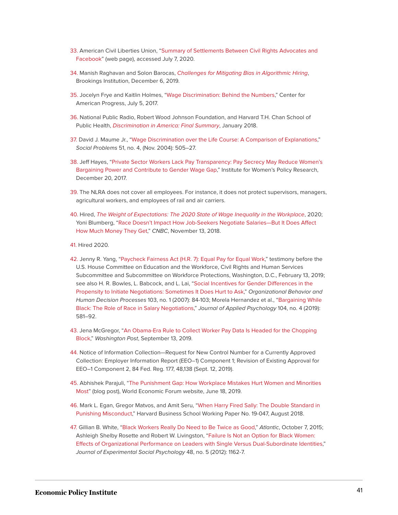- <span id="page-41-0"></span>[33.](#page-11-6) American Civil Liberties Union, ["Summary of Settlements Between Civil Rights Advocates and](https://www.aclu.org/other/summary-settlements-between-civil-rights-advocates-and-facebook) [Facebook](https://www.aclu.org/other/summary-settlements-between-civil-rights-advocates-and-facebook)" (web page), accessed July 7, 2020.
- <span id="page-41-1"></span>[34.](#page-12-0) Manish Raghavan and Solon Barocas, [Challenges for Mitigating Bias in Algorithmic Hiring](https://www.brookings.edu/research/challenges-for-mitigating-bias-in-algorithmic-hiring/), Brookings Institution, December 6, 2019.
- <span id="page-41-2"></span>[35.](#page-12-1) Jocelyn Frye and Kaitlin Holmes, ["Wage Discrimination: Behind the Numbers,](https://www.americanprogress.org/issues/women/news/2017/07/05/435190/wage-discrimination-behind-numbers/)" Center for American Progress, July 5, 2017.
- <span id="page-41-3"></span>[36.](#page-12-2) National Public Radio, Robert Wood Johnson Foundation, and Harvard T.H. Chan School of Public Health, [Discrimination in America: Final Summary](https://www.rwjf.org/content/dam/farm/reports/surveys_and_polls/2018/rwjf443620), January 2018.
- <span id="page-41-4"></span>[37.](#page-12-3) David J. Maume Jr., "[Wage Discrimination over the Life Course: A Comparison of Explanations](https://doi.org/10.1525/sp.2004.51.4.505)," Social Problems 51, no. 4, (Nov. 2004): 505–27.
- <span id="page-41-5"></span>[38.](#page-12-4) Jeff Hayes, ["Private Sector Workers Lack Pay Transparency: Pay Secrecy May Reduce Women's](https://iwpr.org/wp-content/uploads/2017/12/Q068-Pay-Secrecy.pdf) [Bargaining Power and Contribute to Gender Wage Gap,](https://iwpr.org/wp-content/uploads/2017/12/Q068-Pay-Secrecy.pdf)" Institute for Women's Policy Research, December 20, 2017.
- <span id="page-41-6"></span>[39.](#page-12-5) The NLRA does not cover all employees. For instance, it does not protect supervisors, managers, agricultural workers, and employees of rail and air carriers.
- <span id="page-41-7"></span>[40.](#page-13-0) Hired, [The Weight of Expectations: The 2020 State of Wage Inequality in the Workplace](https://hired.com/h/wage-inequality-report#intro), 2020; Yoni Blumberg, ["Race Doesn't Impact How Job-Seekers Negotiate Salaries—But It Does Affect](https://www.cnbc.com/2018/11/13/study-black-employees-get-lower-offers-during-salary-negotiations.html) [How Much Money They Get,](https://www.cnbc.com/2018/11/13/study-black-employees-get-lower-offers-during-salary-negotiations.html)" CNBC, November 13, 2018.
- <span id="page-41-8"></span>[41.](#page-13-1) Hired 2020.
- <span id="page-41-9"></span>[42.](#page-13-2) Jenny R. Yang, "[Paycheck Fairness Act \(H.R. 7\): Equal Pay for Equal Work](https://edlabor.house.gov/imo/media/doc/Yang%20Jenny%20R%20-%20Paycheck%20Fairness%20Act%20Testimony%202-13-19.pdf)," testimony before the U.S. House Committee on Education and the Workforce, Civil Rights and Human Services Subcommittee and Subcommittee on Workforce Protections, Washington, D.C., February 13, 2019; see also H. R. Bowles, L. Babcock, and L. Lai, "[Social Incentives for Gender Differences in the](https://doi.org/10.1016/j.obhdp.2006.09.001) [Propensity to Initiate Negotiations: Sometimes It Does Hurt to Ask](https://doi.org/10.1016/j.obhdp.2006.09.001)," Organizational Behavior and Human Decision Processes 103, no. 1 (2007): 84-103; Morela Hernandez et al., ["Bargaining While](https://doi.apa.org/doiLanding?doi=10.1037%2Fapl0000363) [Black: The Role of Race in Salary Negotiations](https://doi.apa.org/doiLanding?doi=10.1037%2Fapl0000363)," Journal of Applied Psychology 104, no. 4 (2019): 581–92.
- <span id="page-41-10"></span>[43.](#page-13-3) Jena McGregor, ["An Obama-Era Rule to Collect Worker Pay Data Is Headed for the Chopping](https://www.washingtonpost.com/business/2019/09/13/an-obama-era-rule-collect-worker-pay-data-is-headed-chopping-block/) [Block,](https://www.washingtonpost.com/business/2019/09/13/an-obama-era-rule-collect-worker-pay-data-is-headed-chopping-block/)" Washington Post, September 13, 2019.
- <span id="page-41-11"></span>[44.](#page-13-4) Notice of Information Collection—Request for New Control Number for a Currently Approved Collection: Employer Information Report (EEO–1) Component 1; Revision of Existing Approval for EEO–1 Component 2, 84 Fed. Reg. 177, 48,138 (Sept. 12, 2019).
- <span id="page-41-12"></span>[45.](#page-13-5) Abhishek Parajuli, "[The Punishment Gap: How Workplace Mistakes Hurt Women and Minorities](https://www.weforum.org/agenda/2019/06/the-punishment-gap-how-workplace-mistakes-hurt-women-and-minorities-most/) [Most](https://www.weforum.org/agenda/2019/06/the-punishment-gap-how-workplace-mistakes-hurt-women-and-minorities-most/)" (blog post), World Economic Forum website, June 18, 2019.
- <span id="page-41-13"></span>[46.](#page-13-6) Mark L. Egan, Gregor Matvos, and Amit Seru, ["When Harry Fired Sally: The Double Standard in](https://www.hbs.edu/faculty/Publication%20Files/19-047_be957781-c55c-4be0-994d-a29875374f32.pdf) [Punishing Misconduct](https://www.hbs.edu/faculty/Publication%20Files/19-047_be957781-c55c-4be0-994d-a29875374f32.pdf)," Harvard Business School Working Paper No. 19-047, August 2018.
- <span id="page-41-14"></span>[47.](#page-13-7) Gillian B. White, ["Black Workers Really Do Need to Be Twice as Good](https://www.theatlantic.com/business/archive/2015/10/why-black-workers-really-do-need-to-be-twice-as-good/409276/)," Atlantic, October 7, 2015; Ashleigh Shelby Rosette and Robert W. Livingston, "[Failure Is Not an Option for Black Women:](https://doi.org/10.1016/j.jesp.2012.05.002) [Effects of Organizational Performance on Leaders with Single Versus Dual-Subordinate Identities](https://doi.org/10.1016/j.jesp.2012.05.002)," Journal of Experimental Social Psychology 48, no. 5 (2012): 1162-7.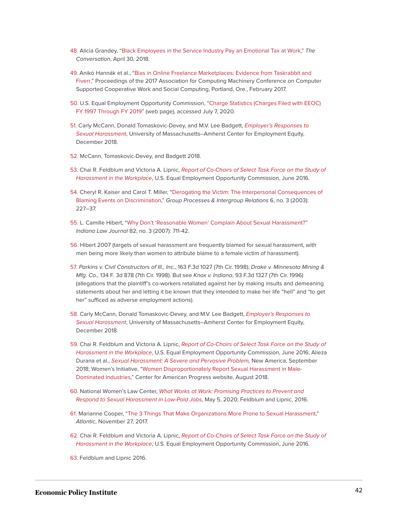- <span id="page-42-0"></span>[48.](#page-13-8) Alicia Grandey, ["Black Employees in the Service Industry Pay an Emotional Tax at Work,](https://theconversation.com/black-employees-in-the-service-industry-pay-an-emotional-tax-at-work-94002)" The Conversation, April 30, 2018.
- <span id="page-42-1"></span>[49.](#page-14-0) Anikó Hannák et al., ["Bias in Online Freelance Marketplaces: Evidence from Taskrabbit and](https://doi.org/10.1145/2998181.2998327) [Fiverr](https://doi.org/10.1145/2998181.2998327)," Proceedings of the 2017 Association for Computing Machinery Conference on Computer Supported Cooperative Work and Social Computing, Portland, Ore., February 2017.
- <span id="page-42-2"></span>[50.](#page-14-1) U.S. Equal Employment Opportunity Commission, ["Charge Statistics \(Charges Filed with EEOC\)](https://www.eeoc.gov/enforcement/charge-statistics-charges-filed-eeoc-fy-1997-through-fy-2019) [FY 1997 Through FY 2019](https://www.eeoc.gov/enforcement/charge-statistics-charges-filed-eeoc-fy-1997-through-fy-2019)" (web page), accessed July 7, 2020.
- <span id="page-42-3"></span>[51.](#page-14-2) Carly McCann, Donald Tomaskovic-Devey, and M.V. Lee Badgett, [Employer's Responses to](https://www.umass.edu/employmentequity/sites/default/files/Center%20for%20Employment%20Equity%20Employer%E2%80%99s%20Responses%20to%20Sexual%20Harassment%20Charges.pdf) [Sexual Harassment](https://www.umass.edu/employmentequity/sites/default/files/Center%20for%20Employment%20Equity%20Employer%E2%80%99s%20Responses%20to%20Sexual%20Harassment%20Charges.pdf), University of Massachusetts–Amherst Center for Employment Equity, December 2018.
- <span id="page-42-4"></span>[52.](#page-14-3) McCann, Tomaskovic-Devey, and Badgett 2018.
- <span id="page-42-5"></span>[53.](#page-14-4) Chai R. Feldblum and Victoria A. Lipnic, [Report of Co-Chairs of Select Task Force on the Study of](https://www.eeoc.gov/select-task-force-study-harassment-workplace) [Harassment in the Workplace](https://www.eeoc.gov/select-task-force-study-harassment-workplace), U.S. Equal Employment Opportunity Commission, June 2016.
- <span id="page-42-6"></span>[54.](#page-14-5) Cheryl R. Kaiser and Carol T. Miller, "[Derogating the Victim: The Interpersonal Consequences of](https://doi.org/10.1177%2F13684302030063001) [Blaming Events on Discrimination](https://doi.org/10.1177%2F13684302030063001)," Group Processes & Intergroup Relations 6, no. 3 (2003): 227–37.
- <span id="page-42-7"></span>[55.](#page-14-6) L. Camille Hibert, "[Why Don't 'Reasonable Women' Complain About Sexual Harassment?"](https://www.repository.law.indiana.edu/cgi/viewcontent.cgi?article=1365&context=ilj) Indiana Law Journal 82, no. 3 (2007): 711-42.
- <span id="page-42-8"></span>[56.](#page-14-7) Hibert 2007 (targets of sexual harassment are frequently blamed for sexual harassment, with men being more likely than women to attribute blame to a female victim of harassment).
- <span id="page-42-9"></span>[57.](#page-15-0) Parkins v. Civil Constructors of Ill., Inc., 163 F.3d 1027 (7th Cir. 1998); Drake v. Minnesota Mining & Mfg. Co., 134 F. 3d 878 (7th Cir. 1998). But see Knox v. Indiana, 93 F.3d 1327 (7th Cir. 1996) (allegations that the plaintiff's co-workers retaliated against her by making insults and demeaning statements about her and letting it be known that they intended to make her life "hell" and "to get her" sufficed as adverse employment actions).
- <span id="page-42-10"></span>[58.](#page-15-1) Carly McCann, Donald Tomaskovic-Devey, and M.V. Lee Badgett, [Employer's Responses to](https://www.umass.edu/employmentequity/sites/default/files/Center%20for%20Employment%20Equity%20Employer%E2%80%99s%20Responses%20to%20Sexual%20Harassment%20Charges.pdf) [Sexual Harassment](https://www.umass.edu/employmentequity/sites/default/files/Center%20for%20Employment%20Equity%20Employer%E2%80%99s%20Responses%20to%20Sexual%20Harassment%20Charges.pdf), University of Massachusetts–Amherst Center for Employment Equity, December 2018.
- <span id="page-42-11"></span>[59.](#page-15-2) Chai R. Feldblum and Victoria A. Lipnic, [Report of Co-Chairs of Select Task Force on the Study of](https://www.eeoc.gov/select-task-force-study-harassment-workplace) [Harassment in the Workplace](https://www.eeoc.gov/select-task-force-study-harassment-workplace), U.S. Equal Employment Opportunity Commission, June 2016; Alieza Durana et al., [Sexual Harassment: A Severe and Pervasive Problem,](https://www.newamerica.org/better-life-lab/reports/sexual-harassment-severe-and-pervasive-problem/breaking-into-the-blue-collar-boys-club-male-dominated-low-and-middle-wage-sectors) New America, September 2018; Women's Initiative, ["Women Disproportionately Report Sexual Harassment in Male-](https://www.americanprogress.org/issues/women/news/2018/08/06/454376/gender-matters/)[Dominated Industries](https://www.americanprogress.org/issues/women/news/2018/08/06/454376/gender-matters/)," Center for American Progress website, August 2018.
- <span id="page-42-12"></span>[60.](#page-15-3) National Women's Law Center, [What Works at Work: Promising Practices to Prevent and](https://nwlc-ciw49tixgw5lbab.stackpathdns.com/wp-content/uploads/2020/05/Convening-report_English-Final.pdf) [Respond to Sexual Harassment in Low-Paid Jobs](https://nwlc-ciw49tixgw5lbab.stackpathdns.com/wp-content/uploads/2020/05/Convening-report_English-Final.pdf), May 5, 2020; Feldblum and Lipnic, 2016.
- <span id="page-42-13"></span>[61.](#page-15-4) Marianne Cooper, "[The 3 Things That Make Organizations More Prone to Sexual Harassment,](https://www.theatlantic.com/business/archive/2017/11/organizations-sexual-harassment/546707/)" Atlantic, November 27, 2017.
- <span id="page-42-14"></span>[62.](#page-15-5) Chai R. Feldblum and Victoria A. Lipnic, [Report of Co-Chairs of Select Task Force on the Study of](https://www.eeoc.gov/select-task-force-study-harassment-workplace) [Harassment in the Workplace](https://www.eeoc.gov/select-task-force-study-harassment-workplace), U.S. Equal Employment Opportunity Commission, June 2016.

<span id="page-42-15"></span>[63.](#page-16-0) Feldblum and Lipnic 2016.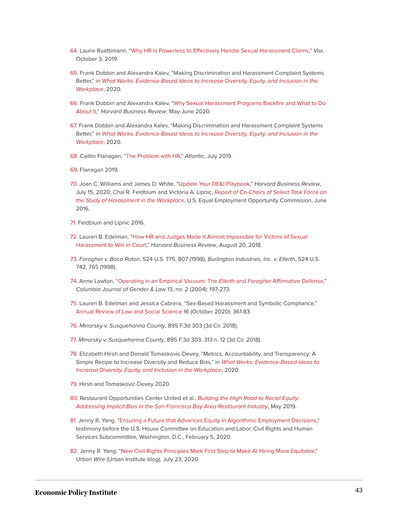- <span id="page-43-0"></span>[64.](#page-16-1) Laurie Ruettimann, "[Why HR Is Powerless to Effectively Handle Sexual Harassment Claims](https://www.vox.com/first-person/2019/10/3/20887020/me-too-sexual-harassment-movement-boss-reporting-hr)," Vox, October 3, 2019.
- <span id="page-43-1"></span>[65.](#page-16-2) Frank Dobbin and Alexandra Kalev, "Making Discrimination and Harassment Complaint Systems Better," in [What Works: Evidence-Based Ideas to Increase Diversity, Equity, and Inclusion in the](https://www.umass.edu/employmentequity/sites/default/files/What_Works.pdf) [Workplace](https://www.umass.edu/employmentequity/sites/default/files/What_Works.pdf), 2020.
- <span id="page-43-2"></span>[66.](#page-16-3) Frank Dobbin and Alexandra Kalev, ["Why Sexual Harassment Programs Backfire and What to Do](https://hbr.org/2020/05/confronting-sexual-harassment) [About It,](https://hbr.org/2020/05/confronting-sexual-harassment)" Harvard Business Review, May-June 2020.
- <span id="page-43-3"></span>[67.](#page-16-4) Frank Dobbin and Alexandra Kalev, "Making Discrimination and Harassment Complaint Systems Better," in [What Works: Evidence-Based Ideas to Increase Diversity, Equity, and Inclusion in the](https://www.umass.edu/employmentequity/sites/default/files/What_Works.pdf) [Workplace](https://www.umass.edu/employmentequity/sites/default/files/What_Works.pdf), 2020.
- <span id="page-43-4"></span>[68.](#page-16-5) Caitlin Flanagan, ["The Problem with HR](https://amp.theatlantic.com/amp/article/590644/)," Atlantic, July 2019.
- <span id="page-43-5"></span>[69.](#page-16-6) Flanagan 2019.
- <span id="page-43-6"></span>[70.](#page-16-7) Joan C. Williams and James D. White, "[Update Your DE&I Playbook](https://hbr.org/2020/07/update-your-dei-playbook)," Harvard Business Review, July 15, 2020; Chai R. Feldblum and Victoria A. Lipnic, [Report of Co-Chairs of Select Task Force on](https://www.eeoc.gov/select-task-force-study-harassment-workplace) [the Study of Harassment in the Workplace](https://www.eeoc.gov/select-task-force-study-harassment-workplace), U.S. Equal Employment Opportunity Commission, June 2016.
- <span id="page-43-7"></span>[71.](#page-16-8) Feldblum and Lipnic 2016.
- <span id="page-43-8"></span>[72.](#page-16-9) Lauren B. Edelman, ["How HR and Judges Made It Almost Impossible for Victims of Sexual](https://hbr.org/2018/08/how-hr-and-judges-made-it-almost-impossible-for-victims-of-sexual-harassment-to-win-in-court) [Harassment to Win in Court](https://hbr.org/2018/08/how-hr-and-judges-made-it-almost-impossible-for-victims-of-sexual-harassment-to-win-in-court)," Harvard Business Review, August 20, 2018.
- <span id="page-43-9"></span>[73.](#page-16-10) Faragher v. Boca Raton, 524 U.S. 775, 807 (1998); Burlington Industries, Inc. v. Ellerth, 524 U.S. 742, 765 (1998).
- <span id="page-43-10"></span>[74.](#page-17-0) Anne Lawton, "[Operating in an Empirical Vacuum: The](https://journals.library.columbia.edu/index.php/cjgl/article/view/2496) Ellerth and Faragher Affirmative Defense," Columbia Journal of Gender & Law 13, no. 2 (2004): 197-273.
- <span id="page-43-11"></span>[75.](#page-17-1) Lauren B. Edelman and Jessica Cabrera, "Sex-Based Harassment and Symbolic Compliance," [Annual Review of Law and Social Science](https://www.annualreviews.org/doi/pdf/10.1146/annurev-lawsocsci-031820-122129) 16 (October 2020): 361-83.
- <span id="page-43-12"></span>[76.](#page-17-2) Minarsky v. Susquehanna County, 895 F.3d 303 (3d Cir. 2018).
- <span id="page-43-13"></span>[77.](#page-17-3) Minarsky v. Susquehanna County, 895 F.3d 303, 313 n. 12 (3d Cir. 2018).
- <span id="page-43-14"></span>[78.](#page-18-0) Elizabeth Hirsh and Donald Tomaskovic-Devey, "Metrics, Accountability, and Transparency: A Simple Recipe to Increase Diversity and Reduce Bias," in [What Works: Evidence-Based Ideas to](https://www.umass.edu/employmentequity/sites/default/files/What_Works.pdf) [Increase Diversity, Equity, and Inclusion in the Workplace](https://www.umass.edu/employmentequity/sites/default/files/What_Works.pdf), 2020.
- <span id="page-43-15"></span>[79.](#page-18-1) Hirsh and Tomaskovic-Devey 2020.
- <span id="page-43-16"></span>[80.](#page-18-2) Restaurant Opportunities Center United et al., [Building the High Road to Racial Equity:](https://chapters.rocunited.org/wp-content/uploads/2019/06/TheHighRoad_RacialEquity_Report.pdf) [Addressing Implicit Bias in the San Francisco Bay Area Restaurant Industry](https://chapters.rocunited.org/wp-content/uploads/2019/06/TheHighRoad_RacialEquity_Report.pdf), May 2019.
- <span id="page-43-17"></span>[81.](#page-18-3) Jenny R. Yang, "[Ensuring a Future that Advances Equity in Algorithmic Employment Decisions,](https://edlabor.house.gov/imo/media/doc/YangTestimony02052020.pdf)" testimony before the U.S. House Committee on Education and Labor, Civil Rights and Human Services Subcommittee, Washington, D.C., February 5, 2020.
- <span id="page-43-18"></span>[82.](#page-18-4) Jenny R. Yang, ["New Civil Rights Principles Mark First Step to Make AI Hiring More Equitable](https://www.urban.org/urban-wire/new-civil-rights-principles-mark-first-step-make-ai-hiring-more-equitable)," Urban Wire (Urban Institute blog), July 23, 2020.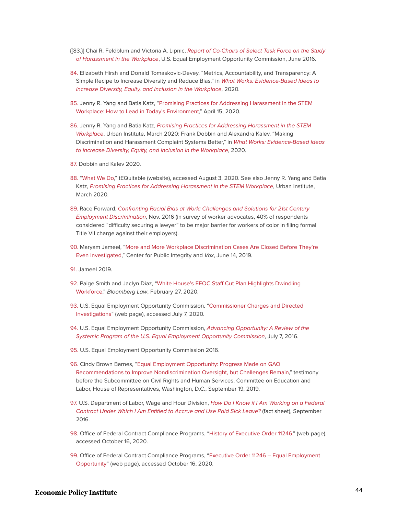- {{83.}} Chai R. Feldblum and Victoria A. Lipnic, [Report of Co-Chairs of Select Task Force on the Study](https://www.eeoc.gov/select-task-force-study-harassment-workplace) [of Harassment in the Workplace](https://www.eeoc.gov/select-task-force-study-harassment-workplace), U.S. Equal Employment Opportunity Commission, June 2016.
- <span id="page-44-0"></span>[84.](#page-19-0) Elizabeth Hirsh and Donald Tomaskovic-Devey, "Metrics, Accountability, and Transparency: A Simple Recipe to Increase Diversity and Reduce Bias," in [What Works: Evidence-Based Ideas to](https://www.umass.edu/employmentequity/sites/default/files/What_Works.pdf) [Increase Diversity, Equity, and Inclusion in the Workplace](https://www.umass.edu/employmentequity/sites/default/files/What_Works.pdf), 2020.
- <span id="page-44-1"></span>[85.](#page-19-1) Jenny R. Yang and Batia Katz, "[Promising Practices for Addressing Harassment in the STEM](https://www.urban.org/research/publication/promising-practices-addressing-harassment-stem-workplace) [Workplace: How to Lead in Today's Environment](https://www.urban.org/research/publication/promising-practices-addressing-harassment-stem-workplace)," April 15, 2020.
- <span id="page-44-2"></span>[86.](#page-19-2) Jenny R. Yang and Batia Katz, [Promising Practices for Addressing Harassment in the STEM](https://nwlc-ciw49tixgw5lbab.stackpathdns.com/wp-content/uploads/2020/04/FINAL-REPORT_Promising-Practices-for-Addressing-Harassment-in-the-STEM-Workplace_30Oct2019-STEM-Forum.pdf) [Workplace](https://nwlc-ciw49tixgw5lbab.stackpathdns.com/wp-content/uploads/2020/04/FINAL-REPORT_Promising-Practices-for-Addressing-Harassment-in-the-STEM-Workplace_30Oct2019-STEM-Forum.pdf), Urban Institute, March 2020; Frank Dobbin and Alexandra Kalev, "Making Discrimination and Harassment Complaint Systems Better," in [What Works: Evidence-Based Ideas](https://www.umass.edu/employmentequity/sites/default/files/What_Works.pdf) [to Increase Diversity, Equity, and Inclusion in the Workplace](https://www.umass.edu/employmentequity/sites/default/files/What_Works.pdf), 2020.
- <span id="page-44-3"></span>[87.](#page-19-3) Dobbin and Kalev 2020.
- <span id="page-44-4"></span>[88.](#page-19-4) ["What We Do](https://www.tequitable.com/)," tEQuitable (website), accessed August 3, 2020. See also Jenny R. Yang and Batia Katz, [Promising Practices for Addressing Harassment in the STEM Workplace](https://nwlc-ciw49tixgw5lbab.stackpathdns.com/wp-content/uploads/2020/04/FINAL-REPORT_Promising-Practices-for-Addressing-Harassment-in-the-STEM-Workplace_30Oct2019-STEM-Forum.pdf), Urban Institute, March 2020.
- <span id="page-44-5"></span>[89.](#page-20-0) Race Forward, [Confronting Racial Bias at Work: Challenges and Solutions for 21st Century](https://www.raceforward.org/system/files/pdf/reports/RacialBiasAtWork.pdf) [Employment Discrimination](https://www.raceforward.org/system/files/pdf/reports/RacialBiasAtWork.pdf), Nov. 2016 (in survey of worker advocates, 40% of respondents considered "difficulty securing a lawyer" to be major barrier for workers of color in filing formal Title VII charge against their employers).
- <span id="page-44-6"></span>[90.](#page-20-1) Maryam Jameel, ["More and More Workplace Discrimination Cases Are Closed Before They're](https://publicintegrity.org/inequality-poverty-opportunity/workers-rights/workplace-inequities/injustice-at-work/more-and-more-workplace-discrimination-cases-being-closed-before-theyre-even-investigated/) [Even Investigated](https://publicintegrity.org/inequality-poverty-opportunity/workers-rights/workplace-inequities/injustice-at-work/more-and-more-workplace-discrimination-cases-being-closed-before-theyre-even-investigated/)," Center for Public Integrity and Vox, June 14, 2019.
- <span id="page-44-7"></span>[91.](#page-20-2) Jameel 2019.
- <span id="page-44-8"></span>[92.](#page-20-3) Paige Smith and Jaclyn Diaz, "[White House's EEOC Staff Cut Plan Highlights Dwindling](https://news.bloomberglaw.com/daily-labor-report/white-houses-eeoc-staff-cut-plan-highlights-dwindling-workforce) [Workforce,](https://news.bloomberglaw.com/daily-labor-report/white-houses-eeoc-staff-cut-plan-highlights-dwindling-workforce)" Bloomberg Law, February 27, 2020.
- <span id="page-44-9"></span>[93.](#page-20-4) U.S. Equal Employment Opportunity Commission, "[Commissioner Charges and Directed](https://www.eeoc.gov/commissioner-charges-and-directed-investigations) [Investigations](https://www.eeoc.gov/commissioner-charges-and-directed-investigations)" (web page), accessed July 7, 2020.
- <span id="page-44-10"></span>[94.](#page-20-5) U.S. Equal Employment Opportunity Commission, [Advancing Opportunity: A Review of the](https://www.eeoc.gov/advancing-opportunitya-review-systemic-program-us-equal-employment-opportunity-commission) [Systemic Program of the U.S. Equal Employment Opportunity Commission](https://www.eeoc.gov/advancing-opportunitya-review-systemic-program-us-equal-employment-opportunity-commission), July 7, 2016.
- <span id="page-44-11"></span>[95.](#page-20-6) U.S. Equal Employment Opportunity Commission 2016.
- <span id="page-44-12"></span>[96.](#page-20-7) Cindy Brown Barnes, ["Equal Employment Opportunity: Progress Made on GAO](https://www.gao.gov/assets/710/701536.pdf) [Recommendations to Improve Nondiscrimination Oversight, but Challenges Remain,](https://www.gao.gov/assets/710/701536.pdf)" testimony before the Subcommittee on Civil Rights and Human Services, Committee on Education and Labor, House of Representatives, Washington, D.C., September 19, 2019.
- <span id="page-44-13"></span>[97.](#page-20-7) U.S. Department of Labor, Wage and Hour Division, [How Do I Know if I Am Working on a Federal](https://www.dol.gov/sites/dolgov/files/WHD/legacy/files/HowDoIKnow.pdf) [Contract Under Which I Am Entitled to Accrue and Use Paid Sick Leave?](https://www.dol.gov/sites/dolgov/files/WHD/legacy/files/HowDoIKnow.pdf) (fact sheet), September 2016.
- <span id="page-44-14"></span>[98.](#page-21-0) Office of Federal Contract Compliance Programs, ["History of Executive Order 11246,](https://www.dol.gov/agencies/ofccp/about/executive-order-11246-history)" (web page), accessed October 16, 2020.
- <span id="page-44-15"></span>[99.](#page-21-1) Office of Federal Contract Compliance Programs, "[Executive Order 11246 – Equal Employment](https://www.dol.gov/agencies/ofccp/executive-order-11246/ca-11246) [Opportunity"](https://www.dol.gov/agencies/ofccp/executive-order-11246/ca-11246) (web page), accessed October 16, 2020.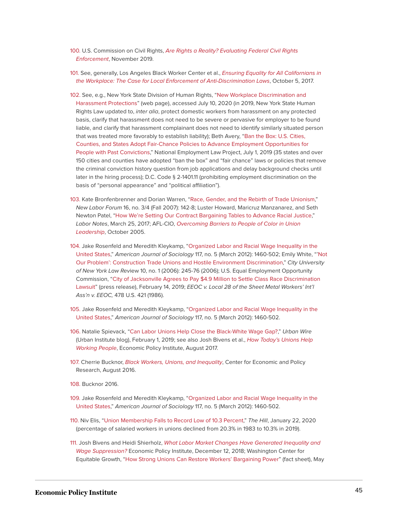- <span id="page-45-0"></span>[100.](#page-21-2) U.S. Commission on Civil Rights, [Are Rights a Reality? Evaluating Federal Civil Rights](https://www.usccr.gov/pubs/2019/11-21-Are-Rights-a-Reality.pdf) [Enforcement](https://www.usccr.gov/pubs/2019/11-21-Are-Rights-a-Reality.pdf), November 2019.
- <span id="page-45-1"></span>[101.](#page-21-3) See, generally, Los Angeles Black Worker Center et al., [Ensuring Equality for All Californians in](https://www.nelp.org/publication/the-case-for-local-enforcement-of-anti-discrimination-laws-in-ca/) [the Workplace: The Case for Local Enforcement of Anti-Discrimination Laws](https://www.nelp.org/publication/the-case-for-local-enforcement-of-anti-discrimination-laws-in-ca/), October 5, 2017.
- <span id="page-45-2"></span>[102.](#page-21-4) See, e.g., New York State Division of Human Rights, "[New Workplace Discrimination and](https://dhr.ny.gov/workplaceharassment) [Harassment Protections](https://dhr.ny.gov/workplaceharassment)" (web page), accessed July 10, 2020 (in 2019, New York State Human Rights Law updated to, inter alia, protect domestic workers from harassment on any protected basis, clarify that harassment does not need to be severe or pervasive for employer to be found liable, and clarify that harassment complainant does not need to identify similarly situated person that was treated more favorably to establish liability); Beth Avery, ["Ban the Box: U.S. Cities,](https://s27147.pcdn.co/wp-content/uploads/Ban-the-Box-Fair-Chance-State-and-Local-Guide-July-2019.pdf) [Counties, and States Adopt Fair-Chance Policies to Advance Employment Opportunities for](https://s27147.pcdn.co/wp-content/uploads/Ban-the-Box-Fair-Chance-State-and-Local-Guide-July-2019.pdf) [People with Past Convictions,](https://s27147.pcdn.co/wp-content/uploads/Ban-the-Box-Fair-Chance-State-and-Local-Guide-July-2019.pdf)" National Employment Law Project, July 1, 2019 (35 states and over 150 cities and counties have adopted "ban the box" and "fair chance" laws or policies that remove the criminal conviction history question from job applications and delay background checks until later in the hiring process); D.C. Code § 2-1401.11 (prohibiting employment discrimination on the basis of "personal appearance" and "political affiliation").
- <span id="page-45-3"></span>[103.](#page-21-5) Kate Bronfenbrenner and Dorian Warren, "[Race, Gender, and the Rebirth of Trade Unionism](https://digitalcommons.ilr.cornell.edu/cgi/viewcontent.cgi?article=1839&context=articles)," New Labor Forum 16, no. 3/4 (Fall 2007): 142-8; Luster Howard, Maricruz Manzanarez, and Seth Newton Patel, "[How We're Setting Our Contract Bargaining Tables to Advance Racial Justice,](https://www.labornotes.org/2017/03/setting-our-bargaining-tables-advance-racial-justice)" Labor Notes, March 25, 2017; AFL-CIO, [Overcoming Barriers to People of Color in Union](https://digitalcommons.ilr.cornell.edu/cgi/viewcontent.cgi?article=1008&context=laborunions) [Leadership](https://digitalcommons.ilr.cornell.edu/cgi/viewcontent.cgi?article=1008&context=laborunions), October 2005.
- <span id="page-45-4"></span>[104.](#page-21-6) Jake Rosenfeld and Meredith Kleykamp, ["Organized Labor and Racial Wage Inequality in the](https://doi.org/10.1086/663673) [United States,](https://doi.org/10.1086/663673)" American Journal of Sociology 117, no. 5 (March 2012): 1460-502; Emily White, "['Not](https://academicworks.cuny.edu/clr/vol10/iss1/11/) [Our Problem': Construction Trade Unions and Hostile Environment Discrimination](https://academicworks.cuny.edu/clr/vol10/iss1/11/)," City University of New York Law Review 10, no. 1 (2006): 245-76 (2006); U.S. Equal Employment Opportunity Commission, ["City of Jacksonville Agrees to Pay \\$4.9 Million to Settle Class Race Discrimination](https://www.eeoc.gov/newsroom/city-jacksonville-agrees-pay-49-million-settle-class-race-discrimination-lawsuit) [Lawsuit](https://www.eeoc.gov/newsroom/city-jacksonville-agrees-pay-49-million-settle-class-race-discrimination-lawsuit)" (press release), February 14, 2019; EEOC v. Local 28 of the Sheet Metal Workers' Int'l Ass'n v. EEOC, 478 U.S. 421 (1986).
- <span id="page-45-5"></span>[105.](#page-21-7) Jake Rosenfeld and Meredith Kleykamp, ["Organized Labor and Racial Wage Inequality in the](https://doi.org/10.1086/663673) [United States,](https://doi.org/10.1086/663673)" American Journal of Sociology 117, no. 5 (March 2012): 1460-502.
- <span id="page-45-6"></span>[106.](#page-21-8) Natalie Spievack, "[Can Labor Unions Help Close the Black-White Wage Gap?](https://www.urban.org/urban-wire/can-labor-unions-help-close-black-white-wage-gap)," Urban Wire (Urban Institute blog), February 1, 2019; see also Josh Bivens et al., [How Today's Unions Help](https://files.epi.org/pdf/133275.pdf) [Working People](https://files.epi.org/pdf/133275.pdf), Economic Policy Institute, August 2017.
- <span id="page-45-7"></span>[107.](#page-21-9) Cherrie Bucknor, [Black Workers, Unions, and Inequality](https://www.cepr.net/images/stories/reports/black-workers-unions-2016-08.pdf?v=2), Center for Economic and Policy Research, August 2016.
- <span id="page-45-8"></span>[108.](#page-21-10) Bucknor 2016.
- <span id="page-45-9"></span>[109.](#page-21-11) Jake Rosenfeld and Meredith Kleykamp, ["Organized Labor and Racial Wage Inequality in the](https://doi.org/10.1086/663673) [United States,](https://doi.org/10.1086/663673)" American Journal of Sociology 117, no. 5 (March 2012): 1460-502.
- <span id="page-45-10"></span>[110.](#page-21-12) Niv Elis, ["Union Membership Falls to Record Low of 10.3 Percent,](https://thehill.com/policy/finance/479400-union-membership-falls-to-record-low-of-103-percent)" The Hill, January 22, 2020 (percentage of salaried workers in unions declined from 20.3% in 1983 to 10.3% in 2019).
- <span id="page-45-11"></span>[111.](#page-21-13) Josh Bivens and Heidi Shierholz, [What Labor Market Changes Have Generated Inequality and](https://www.epi.org/publication/what-labor-market-changes-have-generated-inequality-and-wage-suppression-employer-power-is-significant-but-largely-constant-whereas-workers-power-has-been-eroded-by-policy-actions/) [Wage Suppression?](https://www.epi.org/publication/what-labor-market-changes-have-generated-inequality-and-wage-suppression-employer-power-is-significant-but-largely-constant-whereas-workers-power-has-been-eroded-by-policy-actions/) Economic Policy Institute, December 12, 2018; Washington Center for Equitable Growth, "[How Strong Unions Can Restore Workers' Bargaining Power"](https://equitablegrowth.org/factsheet-how-strong-unions-can-restore-workers-bargaining-power/) (fact sheet), May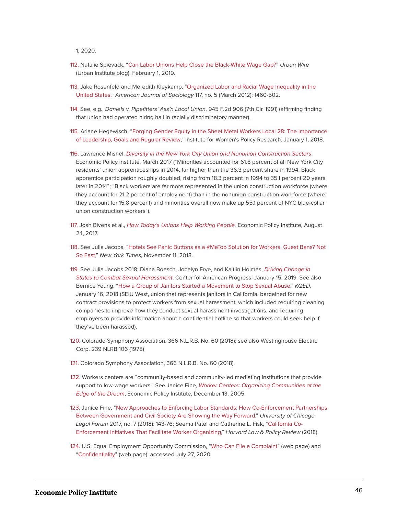1, 2020.

- <span id="page-46-0"></span>[112.](#page-22-0) Natalie Spievack, ["Can Labor Unions Help Close the Black-White Wage Gap?"](https://www.urban.org/urban-wire/can-labor-unions-help-close-black-white-wage-gap) Urban Wire (Urban Institute blog), February 1, 2019.
- <span id="page-46-1"></span>[113.](#page-22-1) Jake Rosenfeld and Meredith Kleykamp, "[Organized Labor and Racial Wage Inequality in the](https://doi.org/10.1086/663673) [United States,](https://doi.org/10.1086/663673)" American Journal of Sociology 117, no. 5 (March 2012): 1460-502.
- <span id="page-46-2"></span>[114.](#page-22-2) See, e.g., Daniels v. Pipefitters' Ass'n Local Union, 945 F.2d 906 (7th Cir. 1991) (affirming finding that union had operated hiring hall in racially discriminatory manner).
- <span id="page-46-3"></span>[115.](#page-22-3) Ariane Hegewisch, "[Forging Gender Equity in the Sheet Metal Workers Local 28: The Importance](https://iwpr.org/iwpr-general/forging-gender-equity-in-the-sheet-metal-workers-local-28-the-importance-of-leadership-goals-and-regular-review/) [of Leadership, Goals and Regular Review,](https://iwpr.org/iwpr-general/forging-gender-equity-in-the-sheet-metal-workers-local-28-the-importance-of-leadership-goals-and-regular-review/)" Institute for Women's Policy Research, January 1, 2018.
- <span id="page-46-4"></span>[116.](#page-22-4) Lawrence Mishel, [Diversity in the New York City Union and Nonunion Construction Sectors](https://files.epi.org/pdf/119517.pdf), Economic Policy Institute, March 2017 ("Minorities accounted for 61.8 percent of all New York City residents' union apprenticeships in 2014, far higher than the 36.3 percent share in 1994. Black apprentice participation roughly doubled, rising from 18.3 percent in 1994 to 35.1 percent 20 years later in 2014"; "Black workers are far more represented in the union construction workforce (where they account for 21.2 percent of employment) than in the nonunion construction workforce (where they account for 15.8 percent) and minorities overall now make up 55.1 percent of NYC blue-collar union construction workers").
- <span id="page-46-5"></span>[117.](#page-22-5) Josh Bivens et al., [How Today's Unions Help Working People](https://www.epi.org/publication/how-todays-unions-help-working-people-giving-workers-the-power-to-improve-their-jobs-and-unrig-the-economy/), Economic Policy Institute, August 24, 2017.
- <span id="page-46-6"></span>[118.](#page-22-6) See Julia Jacobs, "[Hotels See Panic Buttons as a #MeToo Solution for Workers. Guest Bans? Not](https://www.nytimes.com/2018/11/11/us/panic-buttons-hotel-me-too.html) [So Fast](https://www.nytimes.com/2018/11/11/us/panic-buttons-hotel-me-too.html)," New York Times, November 11, 2018.
- <span id="page-46-7"></span>[119.](#page-22-7) See Julia Jacobs 2018; Diana Boesch, Jocelyn Frye, and Kaitlin Holmes, [Driving Change in](https://www.americanprogress.org/issues/women/reports/2019/01/15/465100/driving-change-states-combat-sexual-harassment/) [States to Combat Sexual Harassment](https://www.americanprogress.org/issues/women/reports/2019/01/15/465100/driving-change-states-combat-sexual-harassment/), Center for American Progress, January 15, 2019. See also Bernice Yeung, ["How a Group of Janitors Started a Movement to Stop Sexual Abuse,](https://www.kqed.org/news/11642102/how-a-group-of-janitors-started-a-movement-to-stop-sexual-abuse)" KQED, January 16, 2018 (SEIU West, union that represents janitors in California, bargained for new contract provisions to protect workers from sexual harassment, which included requiring cleaning companies to improve how they conduct sexual harassment investigations, and requiring employers to provide information about a confidential hotline so that workers could seek help if they've been harassed).
- <span id="page-46-8"></span>[120.](#page-22-8) Colorado Symphony Association, 366 N.L.R.B. No. 60 (2018); see also Westinghouse Electric Corp. 239 NLRB 106 (1978)
- <span id="page-46-9"></span>[121.](#page-22-9) Colorado Symphony Association, 366 N.L.R.B. No. 60 (2018).
- <span id="page-46-10"></span>[122.](#page-22-10) Workers centers are "community-based and community-led mediating institutions that provide support to low-wage workers." See Janice Fine, [Worker Centers: Organizing Communities at the](https://www.epi.org/publication/bp159/) [Edge of the Dream](https://www.epi.org/publication/bp159/), Economic Policy Institute, December 13, 2005.
- <span id="page-46-11"></span>[123.](#page-22-11) Janice Fine, "[New Approaches to Enforcing Labor Standards: How Co-Enforcement Partnerships](https://chicagounbound.uchicago.edu/uclf/vol2017/iss1/7) [Between Government and Civil Society Are Showing the Way Forward,](https://chicagounbound.uchicago.edu/uclf/vol2017/iss1/7)" University of Chicago Legal Forum 2017, no. 7 (2018): 143-76; Seema Patel and Catherine L. Fisk, ["California Co-](https://harvardlpr.com/wp-content/uploads/sites/20/2017/11/Patel-Fisk-CoEnforcement.pdf)[Enforcement Initiatives That Facilitate Worker Organizing](https://harvardlpr.com/wp-content/uploads/sites/20/2017/11/Patel-Fisk-CoEnforcement.pdf)," Harvard Law & Policy Review (2018).
- <span id="page-46-12"></span>[124.](#page-23-1) U.S. Equal Employment Opportunity Commission, "[Who Can File a Complaint"](https://www.eeoc.gov/youth/who-can-file-complaint) (web page) and "[Confidentiality](https://www.eeoc.gov/confidentiality)" (web page), accessed July 27, 2020.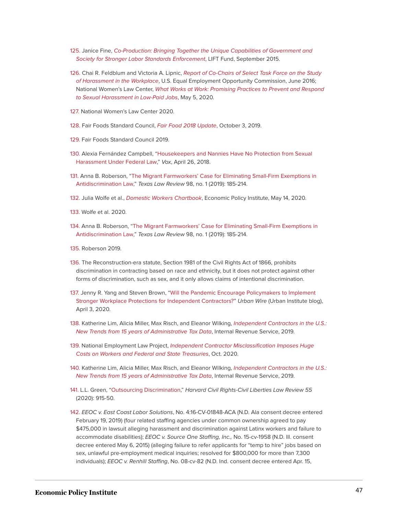- <span id="page-47-0"></span>[125.](#page-23-2) Janice Fine, [Co-Production: Bringing Together the Unique Capabilities of Government and](http://theliftfund.org/wp-content/uploads/2015/09/LIFTReportCoproductionOct_ExecSumm-rf_4.pdf) [Society for Stronger Labor Standards Enforcement](http://theliftfund.org/wp-content/uploads/2015/09/LIFTReportCoproductionOct_ExecSumm-rf_4.pdf), LIFT Fund, September 2015.
- <span id="page-47-1"></span>[126.](#page-23-3) Chai R. Feldblum and Victoria A. Lipnic, [Report of Co-Chairs of Select Task Force on the Study](https://www.eeoc.gov/select-task-force-study-harassment-workplace) [of Harassment in the Workplace](https://www.eeoc.gov/select-task-force-study-harassment-workplace), U.S. Equal Employment Opportunity Commission, June 2016; National Women's Law Center, [What Works at Work: Promising Practices to Prevent and Respond](https://nwlc-ciw49tixgw5lbab.stackpathdns.com/wp-content/uploads/2020/05/Convening-report_English-Final.pdf) [to Sexual Harassment in Low-Paid Jobs](https://nwlc-ciw49tixgw5lbab.stackpathdns.com/wp-content/uploads/2020/05/Convening-report_English-Final.pdf), May 5, 2020.
- <span id="page-47-2"></span>[127.](#page-23-4) National Women's Law Center 2020.
- <span id="page-47-3"></span>[128.](#page-23-5) Fair Foods Standard Council, [Fair Food 2018 Update](https://www.fairfoodprogram.org/wp-content/uploads/2019/10/Fair-Food-Program-2018-SOTP-Update-Final.pdf), October 3, 2019.
- <span id="page-47-4"></span>[129.](#page-23-6) Fair Foods Standard Council 2019.
- <span id="page-47-5"></span>[130.](#page-23-7) Alexia Fernández Campbell, ["Housekeepers and Nannies Have No Protection from Sexual](https://www.vox.com/2018/4/26/17275708/housekeepers-nannies-sexual-harassment-laws) [Harassment Under Federal Law](https://www.vox.com/2018/4/26/17275708/housekeepers-nannies-sexual-harassment-laws)," Vox, April 26, 2018.
- <span id="page-47-6"></span>[131.](#page-23-8) Anna B. Roberson, ["The Migrant Farmworkers' Case for Eliminating Small-Firm Exemptions in](https://texaslawreview.org/the-migrant-farmworkers-case-for-eliminating-small-firm-exemptions-in-antidiscrimination-law) [Antidiscrimination Law](https://texaslawreview.org/the-migrant-farmworkers-case-for-eliminating-small-firm-exemptions-in-antidiscrimination-law)," Texas Law Review 98, no. 1 (2019): 185-214.
- <span id="page-47-7"></span>[132.](#page-23-9) Julia Wolfe et al., [Domestic Workers Chartbook](https://files.epi.org/pdf/194214.pdf), Economic Policy Institute, May 14, 2020.
- <span id="page-47-8"></span>[133.](#page-24-0) Wolfe et al. 2020.
- <span id="page-47-9"></span>[134.](#page-24-1) Anna B. Roberson, ["The Migrant Farmworkers' Case for Eliminating Small-Firm Exemptions in](https://texaslawreview.org/the-migrant-farmworkers-case-for-eliminating-small-firm-exemptions-in-antidiscrimination-law) [Antidiscrimination Law](https://texaslawreview.org/the-migrant-farmworkers-case-for-eliminating-small-firm-exemptions-in-antidiscrimination-law)," Texas Law Review 98, no. 1 (2019): 185-214.
- <span id="page-47-10"></span>[135.](#page-24-2) Roberson 2019.
- <span id="page-47-11"></span>[136.](#page-24-3) The Reconstruction-era statute, Section 1981 of the Civil Rights Act of 1866, prohibits discrimination in contracting based on race and ethnicity, but it does not protect against other forms of discrimination, such as sex, and it only allows claims of intentional discrimination.
- <span id="page-47-12"></span>[137.](#page-24-4) Jenny R. Yang and Steven Brown, ["Will the Pandemic Encourage Policymakers to Implement](https://www.urban.org/urban-wire/will-pandemic-encourage-policymakers-implement-stronger-workplace-protections-independent-contractors) [Stronger Workplace Protections for Independent Contractors?"](https://www.urban.org/urban-wire/will-pandemic-encourage-policymakers-implement-stronger-workplace-protections-independent-contractors) Urban Wire (Urban Institute blog), April 3, 2020.
- <span id="page-47-13"></span>[138.](#page-24-5) Katherine Lim, Alicia Miller, Max Risch, and Eleanor Wilking, [Independent Contractors in the U.S.:](https://www.irs.gov/pub/irs-soi/19rpindcontractorinus.pdf) [New Trends from 15 years of Administrative Tax Data](https://www.irs.gov/pub/irs-soi/19rpindcontractorinus.pdf), Internal Revenue Service, 2019.
- <span id="page-47-14"></span>[139.](#page-24-6) National Employment Law Project, [Independent Contractor Misclassification Imposes Huge](https://s27147.pcdn.co/wp-content/uploads/Independent-Contractor-Misclassification-Imposes-Huge-Costs-Workers-Federal-State-Treasuries-Update-October-2020.pdf) [Costs on Workers and Federal and State Treasuries](https://s27147.pcdn.co/wp-content/uploads/Independent-Contractor-Misclassification-Imposes-Huge-Costs-Workers-Federal-State-Treasuries-Update-October-2020.pdf), Oct. 2020.
- <span id="page-47-15"></span>[140.](#page-24-7) Katherine Lim, Alicia Miller, Max Risch, and Eleanor Wilking, [Independent Contractors in the U.S.:](https://www.irs.gov/pub/irs-soi/19rpindcontractorinus.pdf) [New Trends from 15 years of Administrative Tax Data](https://www.irs.gov/pub/irs-soi/19rpindcontractorinus.pdf), Internal Revenue Service, 2019.
- <span id="page-47-16"></span>[141.](#page-24-8) L.L. Green, ["Outsourcing Discrimination,](https://harvardcrcl.org/wp-content/uploads/sites/10/2020/10/55-Harv.-C.R.-C.L.-L.-Rev.-915.pdf)" Harvard Civil Rights-Civil Liberties Law Review 55 (2020): 915-50.
- <span id="page-47-17"></span>[142.](#page-24-9) EEOC v. East Coast Labor Solutions, No. 4:16-CV-01848-ACA (N.D. Ala consent decree entered February 19, 2019) (four related staffing agencies under common ownership agreed to pay \$475,000 in lawsuit alleging harassment and discrimination against Latinx workers and failure to accommodate disabilities); EEOC v. Source One Staffing, Inc., No. 15-cv-1958 (N.D. Ill. consent decree entered May 6, 2015) (alleging failure to refer applicants for "temp to hire" jobs based on sex, unlawful pre-employment medical inquiries; resolved for \$800,000 for more than 7,300 individuals); EEOC v. Renhill Staffing, No. 08-cv-82 (N.D. Ind. consent decree entered Apr. 15,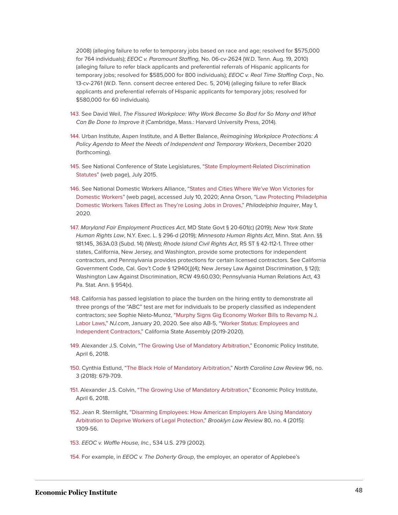2008) (alleging failure to refer to temporary jobs based on race and age; resolved for \$575,000 for 764 individuals); EEOC v. Paramount Staffing, No. 06-cv-2624 (W.D. Tenn. Aug. 19, 2010) (alleging failure to refer black applicants and preferential referrals of Hispanic applicants for temporary jobs; resolved for \$585,000 for 800 individuals); EEOC v. Real Time Staffing Corp., No. 13-cv-2761 (W.D. Tenn. consent decree entered Dec. 5, 2014) (alleging failure to refer Black applicants and preferential referrals of Hispanic applicants for temporary jobs; resolved for \$580,000 for 60 individuals).

- <span id="page-48-0"></span>[143.](#page-25-0) See David Weil, The Fissured Workplace: Why Work Became So Bad for So Many and What Can Be Done to Improve It (Cambridge, Mass.: Harvard University Press, 2014).
- <span id="page-48-1"></span>[144.](#page-25-1) Urban Institute, Aspen Institute, and A Better Balance, Reimagining Workplace Protections: A Policy Agenda to Meet the Needs of Independent and Temporary Workers, December 2020 (forthcoming).
- <span id="page-48-2"></span>[145.](#page-25-2) See National Conference of State Legislatures, ["State Employment-Related Discrimination](https://www.ncsl.org/documents/employ/Discrimination-Chart-2015.pdf) [Statutes](https://www.ncsl.org/documents/employ/Discrimination-Chart-2015.pdf)" (web page), July 2015.
- <span id="page-48-3"></span>[146.](#page-25-3) See National Domestic Workers Alliance, "[States and Cities Where We've Won Victories for](https://www.domesticworkers.org/#bor-states) [Domestic Workers"](https://www.domesticworkers.org/#bor-states) (web page), accessed July 10, 2020; Anna Orson, ["Law Protecting Philadelphia](https://www.inquirer.com/news/philadelphia/philadelphia-domestic-worker-bill-of-rights-takes-effect-coronavirus-20200501.html) [Domestic Workers Takes Effect as They're Losing Jobs in Droves](https://www.inquirer.com/news/philadelphia/philadelphia-domestic-worker-bill-of-rights-takes-effect-coronavirus-20200501.html)," Philadelphia Inquirer, May 1, 2020.
- <span id="page-48-4"></span>[147.](#page-25-4) Maryland Fair Employment Practices Act, MD State Govt § 20-601(c) (2019); New York State Human Rights Law, N.Y. Exec. L. § 296-d (2019); Minnesota Human Rights Act, Minn. Stat. Ann. §§ 181.145, 363A.03 (Subd. 14) (West); Rhode Island Civil Rights Act, RS ST § 42-112-1. Three other states, California, New Jersey, and Washington, provide some protections for independent contractors, and Pennsylvania provides protections for certain licensed contractors. See California Government Code, Cal. Gov't Code § 12940(j)(4); New Jersey Law Against Discrimination, § 12(l); Washington Law Against Discrimination, RCW 49.60.030; Pennsylvania Human Relations Act, 43 Pa. Stat. Ann. § 954(x).
- <span id="page-48-5"></span>[148.](#page-25-5) California has passed legislation to place the burden on the hiring entity to demonstrate all three prongs of the "ABC" test are met for individuals to be properly classified as independent contractors; see Sophie Nieto-Munoz, "[Murphy Signs Gig Economy Worker Bills to Revamp N.J.](https://www.nj.com/business/2020/01/njs-self-employed-gig-workers-protected-under-new-laws-signed-by-murphy.html) [Labor Laws,](https://www.nj.com/business/2020/01/njs-self-employed-gig-workers-protected-under-new-laws-signed-by-murphy.html)" NJ.com, January 20, 2020. See also AB-5, ["Worker Status: Employees and](https://leginfo.legislature.ca.gov/faces/billNavClient.xhtml?bill_id=201920200AB5) [Independent Contractors,](https://leginfo.legislature.ca.gov/faces/billNavClient.xhtml?bill_id=201920200AB5)" California State Assembly (2019-2020).
- <span id="page-48-6"></span>[149.](#page-26-0) Alexander J.S. Colvin, "[The Growing Use of Mandatory Arbitration](https://www.epi.org/publication/the-growing-use-of-mandatory-arbitration-access-to-the-courts-is-now-barred-for-more-than-60-million-american-workers/)," Economic Policy Institute, April 6, 2018.
- <span id="page-48-7"></span>[150.](#page-26-1) Cynthia Estlund, ["The Black Hole of Mandatory Arbitration](https://scholarship.law.unc.edu/cgi/viewcontent.cgi?referer=https://scholar.google.com/scholar?hl=en&as_sdt=0%2C9&q=The+Black+Hole+of+Mandatory+Arbitration&btnG=&httpsredir=1&article=5972&context=nclr)," North Carolina Law Review 96, no. 3 (2018): 679-709.
- <span id="page-48-8"></span>[151.](#page-26-2) Alexander J.S. Colvin, "[The Growing Use of Mandatory Arbitration,](https://www.epi.org/publication/the-growing-use-of-mandatory-arbitration-access-to-the-courts-is-now-barred-for-more-than-60-million-american-workers/)" Economic Policy Institute, April 6, 2018.
- <span id="page-48-9"></span>[152.](#page-26-3) Jean R. Sternlight, "[Disarming Employees: How American Employers Are Using Mandatory](https://ssrn.com/abstract=2508068) [Arbitration to Deprive Workers of Legal Protection,](https://ssrn.com/abstract=2508068)" Brooklyn Law Review 80, no. 4 (2015): 1309-56.
- <span id="page-48-10"></span>[153.](#page-26-4) EEOC v. Waffle House, Inc., 534 U.S. 279 (2002).
- <span id="page-48-11"></span>[154.](#page-26-5) For example, in EEOC v. The Doherty Group, the employer, an operator of Applebee's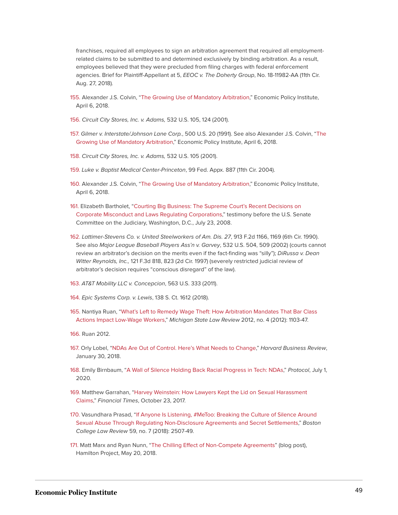franchises, required all employees to sign an arbitration agreement that required all employmentrelated claims to be submitted to and determined exclusively by binding arbitration. As a result, employees believed that they were precluded from filing charges with federal enforcement agencies. Brief for Plaintiff-Appellant at 5, EEOC v. The Doherty Group, No. 18-11982-AA (11th Cir. Aug. 27, 2018).

- <span id="page-49-0"></span>[155.](#page-27-0) Alexander J.S. Colvin, ["The Growing Use of Mandatory Arbitration,](https://www.epi.org/publication/the-growing-use-of-mandatory-arbitration-access-to-the-courts-is-now-barred-for-more-than-60-million-american-workers/)" Economic Policy Institute, April 6, 2018.
- <span id="page-49-1"></span>[156.](#page-27-1) Circuit City Stores, Inc. v. Adams, 532 U.S. 105, 124 (2001).
- <span id="page-49-2"></span>[157.](#page-27-2) Gilmer v. Interstate/Johnson Lane Corp., 500 U.S. 20 (1991). See also Alexander J.S. Colvin, "[The](https://www.epi.org/publication/the-growing-use-of-mandatory-arbitration-access-to-the-courts-is-now-barred-for-more-than-60-million-american-workers/) [Growing Use of Mandatory Arbitration](https://www.epi.org/publication/the-growing-use-of-mandatory-arbitration-access-to-the-courts-is-now-barred-for-more-than-60-million-american-workers/)," Economic Policy Institute, April 6, 2018.
- <span id="page-49-3"></span>[158.](#page-27-3) Circuit City Stores, Inc. v. Adams, 532 U.S. 105 (2001).
- <span id="page-49-4"></span>[159.](#page-27-4) Luke v. Baptist Medical Center-Princeton, 99 Fed. Appx. 887 (11th Cir. 2004).
- <span id="page-49-5"></span>[160.](#page-27-5) Alexander J.S. Colvin, ["The Growing Use of Mandatory Arbitration,](https://www.epi.org/publication/the-growing-use-of-mandatory-arbitration-access-to-the-courts-is-now-barred-for-more-than-60-million-american-workers/)" Economic Policy Institute, April 6, 2018.
- <span id="page-49-6"></span>[161.](#page-27-6) Elizabeth Bartholet, "[Courting Big Business: The Supreme Court's Recent Decisions on](https://www.judiciary.senate.gov/imo/media/doc/Bartholet%20Testimony%20072308a.pdf) [Corporate Misconduct and Laws Regulating Corporations,](https://www.judiciary.senate.gov/imo/media/doc/Bartholet%20Testimony%20072308a.pdf)" testimony before the U.S. Senate Committee on the Judiciary, Washington, D.C., July 23, 2008.
- <span id="page-49-7"></span>[162.](#page-28-0) Lattimer-Stevens Co. v. United Steelworkers of Am. Dis. 27, 913 F.2d 1166, 1169 (6th Cir. 1990). See also Major League Baseball Players Ass'n v. Garvey, 532 U.S. 504, 509 (2002) (courts cannot review an arbitrator's decision on the merits even if the fact-finding was "silly"); DiRussa v. Dean Witter Reynolds, Inc., 121 F.3d 818, 823 (2d Cir. 1997) (severely restricted judicial review of arbitrator's decision requires "conscious disregard" of the law).
- <span id="page-49-8"></span>[163.](#page-28-1) AT&T Mobility LLC v. Concepcion, 563 U.S. 333 (2011).
- <span id="page-49-9"></span>[164.](#page-28-2) Epic Systems Corp. v. Lewis, 138 S. Ct. 1612 (2018).
- <span id="page-49-10"></span>[165.](#page-28-3) Nantiya Ruan, ["What's Left to Remedy Wage Theft: How Arbitration Mandates That Bar Class](https://dx.doi.org/10.2139/ssrn.2159963) [Actions Impact Low-Wage Workers,](https://dx.doi.org/10.2139/ssrn.2159963)" Michigan State Law Review 2012, no. 4 (2012): 1103-47.
- <span id="page-49-11"></span>[166.](#page-28-4) Ruan 2012.
- <span id="page-49-12"></span>[167.](#page-28-5) Orly Lobel, "[NDAs Are Out of Control. Here's What Needs to Change,](https://hbr.org/2018/01/ndas-are-out-of-control-heres-what-needs-to-change)" Harvard Business Review, January 30, 2018.
- <span id="page-49-13"></span>[168.](#page-29-0) Emily Birnbaum, "[A Wall of Silence Holding Back Racial Progress in Tech: NDAs,](https://www.protocol.com/nda-racism-equality-diversity-tech)" Protocol, July 1, 2020.
- <span id="page-49-14"></span>[169.](#page-29-1) Matthew Garrahan, "[Harvey Weinstein: How Lawyers Kept the Lid on Sexual Harassment](https://www.ft.com/content/1dc8a8ae-b7e0-11e7-8c12-5661783e5589) [Claims](https://www.ft.com/content/1dc8a8ae-b7e0-11e7-8c12-5661783e5589)," Financial Times, October 23, 2017.
- <span id="page-49-15"></span>[170.](#page-29-2) Vasundhara Prasad, "[If Anyone Is Listening, #MeToo: Breaking the Culture of Silence Around](https://lawdigitalcommons.bc.edu/cgi/viewcontent.cgi?article=3704&context=bclr) [Sexual Abuse Through Regulating Non-Disclosure Agreements and Secret Settlements,](https://lawdigitalcommons.bc.edu/cgi/viewcontent.cgi?article=3704&context=bclr)" Boston College Law Review 59, no. 7 (2018): 2507-49.
- <span id="page-49-16"></span>[171.](#page-29-3) Matt Marx and Ryan Nunn, "[The Chilling Effect of Non-Compete Agreements](https://www.hamiltonproject.org/blog/the_chilling_effect_of_non_compete_agreements)" (blog post), Hamilton Project, May 20, 2018.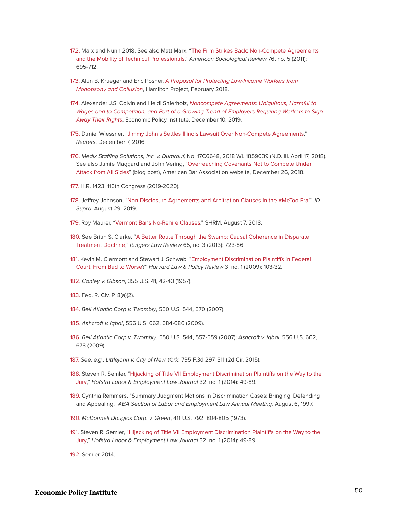- <span id="page-50-0"></span>[172.](#page-29-4) Marx and Nunn 2018. See also Matt Marx, "[The Firm Strikes Back: Non-Compete Agreements](https://doi.org/10.1177/0003122411414822) [and the Mobility of Technical Professionals,](https://doi.org/10.1177/0003122411414822)" American Sociological Review 76, no. 5 (2011): 695-712.
- <span id="page-50-1"></span>[173.](#page-29-5) Alan B. Krueger and Eric Posner, [A Proposal for Protecting Low-Income Workers from](https://www.hamiltonproject.org/assets/files/protecting_low_income_workers_from_monopsony_collusion_krueger_posner_pp.pdf) [Monopsony and Collusion](https://www.hamiltonproject.org/assets/files/protecting_low_income_workers_from_monopsony_collusion_krueger_posner_pp.pdf), Hamilton Project, February 2018.
- <span id="page-50-2"></span>[174.](#page-30-0) Alexander J.S. Colvin and Heidi Shierholz, [Noncompete Agreements: Ubiquitous, Harmful to](https://www.epi.org/publication/noncompete-agreements/) [Wages and to Competition, and Part of a Growing Trend of Employers Requiring Workers to Sign](https://www.epi.org/publication/noncompete-agreements/) [Away Their Rights](https://www.epi.org/publication/noncompete-agreements/), Economic Policy Institute, December 10, 2019.
- <span id="page-50-3"></span>[175.](#page-30-1) Daniel Wiessner, ["Jimmy John's Settles Illinois Lawsuit Over Non-Compete Agreements,](https://www.reuters.com/article/us-jimmyjohns-settlement/jimmy-johns-settles-illinois-lawsuit-over-non-compete-agreements-idUSKBN13W2JA)" Reuters, December 7, 2016.
- <span id="page-50-4"></span>[176.](#page-30-2) Medix Staffing Solutions, Inc. v. Dumrauf, No. 17C6648, 2018 WL 1859039 (N.D. Ill. April 17, 2018). See also Jamie Maggard and John Vering, "[Overreaching Covenants Not to Compete Under](https://www.americanbar.org/groups/litigation/committees/business-torts-unfair-competition/practice/2018/overreaching-covenants-not-to-compete/) [Attack from All Sides"](https://www.americanbar.org/groups/litigation/committees/business-torts-unfair-competition/practice/2018/overreaching-covenants-not-to-compete/) (blog post), American Bar Association website, December 26, 2018.
- <span id="page-50-5"></span>[177.](#page-30-3) H.R. 1423, 116th Congress (2019-2020).
- <span id="page-50-6"></span>[178.](#page-30-4) Jeffrey Johnson, ["Non-Disclosure Agreements and Arbitration Clauses in the #MeToo Era,](https://www.jdsupra.com/legalnews/non-disclosure-agreements-and-30226/)" JD Supra, August 29, 2019.
- <span id="page-50-7"></span>[179.](#page-30-5) Roy Maurer, ["Vermont Bans No-Rehire Clauses](https://www.shrm.org/resourcesandtools/hr-topics/talent-acquisition/pages/vermont-bans-no-rehire-clauses.aspx)," SHRM, August 7, 2018.
- <span id="page-50-8"></span>[180.](#page-30-6) See Brian S. Clarke, ["A Better Route Through the Swamp: Causal Coherence in Disparate](https://papers.ssrn.com/sol3/papers.cfm?abstract_id=2211778) [Treatment Doctrine,](https://papers.ssrn.com/sol3/papers.cfm?abstract_id=2211778)" Rutgers Law Review 65, no. 3 (2013): 723-86.
- <span id="page-50-9"></span>[181.](#page-31-0) Kevin M. Clermont and Stewart J. Schwab, "[Employment Discrimination Plaintiffs in Federal](https://ssrn.com/abstract=2706576) [Court: From Bad to Worse?](https://ssrn.com/abstract=2706576)" Harvard Law & Policy Review 3, no. 1 (2009): 103-32.
- <span id="page-50-10"></span>[182.](#page-31-1) Conley v. Gibson, 355 U.S. 41, 42-43 (1957).
- <span id="page-50-11"></span>[183.](#page-31-2) Fed. R. Civ. P. 8(a)(2).
- <span id="page-50-12"></span>[184.](#page-31-3) Bell Atlantic Corp v. Twombly, 550 U.S. 544, 570 (2007).
- <span id="page-50-13"></span>[185.](#page-31-4) Ashcroft v. lqbal, 556 U.S. 662, 684-686 (2009).
- <span id="page-50-14"></span>[186.](#page-31-5) Bell Atlantic Corp v. Twombly, 550 U.S. 544, 557-559 (2007); Ashcroft v. lqbal, 556 U.S. 662, 678 (2009).
- <span id="page-50-15"></span>[187.](#page-31-6) See, e.g., Littlejohn v. City of New York, 795 F.3d 297, 311 (2d Cir. 2015).
- <span id="page-50-16"></span>[188.](#page-31-7) Steven R. Semler, ["Hijacking of Title VII Employment Discrimination Plaintiffs on the Way to the](https://scholarlycommons.law.hofstra.edu/hlelj/vol32/iss1/3/) [Jury,](https://scholarlycommons.law.hofstra.edu/hlelj/vol32/iss1/3/)" Hofstra Labor & Employment Law Journal 32, no. 1 (2014): 49-89.
- <span id="page-50-17"></span>[189.](#page-31-8) Cynthia Remmers, "Summary Judgment Motions in Discrimination Cases: Bringing, Defending and Appealing," ABA Section of Labor and Employment Law Annual Meeting, August 6, 1997.
- <span id="page-50-18"></span>[190.](#page-32-0) McDonnell Douglas Corp. v. Green, 411 U.S. 792, 804-805 (1973).
- <span id="page-50-19"></span>[191.](#page-32-1) Steven R. Semler, ["Hijacking of Title VII Employment Discrimination Plaintiffs on the Way to the](https://scholarlycommons.law.hofstra.edu/hlelj/vol32/iss1/3/) [Jury,](https://scholarlycommons.law.hofstra.edu/hlelj/vol32/iss1/3/)" Hofstra Labor & Employment Law Journal 32, no. 1 (2014): 49-89.

<span id="page-50-20"></span>[192.](#page-32-2) Semler 2014.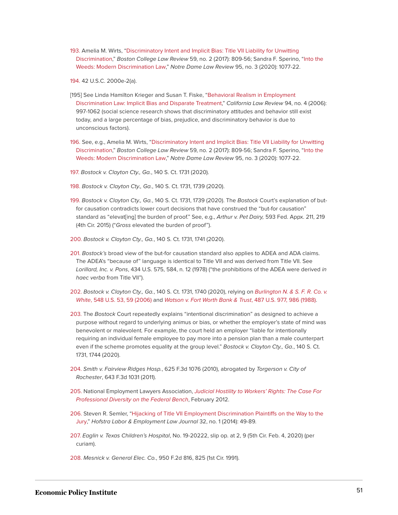<span id="page-51-0"></span>[193.](#page-32-3) Amelia M. Wirts, "[Discriminatory Intent and Implicit Bias: Title VII Liability for Unwitting](http://lawdigitalcommons.bc.edu/bclr/vol58/iss2/10) [Discrimination,](http://lawdigitalcommons.bc.edu/bclr/vol58/iss2/10)" Boston College Law Review 59, no. 2 (2017): 809-56; Sandra F. Sperino, "[Into the](https://scholarship.law.nd.edu/ndlr/vol95/iss3/3/) [Weeds: Modern Discrimination Law](https://scholarship.law.nd.edu/ndlr/vol95/iss3/3/)," Notre Dame Law Review 95, no. 3 (2020): 1077-22.

<span id="page-51-1"></span>[194.](#page-32-4) 42 U.S.C. 2000e-2(a).

- [195] See Linda Hamilton Krieger and Susan T. Fiske, ["Behavioral Realism in Employment](https://www.jstor.org/stable/20439058) [Discrimination Law: Implicit Bias and Disparate Treatment](https://www.jstor.org/stable/20439058)," California Law Review 94, no. 4 (2006): 997-1062 (social science research shows that discriminatory attitudes and behavior still exist today, and a large percentage of bias, prejudice, and discriminatory behavior is due to unconscious factors).
- <span id="page-51-2"></span>[196.](#page-32-5) See, e.g., Amelia M. Wirts, ["Discriminatory Intent and Implicit Bias: Title VII Liability for Unwitting](http://lawdigitalcommons.bc.edu/bclr/vol58/iss2/10) [Discrimination,](http://lawdigitalcommons.bc.edu/bclr/vol58/iss2/10)" Boston College Law Review 59, no. 2 (2017): 809-56; Sandra F. Sperino, "[Into the](https://scholarship.law.nd.edu/ndlr/vol95/iss3/3/) [Weeds: Modern Discrimination Law](https://scholarship.law.nd.edu/ndlr/vol95/iss3/3/)," Notre Dame Law Review 95, no. 3 (2020): 1077-22.
- <span id="page-51-3"></span>[197.](#page-33-0) Bostock v. Clayton Cty., Ga., 140 S. Ct. 1731 (2020).
- <span id="page-51-4"></span>[198.](#page-33-1) Bostock v. Clayton Cty., Ga., 140 S. Ct. 1731, 1739 (2020).
- <span id="page-51-5"></span>[199.](#page-33-2) Bostock v. Clayton Cty., Ga., 140 S. Ct. 1731, 1739 (2020). The Bostock Court's explanation of butfor causation contradicts lower court decisions that have construed the "but-for causation" standard as "elevat[ing] the burden of proof." See, e.g., Arthur v. Pet Dairy, 593 Fed. Appx. 211, 219 (4th Cir. 2015) ("Gross elevated the burden of proof").
- <span id="page-51-6"></span>[200.](#page-33-3) Bostock v. Clayton Cty., Ga., 140 S. Ct. 1731, 1741 (2020).
- <span id="page-51-7"></span>[201.](#page-33-4) Bostock's broad view of the but-for causation standard also applies to ADEA and ADA claims. The ADEA's "because of" language is identical to Title VII and was derived from Title VII. See Lorillard, Inc. v. Pons, 434 U.S. 575, 584, n. 12 (1978) ("the prohibitions of the ADEA were derived in haec verba from Title VII").
- <span id="page-51-8"></span>[202.](#page-33-5) Bostock v. Clayton Cty., Ga., 140 S. Ct. 1731, 1740 (2020), relying on [Burlington N. & S. F. R. Co. v.](https://www.westlaw.com/Link/Document/FullText?findType=Y&serNum=2009404759&pubNum=0000780&originatingDoc=I576207cbaed911eaa4a6da07b08de5cd&refType=RP&fi=co_pp_sp_780_59&originationContext=document&vr=3.0&rs=cblt1.0&transitionType=DocumentItem&contextData=(sc.Search)#co_pp_sp_780_59) White[, 548 U.S. 53, 59 \(2006\)](https://www.westlaw.com/Link/Document/FullText?findType=Y&serNum=2009404759&pubNum=0000780&originatingDoc=I576207cbaed911eaa4a6da07b08de5cd&refType=RP&fi=co_pp_sp_780_59&originationContext=document&vr=3.0&rs=cblt1.0&transitionType=DocumentItem&contextData=(sc.Search)#co_pp_sp_780_59) and [Watson v. Fort Worth Bank & Trust](https://www.westlaw.com/Link/Document/FullText?findType=Y&serNum=1988084198&pubNum=0000780&originatingDoc=I576207cbaed911eaa4a6da07b08de5cd&refType=RP&fi=co_pp_sp_780_986&originationContext=document&vr=3.0&rs=cblt1.0&transitionType=DocumentItem&contextData=(sc.Search)#co_pp_sp_780_986), 487 U.S. 977, 986 (1988).
- <span id="page-51-9"></span>[203.](#page-33-6) The Bostock Court repeatedly explains "intentional discrimination" as designed to achieve a purpose without regard to underlying animus or bias, or whether the employer's state of mind was benevolent or malevolent. For example, the court held an employer "liable for intentionally requiring an individual female employee to pay more into a pension plan than a male counterpart even if the scheme promotes equality at the group level." Bostock v. Clayton Cty., Ga., 140 S. Ct. 1731, 1744 (2020).
- <span id="page-51-10"></span>[204.](#page-33-7) Smith v. Fairview Ridges Hosp., 625 F.3d 1076 (2010), abrogated by Torgerson v. City of Rochester, 643 F.3d 1031 (2011).
- <span id="page-51-11"></span>[205.](#page-33-8) National Employment Lawyers Association, [Judicial Hostility to Workers' Rights: The Case For](https://exchange.nela.org/HigherLogic/System/DownloadDocumentFile.ashx?DocumentFileKey=952ae48d-9dc1-4377-935e-a38ce5241d8e&forceDialog=0) [Professional Diversity on the Federal Bench](https://exchange.nela.org/HigherLogic/System/DownloadDocumentFile.ashx?DocumentFileKey=952ae48d-9dc1-4377-935e-a38ce5241d8e&forceDialog=0), February 2012.
- <span id="page-51-12"></span>[206.](#page-34-0) Steven R. Semler, "[Hijacking of Title VII Employment Discrimination Plaintiffs on the Way to the](https://scholarlycommons.law.hofstra.edu/hlelj/vol32/iss1/3/) [Jury,](https://scholarlycommons.law.hofstra.edu/hlelj/vol32/iss1/3/)" Hofstra Labor & Employment Law Journal 32, no. 1 (2014): 49-89.
- <span id="page-51-13"></span>[207.](#page-34-1) Eaglin v. Texas Children's Hospital, No. 19-20222, slip op. at 2, 9 (5th Cir. Feb. 4, 2020) (per curiam).
- <span id="page-51-14"></span>[208.](#page-34-2) Mesnick v. General Elec. Co., 950 F.2d 816, 825 (1st Cir. 1991).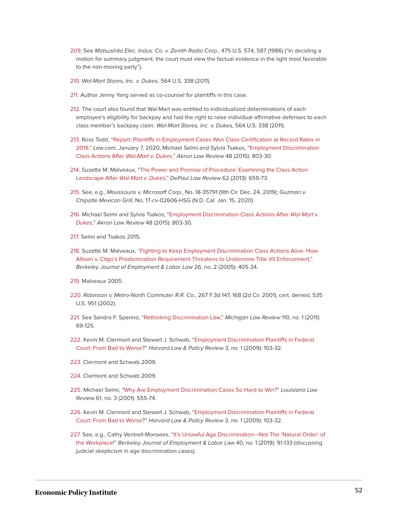- <span id="page-52-0"></span>[209.](#page-34-3) See Matsushita Elec. Indus. Co. v. Zenith Radio Corp., 475 U.S. 574, 587 (1986) ("In deciding a motion for summary judgment, the court must view the factual evidence in the light most favorable to the non-moving party").
- <span id="page-52-1"></span>[210.](#page-34-4) Wal-Mart Stores, Inc. v. Dukes, 564 U.S. 338 (2011).
- <span id="page-52-2"></span>[211.](#page-34-5) Author Jenny Yang served as co-counsel for plaintiffs in this case.
- <span id="page-52-3"></span>[212.](#page-34-6) The court also found that Wal-Mart was entitled to individualized determinations of each employee's eligibility for backpay and had the right to raise individual affirmative defenses to each class member's backpay claim. Wal-Mart Stores, Inc. v. Dukes, 564 U.S. 338 (2011).
- <span id="page-52-4"></span>[213.](#page-35-0) Ross Todd, ["Report: Plaintiffs in Employment Cases Won Class Certification at Record Rates in](https://www.law.com/2020/01/07/report-plaintiffs-in-employment-cases-won-class-certification-at-record-rates-in-2019/) [2019](https://www.law.com/2020/01/07/report-plaintiffs-in-employment-cases-won-class-certification-at-record-rates-in-2019/)," Law.com, January 7, 2020; Michael Selmi and Sylvia Tsakos, ["Employment Discrimination](https://ideaexchange.uakron.edu/akronlawreview/vol48/iss4/4) [Class Actions After](https://ideaexchange.uakron.edu/akronlawreview/vol48/iss4/4) Wal-Mart v. Dukes," Akron Law Review 48 (2015): 803-30.
- <span id="page-52-5"></span>[214.](#page-35-1) Suzette M. Malveaux, ["The Power and Promise of Procedure: Examining the Class Action](https://via.library.depaul.edu/law-review/vol62/iss3/3) Landscape After [Wal-Mart v. Dukes](https://via.library.depaul.edu/law-review/vol62/iss3/3)," DePaul Law Review 62 (2013): 659-73.
- <span id="page-52-6"></span>[215.](#page-35-2) See, e.g., Moussouris v. Microsoft Corp., No. 18-35791 (9th Cir. Dec. 24, 2019); Guzman v. Chipotle Mexican Grill, No. 17-cv-02606-HSG (N.D. Cal. Jan. 15, 2020).
- <span id="page-52-7"></span>[216.](#page-35-3) Michael Selmi and Sylvia Tsakos, ["Employment Discrimination Class Actions After](https://ideaexchange.uakron.edu/akronlawreview/vol48/iss4/4) Wal-Mart v. [Dukes](https://ideaexchange.uakron.edu/akronlawreview/vol48/iss4/4)," Akron Law Review 48 (2015): 803-30.
- <span id="page-52-8"></span>[217.](#page-35-4) Selmi and Tsakos 2015.
- <span id="page-52-9"></span>[218.](#page-35-5) Suzette M. Malveaux, ["Fighting to Keep Employment Discrimination Class Actions Alive: How](https://scholar.law.colorado.edu/articles/990) [Allison v. Citgo's Predomination Requirement Threatens to Undermine Title VII Enforcement](https://scholar.law.colorado.edu/articles/990)," Berkeley Journal of Employment & Labor Law 26, no. 2 (2005): 405-34.
- <span id="page-52-10"></span>[219.](#page-35-6) Malveaux 2005.
- <span id="page-52-11"></span>[220.](#page-35-7) Robinson v. Metro-North Commuter R.R. Co., 267 F.3d 147, 168 (2d Cir. 2001), cert. denied, 535 U.S. 951 (2002).
- <span id="page-52-12"></span>[221.](#page-35-8) See Sandra F. Sperino, ["Rethinking Discrimination Law](https://repository.law.umich.edu/mlr/vol110/iss1/2/)," Michigan Law Review 110, no. 1 (2011): 69-125.
- <span id="page-52-13"></span>[222.](#page-36-0) Kevin M. Clermont and Stewart J. Schwab, ["Employment Discrimination Plaintiffs in Federal](https://scholarship.law.cornell.edu/lsrp_papers/109/) [Court: From Bad to Worse?](https://scholarship.law.cornell.edu/lsrp_papers/109/)" Harvard Law & Policy Review 3, no. 1 (2009): 103-32.
- <span id="page-52-14"></span>[223.](#page-36-1) Clermont and Schwab 2009.
- <span id="page-52-15"></span>[224.](#page-36-2) Clermont and Schwab 2009.
- <span id="page-52-16"></span>[225.](#page-36-3) Michael Selmi, "[Why Are Employment Discrimination Cases So Hard to Win](https://digitalcommons.law.lsu.edu/lalrev/vol61/iss3/4)?" Louisiana Law Review 61, no. 3 (2001): 555-74.
- <span id="page-52-17"></span>[226.](#page-36-4) Kevin M. Clermont and Stewart J. Schwab, ["Employment Discrimination Plaintiffs in Federal](https://scholarship.law.cornell.edu/lsrp_papers/109/) [Court: From Bad to Worse?](https://scholarship.law.cornell.edu/lsrp_papers/109/)" Harvard Law & Policy Review 3, no. 1 (2009): 103-32.
- <span id="page-52-18"></span>[227.](#page-36-5) See, e.g., Cathy Ventrell-Monsees, ["It's Unlawful Age Discrimination—Not The 'Natural Order' of](https://doi.org/10.15779/Z382805000) [the Workplace!](https://doi.org/10.15779/Z382805000)" Berkeley Journal of Employment & Labor Law 40, no. 1 (2019): 91-133 (discussing judicial skepticism in age discrimination cases).